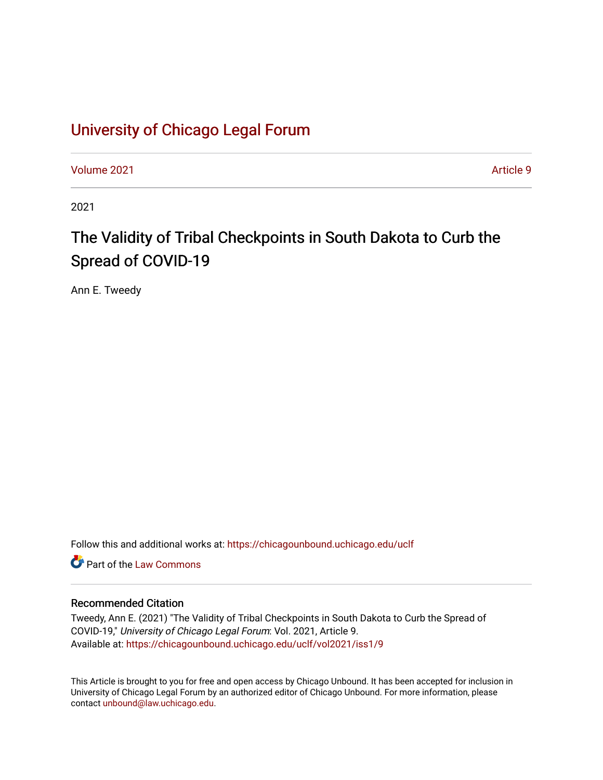# [University of Chicago Legal Forum](https://chicagounbound.uchicago.edu/uclf)

[Volume 2021](https://chicagounbound.uchicago.edu/uclf/vol2021) **Article 9** Article 9

2021

# The Validity of Tribal Checkpoints in South Dakota to Curb the Spread of COVID-19

Ann E. Tweedy

Follow this and additional works at: [https://chicagounbound.uchicago.edu/uclf](https://chicagounbound.uchicago.edu/uclf?utm_source=chicagounbound.uchicago.edu%2Fuclf%2Fvol2021%2Fiss1%2F9&utm_medium=PDF&utm_campaign=PDFCoverPages) 

**C** Part of the [Law Commons](https://network.bepress.com/hgg/discipline/578?utm_source=chicagounbound.uchicago.edu%2Fuclf%2Fvol2021%2Fiss1%2F9&utm_medium=PDF&utm_campaign=PDFCoverPages)

# Recommended Citation

Tweedy, Ann E. (2021) "The Validity of Tribal Checkpoints in South Dakota to Curb the Spread of COVID-19," University of Chicago Legal Forum: Vol. 2021, Article 9. Available at: [https://chicagounbound.uchicago.edu/uclf/vol2021/iss1/9](https://chicagounbound.uchicago.edu/uclf/vol2021/iss1/9?utm_source=chicagounbound.uchicago.edu%2Fuclf%2Fvol2021%2Fiss1%2F9&utm_medium=PDF&utm_campaign=PDFCoverPages) 

This Article is brought to you for free and open access by Chicago Unbound. It has been accepted for inclusion in University of Chicago Legal Forum by an authorized editor of Chicago Unbound. For more information, please contact [unbound@law.uchicago.edu](mailto:unbound@law.uchicago.edu).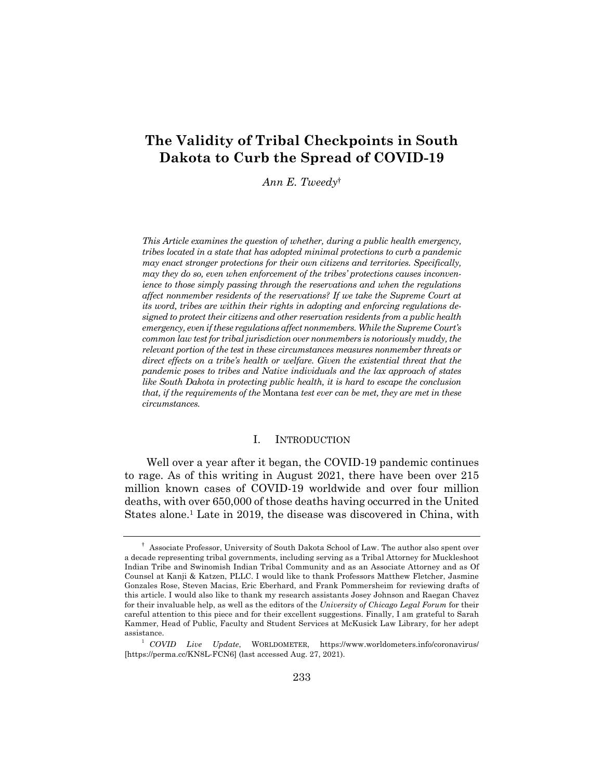# **The Validity of Tribal Checkpoints in South Dakota to Curb the Spread of COVID-19**

*Ann E. Tweedy*†

*This Article examines the question of whether, during a public health emergency, tribes located in a state that has adopted minimal protections to curb a pandemic may enact stronger protections for their own citizens and territories. Specifically, may they do so, even when enforcement of the tribes' protections causes inconvenience to those simply passing through the reservations and when the regulations affect nonmember residents of the reservations? If we take the Supreme Court at its word, tribes are within their rights in adopting and enforcing regulations designed to protect their citizens and other reservation residents from a public health emergency, even if these regulations affect nonmembers. While the Supreme Court's common law test for tribal jurisdiction over nonmembers is notoriously muddy, the relevant portion of the test in these circumstances measures nonmember threats or direct effects on a tribe's health or welfare. Given the existential threat that the pandemic poses to tribes and Native individuals and the lax approach of states like South Dakota in protecting public health, it is hard to escape the conclusion that, if the requirements of the* Montana *test ever can be met, they are met in these circumstances.*

### I. INTRODUCTION

Well over a year after it began, the COVID-19 pandemic continues to rage. As of this writing in August 2021, there have been over 215 million known cases of COVID-19 worldwide and over four million deaths, with over 650,000 of those deaths having occurred in the United States alone.1 Late in 2019, the disease was discovered in China, with

<sup>†</sup> Associate Professor, University of South Dakota School of Law. The author also spent over a decade representing tribal governments, including serving as a Tribal Attorney for Muckleshoot Indian Tribe and Swinomish Indian Tribal Community and as an Associate Attorney and as Of Counsel at Kanji & Katzen, PLLC. I would like to thank Professors Matthew Fletcher, Jasmine Gonzales Rose, Steven Macias, Eric Eberhard, and Frank Pommersheim for reviewing drafts of this article. I would also like to thank my research assistants Josey Johnson and Raegan Chavez for their invaluable help, as well as the editors of the *University of Chicago Legal Forum* for their careful attention to this piece and for their excellent suggestions. Finally, I am grateful to Sarah Kammer, Head of Public, Faculty and Student Services at McKusick Law Library, for her adept assistance.

<sup>1</sup> *COVID Live Update*, WORLDOMETER, https://www.worldometers.info/coronavirus/ [https://perma.cc/KN8L-FCN6] (last accessed Aug. 27, 2021).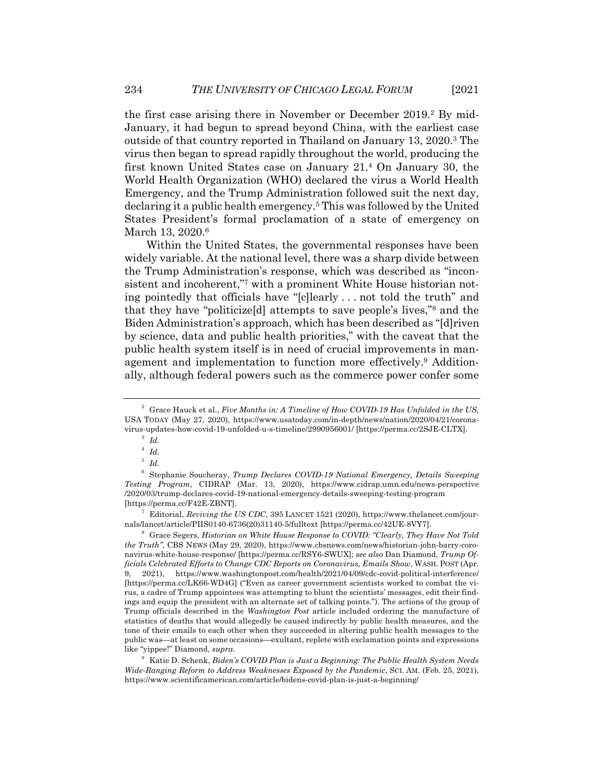the first case arising there in November or December 2019.<sup>2</sup> By mid-January, it had begun to spread beyond China, with the earliest case outside of that country reported in Thailand on January 13, 2020.3 The virus then began to spread rapidly throughout the world, producing the first known United States case on January 21.4 On January 30, the World Health Organization (WHO) declared the virus a World Health Emergency, and the Trump Administration followed suit the next day, declaring it a public health emergency.5 This was followed by the United States President's formal proclamation of a state of emergency on March 13, 2020.<sup>6</sup>

Within the United States, the governmental responses have been widely variable. At the national level, there was a sharp divide between the Trump Administration's response, which was described as "inconsistent and incoherent,"7 with a prominent White House historian noting pointedly that officials have "[c]learly . . . not told the truth" and that they have "politicize[d] attempts to save people's lives,"8 and the Biden Administration's approach, which has been described as "[d]riven by science, data and public health priorities," with the caveat that the public health system itself is in need of crucial improvements in management and implementation to function more effectively.9 Additionally, although federal powers such as the commerce power confer some

<sup>3</sup> *Id.*

<sup>7</sup> Editorial, *Reviving the US CDC*, 395 LANCET 1521 (2020), https://www.thelancet.com/journals/lancet/article/PIIS0140-6736(20)31140-5/fulltext [https://perma.cc/42UE-8VY7].

<sup>8</sup> Grace Segers, *Historian on White House Response to COVID: "Clearly, They Have Not Told the Truth"*, CBS NEWS (May 29, 2020), https://www.cbsnews.com/news/historian-john-barry-coronavirus-white-house-response/ [https://perma.cc/RSY6-SWUX]; *see also* Dan Diamond, *Trump Officials Celebrated Efforts to Change CDC Reports on Coronavirus, Emails Show*, WASH. POST (Apr. 9, 2021), https://www.washingtonpost.com/health/2021/04/09/cdc-covid-political-interference/ [https://perma.cc/LK66-WD4G] ("Even as career government scientists worked to combat the virus, a cadre of Trump appointees was attempting to blunt the scientists' messages, edit their findings and equip the president with an alternate set of talking points."). The actions of the group of Trump officials described in the *Washington Post* article included ordering the manufacture of statistics of deaths that would allegedly be caused indirectly by public health measures, and the tone of their emails to each other when they succeeded in altering public health messages to the public was—at least on some occasions—exultant, replete with exclamation points and expressions like "yippee!" Diamond, *supra*.

<sup>9</sup> Katie D. Schenk, *Biden's COVID Plan is Just a Beginning: The Public Health System Needs Wide-Ranging Reform to Address Weaknesses Exposed by the Pandemic*, SCI. AM. (Feb. 25, 2021), https://www.scientificamerican.com/article/bidens-covid-plan-is-just-a-beginning/

<sup>2</sup> Grace Hauck et al., *Five Months in: A Timeline of How COVID-19 Has Unfolded in the US*, USA TODAY (May 27, 2020), https://www.usatoday.com/in-depth/news/nation/2020/04/21/coronavirus-updates-how-covid-19-unfolded-u-s-timeline/2990956001/ [https://perma.cc/2SJE-CLTX].

<sup>4</sup> *Id.*

<sup>5</sup> *Id.*

<sup>6</sup> Stephanie Soucheray, *Trump Declares COVID-19 National Emergency, Details Sweeping Testing Program*, CIDRAP (Mar. 13, 2020), https://www.cidrap.umn.edu/news-perspective /2020/03/trump-declares-covid-19-national-emergency-details-sweeping-testing-program [https://perma.cc/F42E-ZBNT].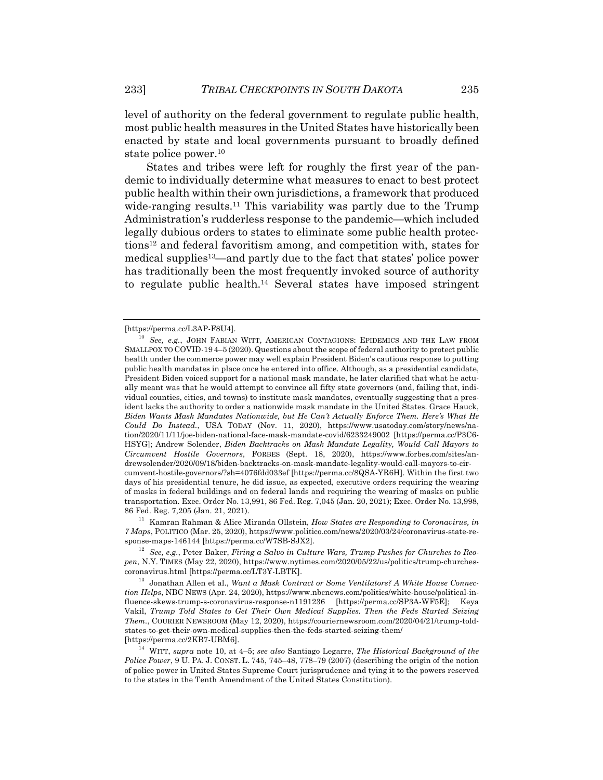level of authority on the federal government to regulate public health, most public health measures in the United States have historically been enacted by state and local governments pursuant to broadly defined state police power.10

States and tribes were left for roughly the first year of the pandemic to individually determine what measures to enact to best protect public health within their own jurisdictions, a framework that produced wide-ranging results.<sup>11</sup> This variability was partly due to the Trump Administration's rudderless response to the pandemic—which included legally dubious orders to states to eliminate some public health protections12 and federal favoritism among, and competition with, states for medical supplies13—and partly due to the fact that states' police power has traditionally been the most frequently invoked source of authority to regulate public health.14 Several states have imposed stringent

<sup>11</sup> Kamran Rahman & Alice Miranda Ollstein, *How States are Responding to Coronavirus, in 7 Maps*, POLITICO (Mar. 25, 2020), https://www.politico.com/news/2020/03/24/coronavirus-state-response-maps-146144 [https://perma.cc/W7SB-SJX2].

<sup>[</sup>https://perma.cc/L3AP-F8U4].

<sup>10</sup> *See, e.g.*, JOHN FABIAN WITT, AMERICAN CONTAGIONS: EPIDEMICS AND THE LAW FROM SMALLPOX TO COVID-19 4–5 (2020). Questions about the scope of federal authority to protect public health under the commerce power may well explain President Biden's cautious response to putting public health mandates in place once he entered into office. Although, as a presidential candidate, President Biden voiced support for a national mask mandate, he later clarified that what he actually meant was that he would attempt to convince all fifty state governors (and, failing that, individual counties, cities, and towns) to institute mask mandates, eventually suggesting that a president lacks the authority to order a nationwide mask mandate in the United States. Grace Hauck, *Biden Wants Mask Mandates Nationwide, but He Can't Actually Enforce Them. Here's What He Could Do Instead.*, USA TODAY (Nov. 11, 2020), https://www.usatoday.com/story/news/nation/2020/11/11/joe-biden-national-face-mask-mandate-covid/6233249002 [https://perma.cc/P3C6- HSYG]; Andrew Solender, *Biden Backtracks on Mask Mandate Legality, Would Call Mayors to Circumvent Hostile Governors*, FORBES (Sept. 18, 2020), https://www.forbes.com/sites/andrewsolender/2020/09/18/biden-backtracks-on-mask-mandate-legality-would-call-mayors-to-circumvent-hostile-governors/?sh=4076fdd033ef [https://perma.cc/8QSA-YR6H]. Within the first two days of his presidential tenure, he did issue, as expected, executive orders requiring the wearing of masks in federal buildings and on federal lands and requiring the wearing of masks on public transportation. Exec. Order No. 13,991, 86 Fed. Reg. 7,045 (Jan. 20, 2021); Exec. Order No. 13,998, 86 Fed. Reg. 7,205 (Jan. 21, 2021).

<sup>12</sup> *See, e.g.*, Peter Baker, *Firing a Salvo in Culture Wars, Trump Pushes for Churches to Reopen*, N.Y. TIMES (May 22, 2020), https://www.nytimes.com/2020/05/22/us/politics/trump-churchescoronavirus.html [https://perma.cc/LT3Y-LBTK].

<sup>13</sup> Jonathan Allen et al., *Want a Mask Contract or Some Ventilators? A White House Connection Helps*, NBC NEWS (Apr. 24, 2020), https://www.nbcnews.com/politics/white-house/political-influence-skews-trump-s-coronavirus-response-n1191236 [https://perma.cc/SP3A-WF5E]; Keya Vakil, *Trump Told States to Get Their Own Medical Supplies. Then the Feds Started Seizing Them.*, COURIER NEWSROOM (May 12, 2020), https://couriernewsroom.com/2020/04/21/trump-toldstates-to-get-their-own-medical-supplies-then-the-feds-started-seizing-them/ [https://perma.cc/2KB7-UBM6].

<sup>14</sup> WITT, *supra* note 10, at 4–5; *see also* Santiago Legarre, *The Historical Background of the Police Power*, 9 U. PA. J. CONST. L. 745, 745–48, 778–79 (2007) (describing the origin of the notion of police power in United States Supreme Court jurisprudence and tying it to the powers reserved to the states in the Tenth Amendment of the United States Constitution).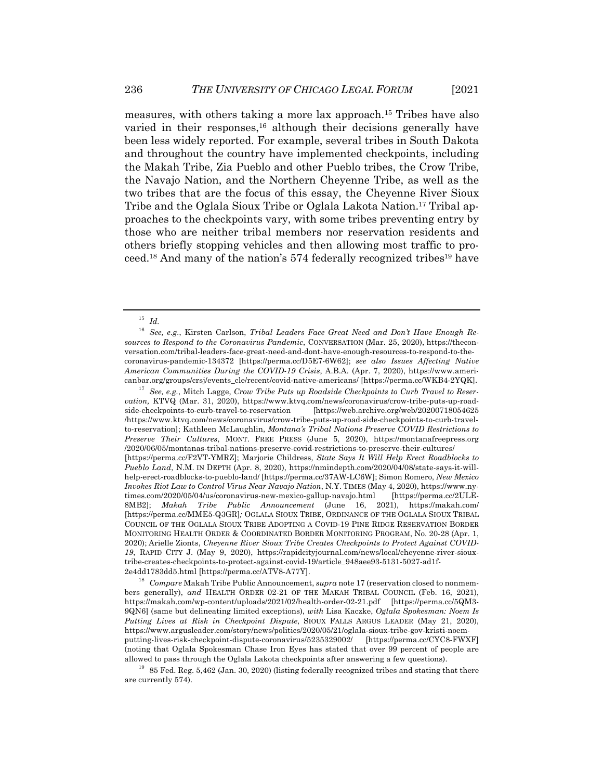measures, with others taking a more lax approach.15 Tribes have also varied in their responses,  $16$  although their decisions generally have been less widely reported. For example, several tribes in South Dakota and throughout the country have implemented checkpoints, including the Makah Tribe, Zia Pueblo and other Pueblo tribes, the Crow Tribe, the Navajo Nation, and the Northern Cheyenne Tribe, as well as the two tribes that are the focus of this essay, the Cheyenne River Sioux Tribe and the Oglala Sioux Tribe or Oglala Lakota Nation.17 Tribal approaches to the checkpoints vary, with some tribes preventing entry by those who are neither tribal members nor reservation residents and others briefly stopping vehicles and then allowing most traffic to proceed.18 And many of the nation's 574 federally recognized tribes19 have

<sup>17</sup> *See, e.g.*, Mitch Lagge, *Crow Tribe Puts up Roadside Checkpoints to Curb Travel to Reservation,* KTVQ (Mar. 31, 2020), https://www.ktvq.com/news/coronavirus/crow-tribe-puts-up-roadside-checkpoints-to-curb-travel-to-reservation [https://web.archive.org/web/20200718054625 /https://www.ktvq.com/news/coronavirus/crow-tribe-puts-up-road-side-checkpoints-to-curb-travelto-reservation]; Kathleen McLaughlin, *Montana's Tribal Nations Preserve COVID Restrictions to Preserve Their Cultures*, MONT. FREE PRESS (June 5, 2020), https://montanafreepress.org /2020/06/05/montanas-tribal-nations-preserve-covid-restrictions-to-preserve-their-cultures/ [https://perma.cc/F2VT-YMRZ]; Marjorie Childress, *State Says It Will Help Erect Roadblocks to Pueblo Land*, N.M. IN DEPTH (Apr. 8, 2020), https://nmindepth.com/2020/04/08/state-says-it-willhelp-erect-roadblocks-to-pueblo-land/ [https://perma.cc/37AW-LC6W]; Simon Romero, *New Mexico Invokes Riot Law to Control Virus Near Navajo Nation*, N.Y. TIMES (May 4, 2020), https://www.nytimes.com/2020/05/04/us/coronavirus-new-mexico-gallup-navajo.html [https://perma.cc/2ULE-8MB2]; *Makah Tribe Public Announcement* (June 16, 2021), https://makah.com/ [https://perma.cc/MME5-Q3GR]*;* OGLALA SIOUX TRIBE, ORDINANCE OF THE OGLALA SIOUX TRIBAL COUNCIL OF THE OGLALA SIOUX TRIBE ADOPTING A COVID-19 PINE RIDGE RESERVATION BORDER MONITORING HEALTH ORDER & COORDINATED BORDER MONITORING PROGRAM, No. 20-28 (Apr. 1, 2020); Arielle Zionts, *Cheyenne River Sioux Tribe Creates Checkpoints to Protect Against COVID-19*, RAPID CITY J. (May 9, 2020), https://rapidcityjournal.com/news/local/cheyenne-river-siouxtribe-creates-checkpoints-to-protect-against-covid-19/article\_948aee93-5131-5027-ad1f-2e4dd1783dd5.html [https://perma.cc/ATV8-A77Y].

<sup>18</sup> *Compare* Makah Tribe Public Announcement, *supra* note 17 (reservation closed to nonmembers generally), *and* HEALTH ORDER 02-21 OF THE MAKAH TRIBAL COUNCIL (Feb. 16, 2021), https://makah.com/wp-content/uploads/2021/02/health-order-02-21.pdf [https://perma.cc/5QM3- 9QN6] (same but delineating limited exceptions), *with* Lisa Kaczke, *Oglala Spokesman: Noem Is Putting Lives at Risk in Checkpoint Dispute*, SIOUX FALLS ARGUS LEADER (May 21, 2020), https://www.argusleader.com/story/news/politics/2020/05/21/oglala-sioux-tribe-gov-kristi-noemputting-lives-risk-checkpoint-dispute-coronavirus/5235329002/ [https://perma.cc/CYC8-FWXF] (noting that Oglala Spokesman Chase Iron Eyes has stated that over 99 percent of people are allowed to pass through the Oglala Lakota checkpoints after answering a few questions).

 $19$  85 Fed. Reg. 5,462 (Jan. 30, 2020) (listing federally recognized tribes and stating that there are currently 574).

<sup>15</sup> *Id.*

<sup>16</sup> *See, e.g.*, Kirsten Carlson, *Tribal Leaders Face Great Need and Don't Have Enough Resources to Respond to the Coronavirus Pandemic*, CONVERSATION (Mar. 25, 2020), https://theconversation.com/tribal-leaders-face-great-need-and-dont-have-enough-resources-to-respond-to-thecoronavirus-pandemic-134372 [https://perma.cc/D5E7-6W62]; *see also Issues Affecting Native American Communities During the COVID-19 Crisis*, A.B.A. (Apr. 7, 2020), https://www.americanbar.org/groups/crsj/events\_cle/recent/covid-native-americans/ [https://perma.cc/WKB4-2YQK].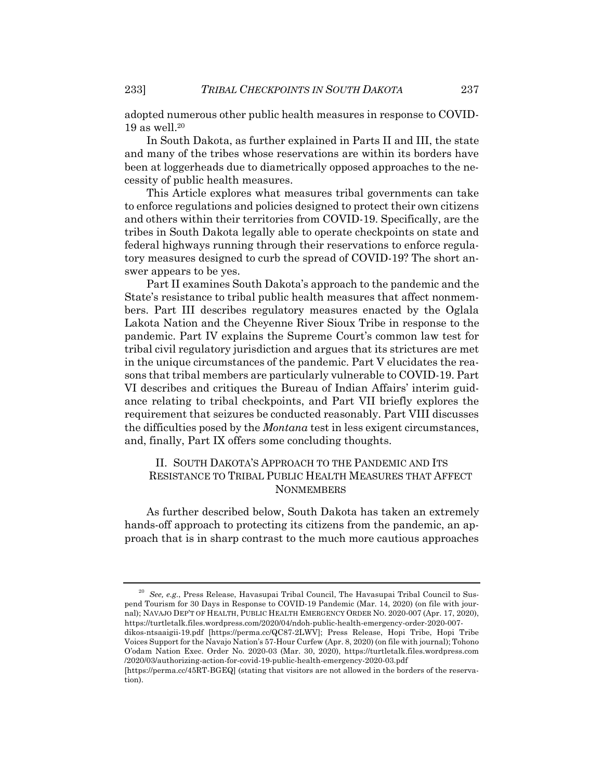adopted numerous other public health measures in response to COVID- $19$  as well.<sup>20</sup>

In South Dakota, as further explained in Parts II and III, the state and many of the tribes whose reservations are within its borders have been at loggerheads due to diametrically opposed approaches to the necessity of public health measures.

This Article explores what measures tribal governments can take to enforce regulations and policies designed to protect their own citizens and others within their territories from COVID-19. Specifically, are the tribes in South Dakota legally able to operate checkpoints on state and federal highways running through their reservations to enforce regulatory measures designed to curb the spread of COVID-19? The short answer appears to be yes.

Part II examines South Dakota's approach to the pandemic and the State's resistance to tribal public health measures that affect nonmembers. Part III describes regulatory measures enacted by the Oglala Lakota Nation and the Cheyenne River Sioux Tribe in response to the pandemic. Part IV explains the Supreme Court's common law test for tribal civil regulatory jurisdiction and argues that its strictures are met in the unique circumstances of the pandemic. Part V elucidates the reasons that tribal members are particularly vulnerable to COVID-19. Part VI describes and critiques the Bureau of Indian Affairs' interim guidance relating to tribal checkpoints, and Part VII briefly explores the requirement that seizures be conducted reasonably. Part VIII discusses the difficulties posed by the *Montana* test in less exigent circumstances, and, finally, Part IX offers some concluding thoughts.

# II. SOUTH DAKOTA'S APPROACH TO THE PANDEMIC AND ITS RESISTANCE TO TRIBAL PUBLIC HEALTH MEASURES THAT AFFECT **NONMEMBERS**

As further described below, South Dakota has taken an extremely hands-off approach to protecting its citizens from the pandemic, an approach that is in sharp contrast to the much more cautious approaches

<sup>20</sup> *See, e.g.*, Press Release, Havasupai Tribal Council, The Havasupai Tribal Council to Suspend Tourism for 30 Days in Response to COVID-19 Pandemic (Mar. 14, 2020) (on file with journal); NAVAJO DEP'T OF HEALTH, PUBLIC HEALTH EMERGENCY ORDER NO. 2020-007 (Apr. 17, 2020), https://turtletalk.files.wordpress.com/2020/04/ndoh-public-health-emergency-order-2020-007-

dikos-ntsaaigii-19.pdf [https://perma.cc/QC87-2LWV]; Press Release, Hopi Tribe, Hopi Tribe Voices Support for the Navajo Nation's 57-Hour Curfew (Apr. 8, 2020) (on file with journal); Tohono O'odam Nation Exec. Order No. 2020-03 (Mar. 30, 2020), https://turtletalk.files.wordpress.com /2020/03/authorizing-action-for-covid-19-public-health-emergency-2020-03.pdf

<sup>[</sup>https://perma.cc/45RT-BGEQ] (stating that visitors are not allowed in the borders of the reservation).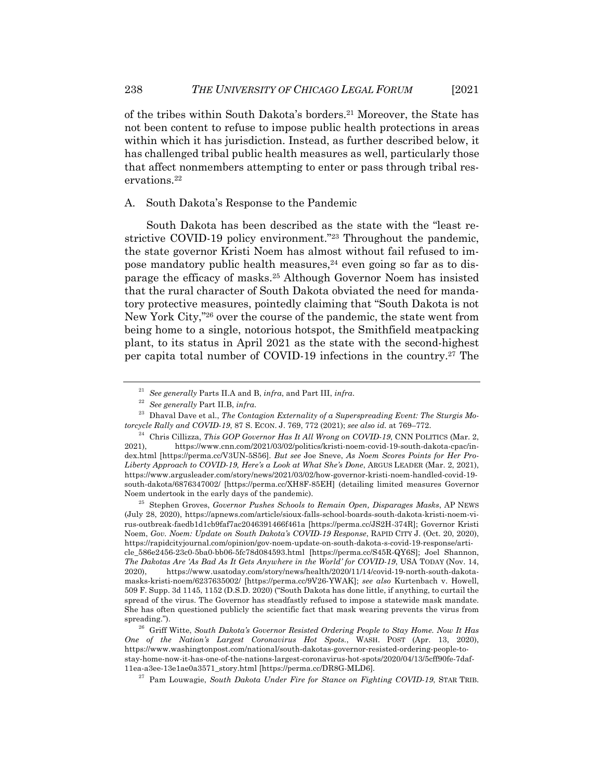of the tribes within South Dakota's borders.21 Moreover, the State has not been content to refuse to impose public health protections in areas within which it has jurisdiction. Instead, as further described below, it has challenged tribal public health measures as well, particularly those that affect nonmembers attempting to enter or pass through tribal reservations.<sup>22</sup>

### A. South Dakota's Response to the Pandemic

South Dakota has been described as the state with the "least restrictive COVID-19 policy environment."23 Throughout the pandemic, the state governor Kristi Noem has almost without fail refused to impose mandatory public health measures, $24$  even going so far as to disparage the efficacy of masks.25 Although Governor Noem has insisted that the rural character of South Dakota obviated the need for mandatory protective measures, pointedly claiming that "South Dakota is not New York City,"26 over the course of the pandemic, the state went from being home to a single, notorious hotspot, the Smithfield meatpacking plant, to its status in April 2021 as the state with the second-highest per capita total number of COVID-19 infections in the country.27 The

<sup>21</sup> *See generally* Parts II.A and B, *infra*, and Part III, *infra*.

<sup>22</sup> *See generally* Part II.B, *infra*.

<sup>&</sup>lt;sup>23</sup> Dhaval Dave et al., *The Contagion Externality of a Superspreading Event: The Sturgis Motorcycle Rally and COVID-19*, 87 S. ECON. J. 769, 772 (2021); *see also id.* at 769–772.

<sup>24</sup> Chris Cillizza, *This GOP Governor Has It All Wrong on COVID-19*, CNN POLITICS (Mar. 2, 2021), https://www.cnn.com/2021/03/02/politics/kristi-noem-covid-19-south-dakota-cpac/index.html [https://perma.cc/V3UN-5S56]. *But see* Joe Sneve, *As Noem Scores Points for Her Pro-Liberty Approach to COVID-19, Here's a Look at What She's Done*, ARGUS LEADER (Mar. 2, 2021), https://www.argusleader.com/story/news/2021/03/02/how-governor-kristi-noem-handled-covid-19 south-dakota/6876347002/ [https://perma.cc/XH8F-85EH] (detailing limited measures Governor Noem undertook in the early days of the pandemic).<br> $\frac{25}{100}$  Starley Gaussian Disk is School to

<sup>25</sup> Stephen Groves, *Governor Pushes Schools to Remain Open, Disparages Masks*, AP NEWS (July 28, 2020), https://apnews.com/article/sioux-falls-school-boards-south-dakota-kristi-noem-virus-outbreak-faedb1d1cb9faf7ac2046391466f461a [https://perma.cc/JS2H-374R]; Governor Kristi Noem, *Gov. Noem: Update on South Dakota's COVID-19 Response*, RAPID CITY J. (Oct. 20, 2020), https://rapidcityjournal.com/opinion/gov-noem-update-on-south-dakota-s-covid-19-response/article\_586e2456-23c0-5ba0-bb06-5fc78d084593.html [https://perma.cc/S45R-QY6S]; Joel Shannon, *The Dakotas Are 'As Bad As It Gets Anywhere in the World' for COVID-19*, USA TODAY (Nov. 14, 2020), https://www.usatoday.com/story/news/health/2020/11/14/covid-19-north-south-dakotamasks-kristi-noem/6237635002/ [https://perma.cc/9V26-YWAK]; *see also* Kurtenbach v. Howell, 509 F. Supp. 3d 1145, 1152 (D.S.D. 2020) ("South Dakota has done little, if anything, to curtail the spread of the virus. The Governor has steadfastly refused to impose a statewide mask mandate. She has often questioned publicly the scientific fact that mask wearing prevents the virus from spreading.").

<sup>26</sup> Griff Witte, *South Dakota's Governor Resisted Ordering People to Stay Home. Now It Has One of the Nation's Largest Coronavirus Hot Spots.*, WASH. POST (Apr. 13, 2020), https://www.washingtonpost.com/national/south-dakotas-governor-resisted-ordering-people-tostay-home-now-it-has-one-of-the-nations-largest-coronavirus-hot-spots/2020/04/13/5cff90fe-7daf-11ea-a3ee-13e1ae0a3571\_story.html [https://perma.cc/DR8G-MLD6]*.*

<sup>27</sup> Pam Louwagie, *South Dakota Under Fire for Stance on Fighting COVID-19*, STAR TRIB.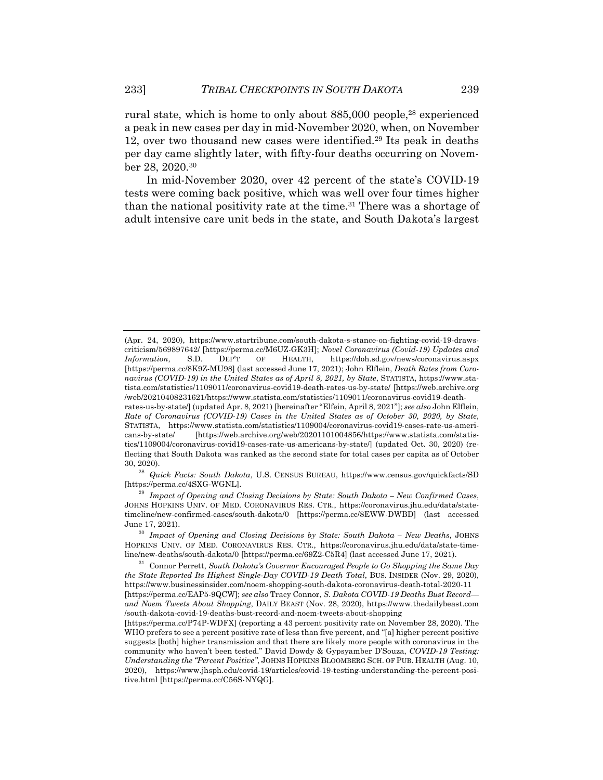rural state, which is home to only about 885,000 people,<sup>28</sup> experienced a peak in new cases per day in mid-November 2020, when, on November 12, over two thousand new cases were identified.29 Its peak in deaths per day came slightly later, with fifty-four deaths occurring on November 28, 2020.30

In mid-November 2020, over 42 percent of the state's COVID-19 tests were coming back positive, which was well over four times higher than the national positivity rate at the time.<sup>31</sup> There was a shortage of adult intensive care unit beds in the state, and South Dakota's largest

<sup>28</sup> *Quick Facts: South Dakota*, U.S. CENSUS BUREAU, https://www.census.gov/quickfacts/SD [https://perma.cc/4SXG-WGNL].

<sup>(</sup>Apr. 24, 2020), https://www.startribune.com/south-dakota-s-stance-on-fighting-covid-19-drawscriticism/569897642/ [https://perma.cc/M6UZ-GK3H]; *Novel Coronavirus (Covid-19) Updates and Information*, S.D. DEP'T OF HEALTH, https://doh.sd.gov/news/coronavirus.aspx [https://perma.cc/8K9Z-MU98] (last accessed June 17, 2021); John Elflein, *Death Rates from Coronavirus (COVID-19) in the United States as of April 8, 2021, by State*, STATISTA, https://www.statista.com/statistics/1109011/coronavirus-covid19-death-rates-us-by-state/ [https://web.archive.org /web/20210408231621/https://www.statista.com/statistics/1109011/coronavirus-covid19-deathrates-us-by-state/] (updated Apr. 8, 2021) [hereinafter "Elfein, April 8, 2021"]; *see also* John Elflein,

*Rate of Coronavirus (COVID-19) Cases in the United States as of October 30, 2020, by State*, STATISTA, https://www.statista.com/statistics/1109004/coronavirus-covid19-cases-rate-us-americans-by-state/ [https://web.archive.org/web/20201101004856/https://www.statista.com/statistics/1109004/coronavirus-covid19-cases-rate-us-americans-by-state/] (updated Oct. 30, 2020) (reflecting that South Dakota was ranked as the second state for total cases per capita as of October 30, 2020).

<sup>29</sup> *Impact of Opening and Closing Decisions by State: South Dakota – New Confirmed Cases*, JOHNS HOPKINS UNIV. OF MED. CORONAVIRUS RES. CTR., https://coronavirus.jhu.edu/data/statetimeline/new-confirmed-cases/south-dakota/0 [https://perma.cc/8EWW-DWBD] (last accessed June 17, 2021).

<sup>30</sup> *Impact of Opening and Closing Decisions by State: South Dakota – New Deaths*, JOHNS HOPKINS UNIV. OF MED. CORONAVIRUS RES. CTR., https://coronavirus.jhu.edu/data/state-timeline/new-deaths/south-dakota/0 [https://perma.cc/69Z2-C5R4] (last accessed June 17, 2021).

<sup>31</sup> Connor Perrett, *South Dakota's Governor Encouraged People to Go Shopping the Same Day the State Reported Its Highest Single-Day COVID-19 Death Total*, BUS. INSIDER (Nov. 29, 2020), https://www.businessinsider.com/noem-shopping-south-dakota-coronavirus-death-total-2020-11 [https://perma.cc/EAP5-9QCW]; *see also* Tracy Connor, *S. Dakota COVID-19 Deaths Bust Record and Noem Tweets About Shopping*, DAILY BEAST (Nov. 28, 2020), https://www.thedailybeast.com /south-dakota-covid-19-deaths-bust-record-and-noem-tweets-about-shopping

<sup>[</sup>https://perma.cc/P74P-WDFX] (reporting a 43 percent positivity rate on November 28, 2020). The WHO prefers to see a percent positive rate of less than five percent, and "[a] higher percent positive suggests [both] higher transmission and that there are likely more people with coronavirus in the community who haven't been tested." David Dowdy & Gypsyamber D'Souza, *COVID-19 Testing: Understanding the "Percent Positive"*, JOHNS HOPKINS BLOOMBERG SCH. OF PUB. HEALTH (Aug. 10, 2020), https://www.jhsph.edu/covid-19/articles/covid-19-testing-understanding-the-percent-positive.html [https://perma.cc/C56S-NYQG].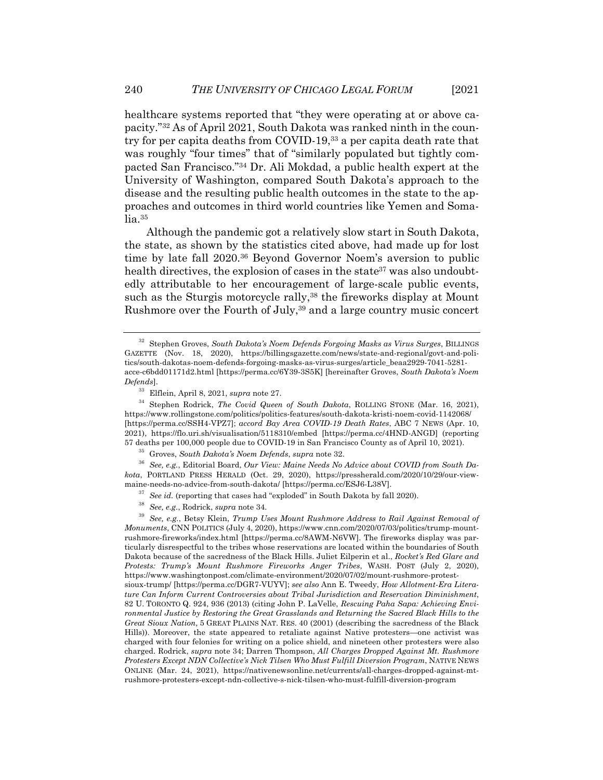healthcare systems reported that "they were operating at or above capacity."32 As of April 2021, South Dakota was ranked ninth in the country for per capita deaths from COVID-19,33 a per capita death rate that was roughly "four times" that of "similarly populated but tightly compacted San Francisco."34 Dr. Ali Mokdad, a public health expert at the University of Washington, compared South Dakota's approach to the disease and the resulting public health outcomes in the state to the approaches and outcomes in third world countries like Yemen and Soma- $\ln 35$ 

Although the pandemic got a relatively slow start in South Dakota, the state, as shown by the statistics cited above, had made up for lost time by late fall 2020.36 Beyond Governor Noem's aversion to public health directives, the explosion of cases in the state<sup>37</sup> was also undoubtedly attributable to her encouragement of large-scale public events, such as the Sturgis motorcycle rally,<sup>38</sup> the fireworks display at Mount Rushmore over the Fourth of July,<sup>39</sup> and a large country music concert

<sup>36</sup> *See, e.g.*, Editorial Board, *Our View: Maine Needs No Advice about COVID from South Dakota*, PORTLAND PRESS HERALD (Oct. 29, 2020), https://pressherald.com/2020/10/29/our-viewmaine-needs-no-advice-from-south-dakota/ [https://perma.cc/ESJ6-L38V].

<sup>38</sup> *See, e.g.*, Rodrick, *supra* note 34.

<sup>39</sup> *See, e.g.*, Betsy Klein, *Trump Uses Mount Rushmore Address to Rail Against Removal of Monuments*, CNN POLITICS (July 4, 2020), https://www.cnn.com/2020/07/03/politics/trump-mountrushmore-fireworks/index.html [https://perma.cc/8AWM-N6VW]. The fireworks display was particularly disrespectful to the tribes whose reservations are located within the boundaries of South Dakota because of the sacredness of the Black Hills. Juliet Eilperin et al., *Rocket's Red Glare and Protests: Trump's Mount Rushmore Fireworks Anger Tribes*, WASH. POST (July 2, 2020), https://www.washingtonpost.com/climate-environment/2020/07/02/mount-rushmore-protestsioux-trump/ [https://perma.cc/DGR7-VUYV]; *see also* Ann E. Tweedy, *How Allotment-Era Literature Can Inform Current Controversies about Tribal Jurisdiction and Reservation Diminishment*, 82 U. TORONTO Q. 924, 936 (2013) (citing John P. LaVelle, *Rescuing Paha Sapa: Achieving Environmental Justice by Restoring the Great Grasslands and Returning the Sacred Black Hills to the Great Sioux Nation*, 5 GREAT PLAINS NAT. RES. 40 (2001) (describing the sacredness of the Black Hills)). Moreover, the state appeared to retaliate against Native protesters—one activist was charged with four felonies for writing on a police shield, and nineteen other protesters were also charged. Rodrick, *supra* note 34; Darren Thompson, *All Charges Dropped Against Mt. Rushmore Protesters Except NDN Collective's Nick Tilsen Who Must Fulfill Diversion Program*, NATIVE NEWS ONLINE (Mar. 24, 2021), https://nativenewsonline.net/currents/all-charges-dropped-against-mtrushmore-protesters-except-ndn-collective-s-nick-tilsen-who-must-fulfill-diversion-program

<sup>32</sup> Stephen Groves, *South Dakota's Noem Defends Forgoing Masks as Virus Surges*, BILLINGS GAZETTE (Nov. 18, 2020), https://billingsgazette.com/news/state-and-regional/govt-and-politics/south-dakotas-noem-defends-forgoing-masks-as-virus-surges/article\_beaa2929-7041-5281 acce-c6bdd01171d2.html [https://perma.cc/6Y39-3S5K] [hereinafter Groves, *South Dakota's Noem Defends*].

<sup>33</sup> Elflein, April 8, 2021, *supra* note 27.

<sup>34</sup> Stephen Rodrick, *The Covid Queen of South Dakota*, ROLLING STONE (Mar. 16, 2021), https://www.rollingstone.com/politics/politics-features/south-dakota-kristi-noem-covid-1142068/ [https://perma.cc/SSH4-VPZ7]; *accord Bay Area COVID-19 Death Rates*, ABC 7 NEWS (Apr. 10, 2021), https://flo.uri.sh/visualisation/5118310/embed [https://perma.cc/4HND-ANGD] (reporting 57 deaths per 100,000 people due to COVID-19 in San Francisco County as of April 10, 2021).

<sup>35</sup> Groves, *South Dakota's Noem Defends*, *supra* note 32.

See *id.* (reporting that cases had "exploded" in South Dakota by fall 2020).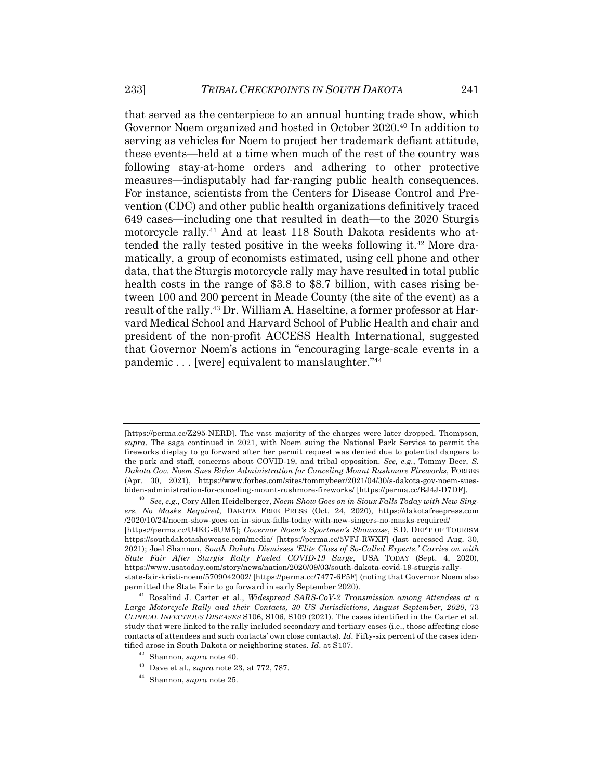that served as the centerpiece to an annual hunting trade show, which Governor Noem organized and hosted in October 2020.40 In addition to serving as vehicles for Noem to project her trademark defiant attitude, these events—held at a time when much of the rest of the country was following stay-at-home orders and adhering to other protective measures—indisputably had far-ranging public health consequences. For instance, scientists from the Centers for Disease Control and Prevention (CDC) and other public health organizations definitively traced 649 cases—including one that resulted in death—to the 2020 Sturgis motorcycle rally.41 And at least 118 South Dakota residents who attended the rally tested positive in the weeks following it.42 More dramatically, a group of economists estimated, using cell phone and other data, that the Sturgis motorcycle rally may have resulted in total public health costs in the range of \$3.8 to \$8.7 billion, with cases rising between 100 and 200 percent in Meade County (the site of the event) as a result of the rally.43 Dr. William A. Haseltine, a former professor at Harvard Medical School and Harvard School of Public Health and chair and president of the non-profit ACCESS Health International, suggested that Governor Noem's actions in "encouraging large-scale events in a pandemic . . . [were] equivalent to manslaughter."44

<sup>[</sup>https://perma.cc/Z295-NERD]. The vast majority of the charges were later dropped. Thompson, *supra*. The saga continued in 2021, with Noem suing the National Park Service to permit the fireworks display to go forward after her permit request was denied due to potential dangers to the park and staff, concerns about COVID-19, and tribal opposition. *See, e.g.*, Tommy Beer, *S. Dakota Gov. Noem Sues Biden Administration for Canceling Mount Rushmore Fireworks*, FORBES (Apr. 30, 2021), https://www.forbes.com/sites/tommybeer/2021/04/30/s-dakota-gov-noem-suesbiden-administration-for-canceling-mount-rushmore-fireworks/ [https://perma.cc/BJ4J-D7DF].

<sup>40</sup> *See, e.g.*, Cory Allen Heidelberger, *Noem Show Goes on in Sioux Falls Today with New Singers, No Masks Required*, DAKOTA FREE PRESS (Oct. 24, 2020), https://dakotafreepress.com /2020/10/24/noem-show-goes-on-in-sioux-falls-today-with-new-singers-no-masks-required/ [https://perma.cc/U4KG-6UM5]; *Governor Noem's Sportmen's Showcase*, S.D. DEP'T OF TOURISM https://southdakotashowcase.com/media/ [https://perma.cc/5VFJ-RWXF] (last accessed Aug. 30, 2021); Joel Shannon, *South Dakota Dismisses 'Elite Class of So-Called Experts,' Carries on with State Fair After Sturgis Rally Fueled COVID-19 Surge*, USA TODAY (Sept. 4, 2020), https://www.usatoday.com/story/news/nation/2020/09/03/south-dakota-covid-19-sturgis-rallystate-fair-kristi-noem/5709042002/ [https://perma.cc/7477-6P5F] (noting that Governor Noem also permitted the State Fair to go forward in early September 2020).

<sup>41</sup> Rosalind J. Carter et al., *Widespread SARS-CoV-2 Transmission among Attendees at a Large Motorcycle Rally and their Contacts, 30 US Jurisdictions, August–September, 2020*, 73 *CLINICAL INFECTIOUS DISEASES* S106, S106, S109 (2021)*.* The cases identified in the Carter et al. study that were linked to the rally included secondary and tertiary cases (i.e., those affecting close contacts of attendees and such contacts' own close contacts). *Id*. Fifty-six percent of the cases identified arose in South Dakota or neighboring states. *Id*. at S107.

<sup>42</sup> Shannon, *supra* note 40.

<sup>43</sup> Dave et al., *supra* note 23, at 772, 787.

<sup>44</sup> Shannon, *supra* note 25.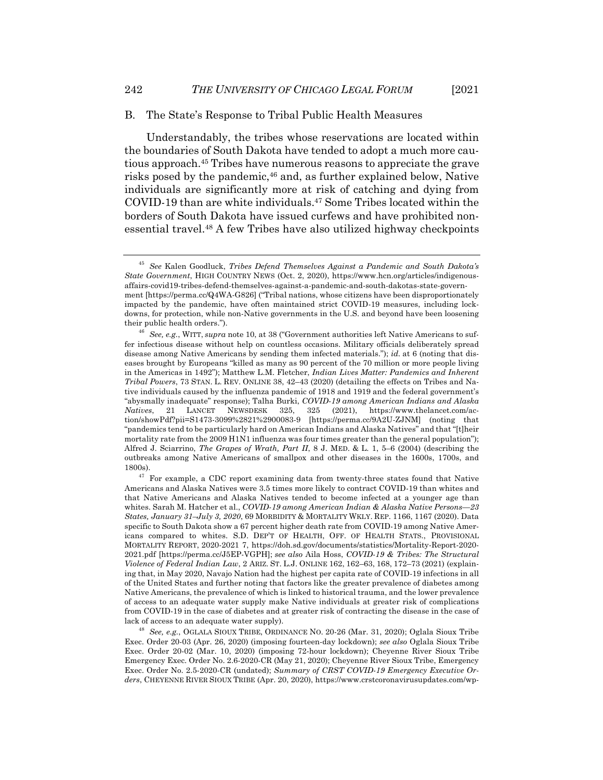#### B. The State's Response to Tribal Public Health Measures

Understandably, the tribes whose reservations are located within the boundaries of South Dakota have tended to adopt a much more cautious approach.45 Tribes have numerous reasons to appreciate the grave risks posed by the pandemic,46 and, as further explained below, Native individuals are significantly more at risk of catching and dying from COVID-19 than are white individuals.47 Some Tribes located within the borders of South Dakota have issued curfews and have prohibited nonessential travel.48 A few Tribes have also utilized highway checkpoints

<sup>45</sup> *See* Kalen Goodluck, *Tribes Defend Themselves Against a Pandemic and South Dakota's State Government*, HIGH COUNTRY NEWS (Oct. 2, 2020), https://www.hcn.org/articles/indigenousaffairs-covid19-tribes-defend-themselves-against-a-pandemic-and-south-dakotas-state-government [https://perma.cc/Q4WA-G826] ("Tribal nations, whose citizens have been disproportionately impacted by the pandemic, have often maintained strict COVID-19 measures, including lockdowns, for protection, while non-Native governments in the U.S. and beyond have been loosening their public health orders.").

<sup>46</sup> *See, e.g.*, WITT, *supra* note 10, at 38 ("Government authorities left Native Americans to suffer infectious disease without help on countless occasions. Military officials deliberately spread disease among Native Americans by sending them infected materials."); *id.* at 6 (noting that diseases brought by Europeans "killed as many as 90 percent of the 70 million or more people living in the Americas in 1492"); Matthew L.M. Fletcher, *Indian Lives Matter: Pandemics and Inherent Tribal Powers*, 73 STAN. L. REV. ONLINE 38, 42–43 (2020) (detailing the effects on Tribes and Native individuals caused by the influenza pandemic of 1918 and 1919 and the federal government's "abysmally inadequate" response); Talha Burki, *COVID-19 among American Indians and Alaska Natives*, 21 LANCET NEWSDESK 325, 325 (2021), https://www.thelancet.com/action/showPdf?pii=S1473-3099%2821%2900083-9 [https://perma.cc/9A2U-ZJNM] (noting that "pandemics tend to be particularly hard on American Indians and Alaska Natives" and that "[t]heir mortality rate from the 2009 H1N1 influenza was four times greater than the general population"); Alfred J. Sciarrino, *The Grapes of Wrath, Part II*, 8 J. MED. & L. 1, 5–6 (2004) (describing the outbreaks among Native Americans of smallpox and other diseases in the 1600s, 1700s, and 1800s).

 $47$  For example, a CDC report examining data from twenty-three states found that Native Americans and Alaska Natives were 3.5 times more likely to contract COVID-19 than whites and that Native Americans and Alaska Natives tended to become infected at a younger age than whites. Sarah M. Hatcher et al., *COVID-19 among American Indian & Alaska Native Persons—23 States, January 31–July 3, 2020*, 69 MORBIDITY & MORTALITY WKLY. REP. 1166, 1167 (2020). Data specific to South Dakota show a 67 percent higher death rate from COVID-19 among Native Americans compared to whites. S.D. DEP'T OF HEALTH, OFF. OF HEALTH STATS., PROVISIONAL MORTALITY REPORT, 2020-2021 7, https://doh.sd.gov/documents/statistics/Mortality-Report-2020- 2021.pdf [https://perma.cc/J5EP-VGPH]; *see also* Aila Hoss, *COVID-19 & Tribes: The Structural Violence of Federal Indian Law*, 2 ARIZ. ST. L.J. ONLINE 162, 162–63, 168, 172–73 (2021) (explaining that, in May 2020, Navajo Nation had the highest per capita rate of COVID-19 infections in all of the United States and further noting that factors like the greater prevalence of diabetes among Native Americans, the prevalence of which is linked to historical trauma, and the lower prevalence of access to an adequate water supply make Native individuals at greater risk of complications from COVID-19 in the case of diabetes and at greater risk of contracting the disease in the case of lack of access to an adequate water supply).

<sup>48</sup> *See, e.g.*, OGLALA SIOUX TRIBE, ORDINANCE NO. 20-26 (Mar. 31, 2020); Oglala Sioux Tribe Exec. Order 20-03 (Apr. 26, 2020) (imposing fourteen-day lockdown); *see also* Oglala Sioux Tribe Exec. Order 20-02 (Mar. 10, 2020) (imposing 72-hour lockdown); Cheyenne River Sioux Tribe Emergency Exec. Order No. 2.6-2020-CR (May 21, 2020); Cheyenne River Sioux Tribe, Emergency Exec. Order No. 2.5-2020-CR (undated); *Summary of CRST COVID-19 Emergency Executive Orders*, CHEYENNE RIVER SIOUX TRIBE (Apr. 20, 2020), https://www.crstcoronavirusupdates.com/wp-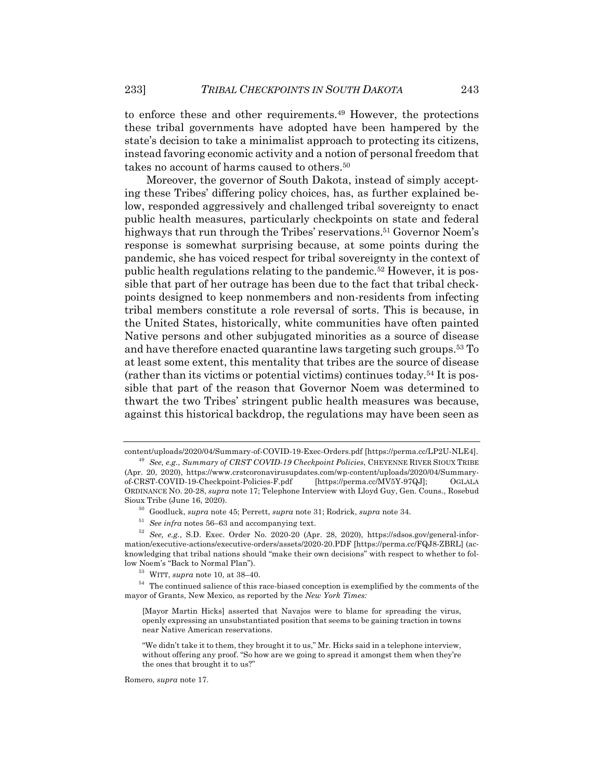to enforce these and other requirements.49 However, the protections these tribal governments have adopted have been hampered by the state's decision to take a minimalist approach to protecting its citizens, instead favoring economic activity and a notion of personal freedom that takes no account of harms caused to others.<sup>50</sup>

Moreover, the governor of South Dakota, instead of simply accepting these Tribes' differing policy choices, has, as further explained below, responded aggressively and challenged tribal sovereignty to enact public health measures, particularly checkpoints on state and federal highways that run through the Tribes' reservations.<sup>51</sup> Governor Noem's response is somewhat surprising because, at some points during the pandemic, she has voiced respect for tribal sovereignty in the context of public health regulations relating to the pandemic.52 However, it is possible that part of her outrage has been due to the fact that tribal checkpoints designed to keep nonmembers and non-residents from infecting tribal members constitute a role reversal of sorts. This is because, in the United States, historically, white communities have often painted Native persons and other subjugated minorities as a source of disease and have therefore enacted quarantine laws targeting such groups.53 To at least some extent, this mentality that tribes are the source of disease (rather than its victims or potential victims) continues today.54 It is possible that part of the reason that Governor Noem was determined to thwart the two Tribes' stringent public health measures was because, against this historical backdrop, the regulations may have been seen as

<sup>54</sup> The continued salience of this race-biased conception is exemplified by the comments of the mayor of Grants, New Mexico, as reported by the *New York Times:*

Romero, *supra* note 17.

content/uploads/2020/04/Summary-of-COVID-19-Exec-Orders.pdf [https://perma.cc/LP2U-NLE4]. <sup>49</sup> *See, e.g.*, *Summary of CRST COVID-19 Checkpoint Policies*, CHEYENNE RIVER SIOUX TRIBE

<sup>(</sup>Apr. 20, 2020), https://www.crstcoronavirusupdates.com/wp-content/uploads/2020/04/Summaryof-CRST-COVID-19-Checkpoint-Policies-F.pdf [https://perma.cc/MV5Y-97QJ]; OGLALA ORDINANCE NO. 20-28, *supra* note 17; Telephone Interview with Lloyd Guy, Gen. Couns., Rosebud Sioux Tribe (June 16, 2020).

<sup>50</sup> Goodluck, *supra* note 45; Perrett, *supra* note 31; Rodrick, *supra* note 34.

<sup>51</sup> *See infra* notes 56–63 and accompanying text.

<sup>52</sup> *See, e.g.*, S.D. Exec. Order No. 2020-20 (Apr. 28, 2020), https://sdsos.gov/general-information/executive-actions/executive-orders/assets/2020-20.PDF [https://perma.cc/FQJ8-ZBRL] (acknowledging that tribal nations should "make their own decisions" with respect to whether to follow Noem's "Back to Normal Plan").

<sup>53</sup> WITT, *supra* note 10, at 38–40.

<sup>[</sup>Mayor Martin Hicks] asserted that Navajos were to blame for spreading the virus, openly expressing an unsubstantiated position that seems to be gaining traction in towns near Native American reservations.

<sup>&</sup>quot;We didn't take it to them, they brought it to us," Mr. Hicks said in a telephone interview, without offering any proof. "So how are we going to spread it amongst them when they're the ones that brought it to us?"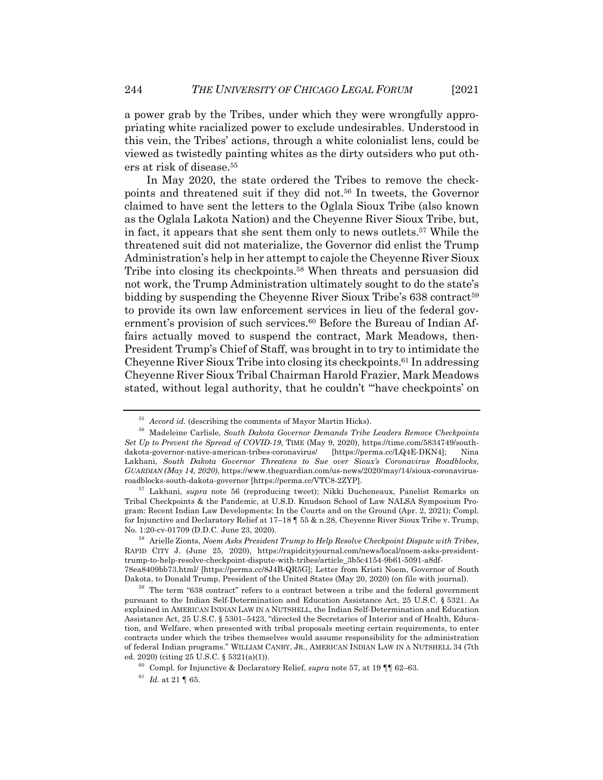a power grab by the Tribes, under which they were wrongfully appropriating white racialized power to exclude undesirables. Understood in this vein, the Tribes' actions, through a white colonialist lens, could be viewed as twistedly painting whites as the dirty outsiders who put others at risk of disease.55

In May 2020, the state ordered the Tribes to remove the checkpoints and threatened suit if they did not.56 In tweets, the Governor claimed to have sent the letters to the Oglala Sioux Tribe (also known as the Oglala Lakota Nation) and the Cheyenne River Sioux Tribe, but, in fact, it appears that she sent them only to news outlets.57 While the threatened suit did not materialize, the Governor did enlist the Trump Administration's help in her attempt to cajole the Cheyenne River Sioux Tribe into closing its checkpoints.58 When threats and persuasion did not work, the Trump Administration ultimately sought to do the state's bidding by suspending the Cheyenne River Sioux Tribe's 638 contract<sup>59</sup> to provide its own law enforcement services in lieu of the federal government's provision of such services.<sup>60</sup> Before the Bureau of Indian Affairs actually moved to suspend the contract, Mark Meadows, then-President Trump's Chief of Staff, was brought in to try to intimidate the Cheyenne River Sioux Tribe into closing its checkpoints.61 In addressing Cheyenne River Sioux Tribal Chairman Harold Frazier, Mark Meadows stated, without legal authority, that he couldn't "'have checkpoints' on

<sup>55</sup> *Accord id.* (describing the comments of Mayor Martin Hicks).

<sup>56</sup> Madeleine Carlisle, *South Dakota Governor Demands Tribe Leaders Remove Checkpoints Set Up to Prevent the Spread of COVID-19*, TIME (May 9, 2020), https://time.com/5834749/southdakota-governor-native-american-tribes-coronavirus/ [https://perma.cc/LQ4E-DKN4]; Nina Lakhani, *South Dakota Governor Threatens to Sue over Sioux's Coronavirus Roadblocks, GUARDIAN (May 14, 2020)*, https://www.theguardian.com/us-news/2020/may/14/sioux-coronavirusroadblocks-south-dakota-governor [https://perma.cc/VTC8-2ZYP]*.*

<sup>57</sup> Lakhani, *supra* note 56 (reproducing tweet); Nikki Ducheneaux, Panelist Remarks on Tribal Checkpoints & the Pandemic, at U.S.D. Knudson School of Law NALSA Symposium Program: Recent Indian Law Developments: In the Courts and on the Ground (Apr. 2, 2021); Compl. for Injunctive and Declaratory Relief at 17–18 ¶ 55 & n.28, Cheyenne River Sioux Tribe v. Trump, No. 1:20-cv-01709 (D.D.C. June 23, 2020).

<sup>58</sup> Arielle Zionts, *Noem Asks President Trump to Help Resolve Checkpoint Dispute with Tribes*, RAPID CITY J. (June 25, 2020), https://rapidcityjournal.com/news/local/noem-asks-presidenttrump-to-help-resolve-checkpoint-dispute-with-tribes/article\_3b5c4154-9b61-5091-a8df-78ea8409bb73.html/ [https://perma.cc/8J4B-QR5G]; Letter from Kristi Noem, Governor of South Dakota, to Donald Trump, President of the United States (May 20, 2020) (on file with journal).

<sup>59</sup> The term "638 contract" refers to a contract between a tribe and the federal government pursuant to the Indian Self-Determination and Education Assistance Act, 25 U.S.C. § 5321. As explained in AMERICAN INDIAN LAW IN A NUTSHELL, the Indian Self-Determination and Education Assistance Act, 25 U.S.C. § 5301–5423, "directed the Secretaries of Interior and of Health, Education, and Welfare, when presented with tribal proposals meeting certain requirements, to enter contracts under which the tribes themselves would assume responsibility for the administration of federal Indian programs." WILLIAM CANBY, JR., AMERICAN INDIAN LAW IN A NUTSHELL 34 (7th ed. 2020) (citing 25 U.S.C. § 5321(a)(1)).

<sup>60</sup> Compl. for Injunctive & Declaratory Relief, *supra* note 57, at 19 ¶¶ 62–63.

 $61$  *Id.* at 21 | 65.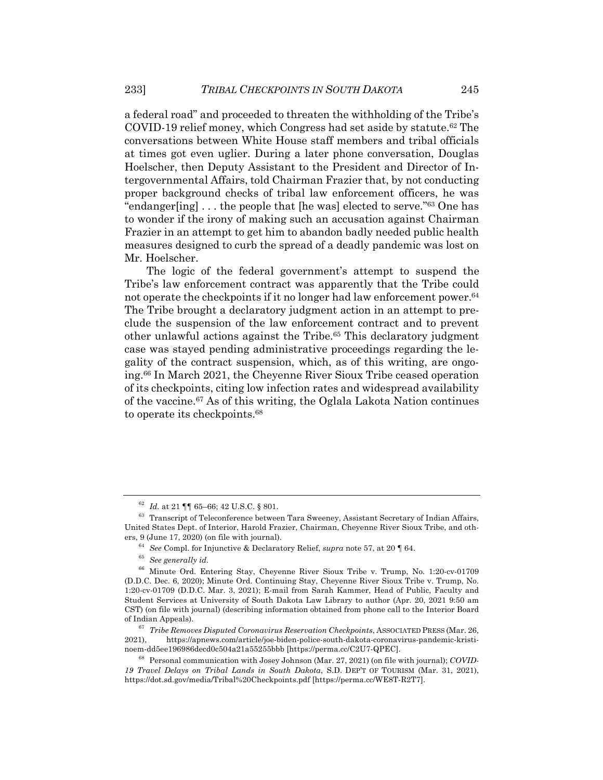a federal road" and proceeded to threaten the withholding of the Tribe's COVID-19 relief money, which Congress had set aside by statute.62 The conversations between White House staff members and tribal officials at times got even uglier. During a later phone conversation, Douglas Hoelscher, then Deputy Assistant to the President and Director of Intergovernmental Affairs, told Chairman Frazier that, by not conducting proper background checks of tribal law enforcement officers, he was "endanger[ing] . . . the people that [he was] elected to serve."63 One has to wonder if the irony of making such an accusation against Chairman Frazier in an attempt to get him to abandon badly needed public health measures designed to curb the spread of a deadly pandemic was lost on Mr. Hoelscher.

The logic of the federal government's attempt to suspend the Tribe's law enforcement contract was apparently that the Tribe could not operate the checkpoints if it no longer had law enforcement power.<sup>64</sup> The Tribe brought a declaratory judgment action in an attempt to preclude the suspension of the law enforcement contract and to prevent other unlawful actions against the Tribe.65 This declaratory judgment case was stayed pending administrative proceedings regarding the legality of the contract suspension, which, as of this writing, are ongoing.66 In March 2021, the Cheyenne River Sioux Tribe ceased operation of its checkpoints, citing low infection rates and widespread availability of the vaccine.67 As of this writing, the Oglala Lakota Nation continues to operate its checkpoints.68

<sup>64</sup> *See* Compl. for Injunctive & Declaratory Relief, *supra* note 57, at 20 ¶ 64.

<sup>62</sup> *Id.* at 21 ¶¶ 65–66; 42 U.S.C. § 801.

<sup>&</sup>lt;sup>63</sup> Transcript of Teleconference between Tara Sweeney, Assistant Secretary of Indian Affairs, United States Dept. of Interior, Harold Frazier, Chairman, Cheyenne River Sioux Tribe, and others, 9 (June 17, 2020) (on file with journal).

<sup>65</sup> *See generally id.*

<sup>66</sup> Minute Ord. Entering Stay, Cheyenne River Sioux Tribe v. Trump, No. 1:20-cv-01709 (D.D.C. Dec. 6, 2020); Minute Ord. Continuing Stay, Cheyenne River Sioux Tribe v. Trump, No. 1:20-cv-01709 (D.D.C. Mar. 3, 2021); E-mail from Sarah Kammer, Head of Public, Faculty and Student Services at University of South Dakota Law Library to author (Apr. 20, 2021 9:50 am CST) (on file with journal) (describing information obtained from phone call to the Interior Board of Indian Appeals).

<sup>67</sup> *Tribe Removes Disputed Coronavirus Reservation Checkpoints*, ASSOCIATED PRESS (Mar. 26, 2021), https://apnews.com/article/joe-biden-police-south-dakota-coronavirus-pandemic-kristinoem-dd5ee196986decd0c504a21a55255bbb [https://perma.cc/C2U7-QPEC].

<sup>68</sup> Personal communication with Josey Johnson (Mar. 27, 2021) (on file with journal); *COVID-19 Travel Delays on Tribal Lands in South Dakota*, S.D. DEP'T OF TOURISM (Mar. 31, 2021), https://dot.sd.gov/media/Tribal%20Checkpoints.pdf [https://perma.cc/WE8T-R2T7].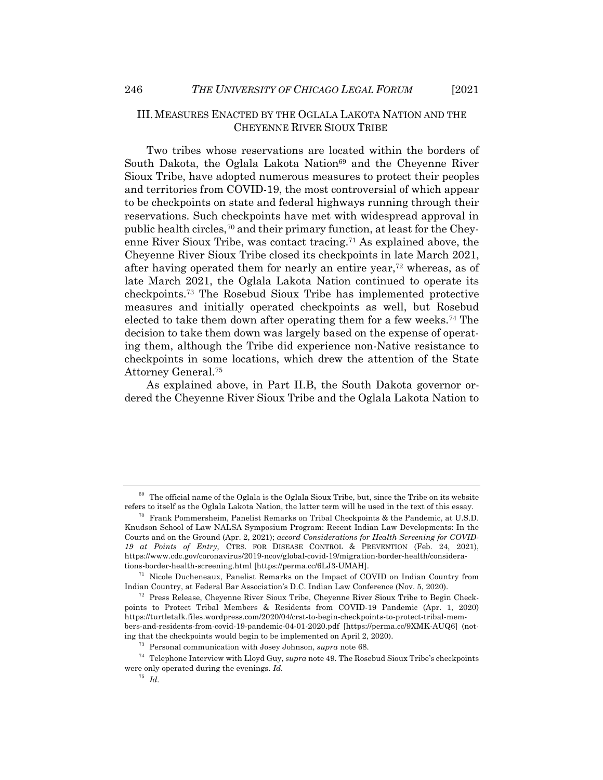III.MEASURES ENACTED BY THE OGLALA LAKOTA NATION AND THE CHEYENNE RIVER SIOUX TRIBE

Two tribes whose reservations are located within the borders of South Dakota, the Oglala Lakota Nation<sup>69</sup> and the Cheyenne River Sioux Tribe, have adopted numerous measures to protect their peoples and territories from COVID-19, the most controversial of which appear to be checkpoints on state and federal highways running through their reservations. Such checkpoints have met with widespread approval in public health circles,70 and their primary function, at least for the Cheyenne River Sioux Tribe, was contact tracing.71 As explained above, the Cheyenne River Sioux Tribe closed its checkpoints in late March 2021, after having operated them for nearly an entire year,72 whereas, as of late March 2021, the Oglala Lakota Nation continued to operate its checkpoints.73 The Rosebud Sioux Tribe has implemented protective measures and initially operated checkpoints as well, but Rosebud elected to take them down after operating them for a few weeks.74 The decision to take them down was largely based on the expense of operating them, although the Tribe did experience non-Native resistance to checkpoints in some locations, which drew the attention of the State Attorney General.75

As explained above, in Part II.B, the South Dakota governor ordered the Cheyenne River Sioux Tribe and the Oglala Lakota Nation to

 $69$  The official name of the Oglala is the Oglala Sioux Tribe, but, since the Tribe on its website refers to itself as the Oglala Lakota Nation, the latter term will be used in the text of this essay.

<sup>&</sup>lt;sup>70</sup> Frank Pommersheim, Panelist Remarks on Tribal Checkpoints & the Pandemic, at U.S.D. Knudson School of Law NALSA Symposium Program: Recent Indian Law Developments: In the Courts and on the Ground (Apr. 2, 2021); *accord Considerations for Health Screening for COVID-19 at Points of Entry*, CTRS. FOR DISEASE CONTROL & PREVENTION (Feb. 24, 2021), https://www.cdc.gov/coronavirus/2019-ncov/global-covid-19/migration-border-health/considerations-border-health-screening.html [https://perma.cc/6LJ3-UMAH].

<sup>71</sup> Nicole Ducheneaux, Panelist Remarks on the Impact of COVID on Indian Country from Indian Country, at Federal Bar Association's D.C. Indian Law Conference (Nov. 5, 2020).

<sup>72</sup> Press Release, Cheyenne River Sioux Tribe, Cheyenne River Sioux Tribe to Begin Checkpoints to Protect Tribal Members & Residents from COVID-19 Pandemic (Apr. 1, 2020) https://turtletalk.files.wordpress.com/2020/04/crst-to-begin-checkpoints-to-protect-tribal-members-and-residents-from-covid-19-pandemic-04-01-2020.pdf [https://perma.cc/9XMK-AUQ6] (noting that the checkpoints would begin to be implemented on April 2, 2020).

<sup>73</sup> Personal communication with Josey Johnson, *supra* note 68.

<sup>74</sup> Telephone Interview with Lloyd Guy, *supra* note 49. The Rosebud Sioux Tribe's checkpoints were only operated during the evenings. *Id.*

<sup>75</sup> *Id.*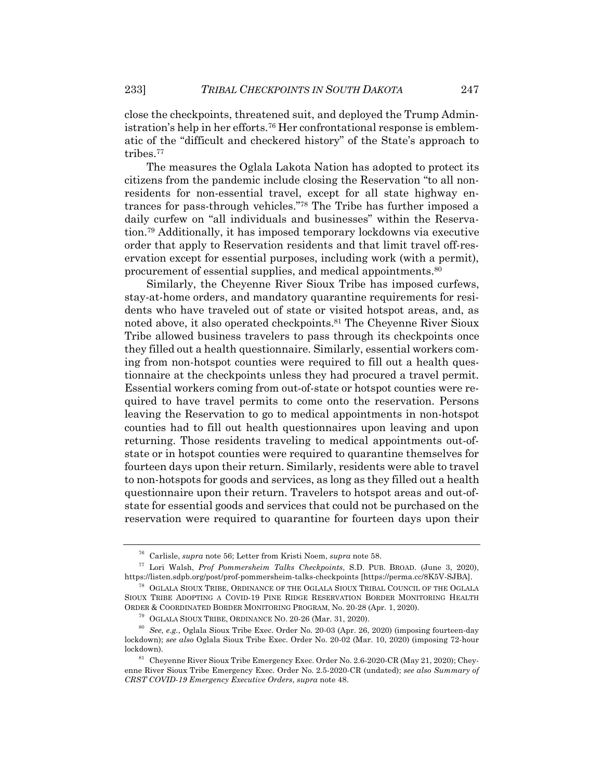close the checkpoints, threatened suit, and deployed the Trump Administration's help in her efforts.<sup>76</sup> Her confrontational response is emblematic of the "difficult and checkered history" of the State's approach to tribes.77

The measures the Oglala Lakota Nation has adopted to protect its citizens from the pandemic include closing the Reservation "to all nonresidents for non-essential travel, except for all state highway entrances for pass-through vehicles."78 The Tribe has further imposed a daily curfew on "all individuals and businesses" within the Reservation.79 Additionally, it has imposed temporary lockdowns via executive order that apply to Reservation residents and that limit travel off-reservation except for essential purposes, including work (with a permit), procurement of essential supplies, and medical appointments.<sup>80</sup>

Similarly, the Cheyenne River Sioux Tribe has imposed curfews, stay-at-home orders, and mandatory quarantine requirements for residents who have traveled out of state or visited hotspot areas, and, as noted above, it also operated checkpoints.81 The Cheyenne River Sioux Tribe allowed business travelers to pass through its checkpoints once they filled out a health questionnaire. Similarly, essential workers coming from non-hotspot counties were required to fill out a health questionnaire at the checkpoints unless they had procured a travel permit. Essential workers coming from out-of-state or hotspot counties were required to have travel permits to come onto the reservation. Persons leaving the Reservation to go to medical appointments in non-hotspot counties had to fill out health questionnaires upon leaving and upon returning. Those residents traveling to medical appointments out-ofstate or in hotspot counties were required to quarantine themselves for fourteen days upon their return. Similarly, residents were able to travel to non-hotspots for goods and services, as long as they filled out a health questionnaire upon their return. Travelers to hotspot areas and out-ofstate for essential goods and services that could not be purchased on the reservation were required to quarantine for fourteen days upon their

<sup>76</sup> Carlisle, *supra* note 56; Letter from Kristi Noem, *supra* note 58.

<sup>77</sup> Lori Walsh, *Prof Pommersheim Talks Checkpoints*, S.D. PUB. BROAD. (June 3, 2020), https://listen.sdpb.org/post/prof-pommersheim-talks-checkpoints [https://perma.cc/8K5V-SJBA].

<sup>78</sup> OGLALA SIOUX TRIBE, ORDINANCE OF THE OGLALA SIOUX TRIBAL COUNCIL OF THE OGLALA SIOUX TRIBE ADOPTING A COVID-19 PINE RIDGE RESERVATION BORDER MONITORING HEALTH ORDER & COORDINATED BORDER MONITORING PROGRAM, No. 20-28 (Apr. 1, 2020).

<sup>79</sup> OGLALA SIOUX TRIBE, ORDINANCE NO. 20-26 (Mar. 31, 2020).

<sup>80</sup> *See, e.g.*, Oglala Sioux Tribe Exec. Order No. 20-03 (Apr. 26, 2020) (imposing fourteen-day lockdown); *see also* Oglala Sioux Tribe Exec. Order No. 20-02 (Mar. 10, 2020) (imposing 72-hour lockdown).

<sup>&</sup>lt;sup>81</sup> Cheyenne River Sioux Tribe Emergency Exec. Order No. 2.6-2020-CR (May 21, 2020); Cheyenne River Sioux Tribe Emergency Exec. Order No. 2.5-2020-CR (undated); *see also Summary of CRST COVID-19 Emergency Executive Orders*, *supra* note 48.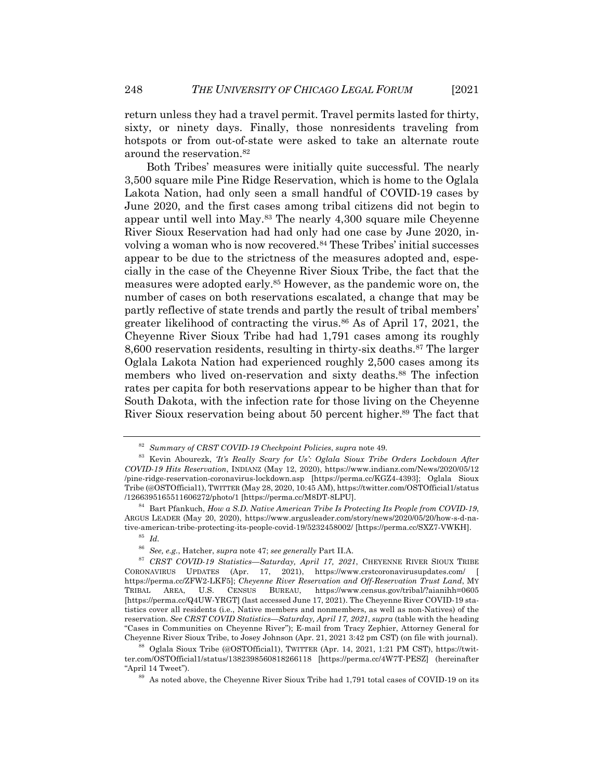return unless they had a travel permit. Travel permits lasted for thirty, sixty, or ninety days. Finally, those nonresidents traveling from hotspots or from out-of-state were asked to take an alternate route around the reservation.82

Both Tribes' measures were initially quite successful. The nearly 3,500 square mile Pine Ridge Reservation, which is home to the Oglala Lakota Nation, had only seen a small handful of COVID-19 cases by June 2020, and the first cases among tribal citizens did not begin to appear until well into May.83 The nearly 4,300 square mile Cheyenne River Sioux Reservation had had only had one case by June 2020, involving a woman who is now recovered.84 These Tribes' initial successes appear to be due to the strictness of the measures adopted and, especially in the case of the Cheyenne River Sioux Tribe, the fact that the measures were adopted early.85 However, as the pandemic wore on, the number of cases on both reservations escalated, a change that may be partly reflective of state trends and partly the result of tribal members' greater likelihood of contracting the virus.<sup>86</sup> As of April 17, 2021, the Cheyenne River Sioux Tribe had had 1,791 cases among its roughly 8,600 reservation residents, resulting in thirty-six deaths.87 The larger Oglala Lakota Nation had experienced roughly 2,500 cases among its members who lived on-reservation and sixty deaths.88 The infection rates per capita for both reservations appear to be higher than that for South Dakota, with the infection rate for those living on the Cheyenne River Sioux reservation being about 50 percent higher.<sup>89</sup> The fact that

<sup>82</sup> *Summary of CRST COVID-19 Checkpoint Policies*, *supra* note 49.

<sup>83</sup> Kevin Abourezk, *'It's Really Scary for Us': Oglala Sioux Tribe Orders Lockdown After COVID-19 Hits Reservation*, INDIANZ (May 12, 2020), https://www.indianz.com/News/2020/05/12 /pine-ridge-reservation-coronavirus-lockdown.asp [https://perma.cc/KGZ4-4393]; Oglala Sioux Tribe (@OSTOfficial1), TWITTER (May 28, 2020, 10:45 AM), https://twitter.com/OSTOfficial1/status /1266395165511606272/photo/1 [https://perma.cc/M8DT-8LPU].

<sup>84</sup> Bart Pfankuch, *How a S.D. Native American Tribe Is Protecting Its People from COVID-19*, ARGUS LEADER (May 20, 2020), https://www.argusleader.com/story/news/2020/05/20/how-s-d-native-american-tribe-protecting-its-people-covid-19/5232458002/ [https://perma.cc/SXZ7-VWKH].

<sup>85</sup> *Id.*

<sup>86</sup> *See, e.g.*, Hatcher, *supra* note 47; *see generally* Part II.A.

<sup>87</sup> *CRST COVID-19 Statistics—Saturday, April 17, 2021*, CHEYENNE RIVER SIOUX TRIBE CORONAVIRUS UPDATES (Apr. 17, 2021), https://www.crstcoronavirusupdates.com/ [ https://perma.cc/ZFW2-LKF5]; *Cheyenne River Reservation and Off-Reservation Trust Land*, MY TRIBAL AREA, U.S. CENSUS BUREAU, https://www.census.gov/tribal/?aianihh=0605 [https://perma.cc/Q4UW-YRGT] (last accessed June 17, 2021). The Cheyenne River COVID-19 statistics cover all residents (i.e., Native members and nonmembers, as well as non-Natives) of the reservation. *See CRST COVID Statistics—Saturday, April 17, 2021*, *supra* (table with the heading "Cases in Communities on Cheyenne River"); E-mail from Tracy Zephier, Attorney General for Cheyenne River Sioux Tribe, to Josey Johnson (Apr. 21, 2021 3:42 pm CST) (on file with journal).

<sup>88</sup> Oglala Sioux Tribe (@OSTOfficial1), TWITTER (Apr. 14, 2021, 1:21 PM CST), https://twitter.com/OSTOfficial1/status/1382398560818266118 [https://perma.cc/4W7T-PESZ] (hereinafter "April 14 Tweet").

<sup>89</sup> As noted above, the Cheyenne River Sioux Tribe had 1,791 total cases of COVID-19 on its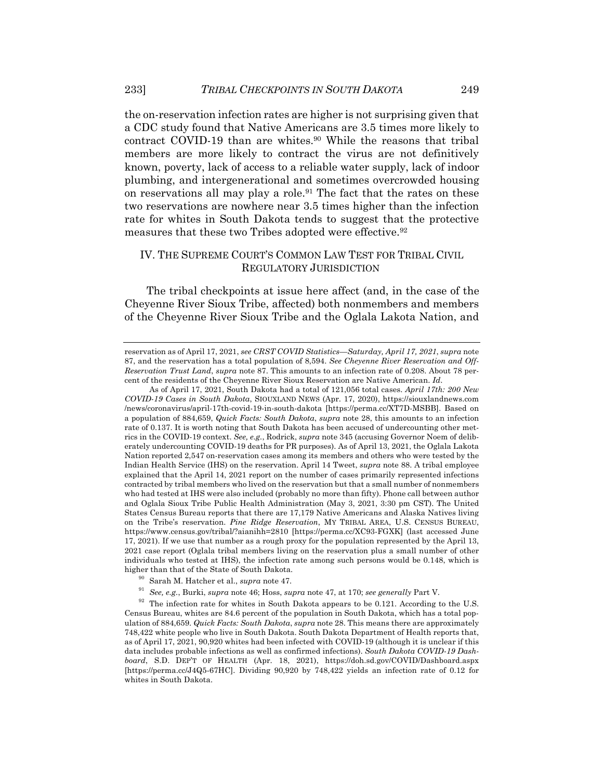the on-reservation infection rates are higher is not surprising given that a CDC study found that Native Americans are 3.5 times more likely to contract COVID-19 than are whites.<sup>90</sup> While the reasons that tribal members are more likely to contract the virus are not definitively known, poverty, lack of access to a reliable water supply, lack of indoor plumbing, and intergenerational and sometimes overcrowded housing on reservations all may play a role.91 The fact that the rates on these two reservations are nowhere near 3.5 times higher than the infection rate for whites in South Dakota tends to suggest that the protective measures that these two Tribes adopted were effective.<sup>92</sup>

# IV. THE SUPREME COURT'S COMMON LAW TEST FOR TRIBAL CIVIL REGULATORY JURISDICTION

The tribal checkpoints at issue here affect (and, in the case of the Cheyenne River Sioux Tribe, affected) both nonmembers and members of the Cheyenne River Sioux Tribe and the Oglala Lakota Nation, and

reservation as of April 17, 2021, *see CRST COVID Statistics—Saturday, April 17, 2021*, *supra* note 87, and the reservation has a total population of 8,594. *See Cheyenne River Reservation and Off-Reservation Trust Land*, *supra* note 87. This amounts to an infection rate of 0.208. About 78 percent of the residents of the Cheyenne River Sioux Reservation are Native American. *Id*.

As of April 17, 2021, South Dakota had a total of 121,056 total cases. *April 17th: 200 New COVID-19 Cases in South Dakota*, SIOUXLAND NEWS (Apr. 17, 2020), https://siouxlandnews.com /news/coronavirus/april-17th-covid-19-in-south-dakota [https://perma.cc/XT7D-MSBB]. Based on a population of 884,659, *Quick Facts: South Dakota*, *supra* note 28, this amounts to an infection rate of 0.137. It is worth noting that South Dakota has been accused of undercounting other metrics in the COVID-19 context. *See, e.g.*, Rodrick, *supra* note 345 (accusing Governor Noem of deliberately undercounting COVID-19 deaths for PR purposes). As of April 13, 2021, the Oglala Lakota Nation reported 2,547 on-reservation cases among its members and others who were tested by the Indian Health Service (IHS) on the reservation. April 14 Tweet, *supra* note 88. A tribal employee explained that the April 14, 2021 report on the number of cases primarily represented infections contracted by tribal members who lived on the reservation but that a small number of nonmembers who had tested at IHS were also included (probably no more than fifty). Phone call between author and Oglala Sioux Tribe Public Health Administration (May 3, 2021, 3:30 pm CST). The United States Census Bureau reports that there are 17,179 Native Americans and Alaska Natives living on the Tribe's reservation. *Pine Ridge Reservation*, MY TRIBAL AREA, U.S. CENSUS BUREAU, https://www.census.gov/tribal/?aianihh=2810 [https://perma.cc/XC93-FGXK] (last accessed June 17, 2021). If we use that number as a rough proxy for the population represented by the April 13, 2021 case report (Oglala tribal members living on the reservation plus a small number of other individuals who tested at IHS), the infection rate among such persons would be 0.148, which is higher than that of the State of South Dakota.

<sup>&</sup>lt;sup>90</sup> Sarah M. Hatcher et al., *supra* note 47.<br><sup>91</sup> See e.g. Burki, *supra* note 46: Hoss *su* 

<sup>91</sup> *See, e.g.*, Burki, *supra* note 46; Hoss, *supra* note 47, at 170; *see generally* Part V.

 $92$  The infection rate for whites in South Dakota appears to be 0.121. According to the U.S. Census Bureau, whites are 84.6 percent of the population in South Dakota, which has a total population of 884,659. *Quick Facts: South Dakota*, *supra* note 28. This means there are approximately 748,422 white people who live in South Dakota. South Dakota Department of Health reports that, as of April 17, 2021, 90,920 whites had been infected with COVID-19 (although it is unclear if this data includes probable infections as well as confirmed infections). *South Dakota COVID-19 Dashboard*, S.D. DEP'T OF HEALTH (Apr. 18, 2021), https://doh.sd.gov/COVID/Dashboard.aspx [https://perma.cc/J4Q5-67HC]. Dividing 90,920 by 748,422 yields an infection rate of 0.12 for whites in South Dakota.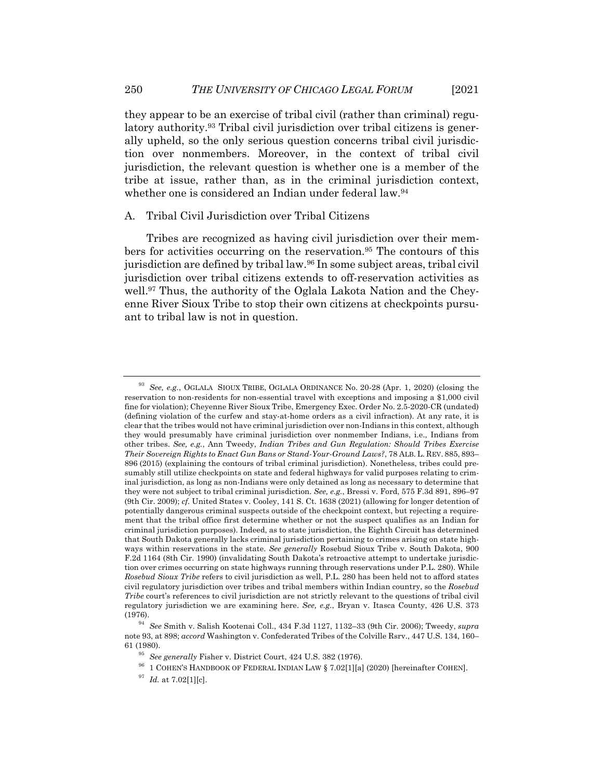they appear to be an exercise of tribal civil (rather than criminal) regulatory authority.93 Tribal civil jurisdiction over tribal citizens is generally upheld, so the only serious question concerns tribal civil jurisdiction over nonmembers. Moreover, in the context of tribal civil jurisdiction, the relevant question is whether one is a member of the tribe at issue, rather than, as in the criminal jurisdiction context, whether one is considered an Indian under federal law.<sup>94</sup>

#### A. Tribal Civil Jurisdiction over Tribal Citizens

Tribes are recognized as having civil jurisdiction over their members for activities occurring on the reservation.95 The contours of this jurisdiction are defined by tribal law.96 In some subject areas, tribal civil jurisdiction over tribal citizens extends to off-reservation activities as well.<sup>97</sup> Thus, the authority of the Oglala Lakota Nation and the Cheyenne River Sioux Tribe to stop their own citizens at checkpoints pursuant to tribal law is not in question.

<sup>93</sup> *See, e.g.*, OGLALA SIOUX TRIBE, OGLALA ORDINANCE No. 20-28 (Apr. 1, 2020) (closing the reservation to non-residents for non-essential travel with exceptions and imposing a \$1,000 civil fine for violation); Cheyenne River Sioux Tribe, Emergency Exec. Order No. 2.5-2020-CR (undated) (defining violation of the curfew and stay-at-home orders as a civil infraction). At any rate, it is clear that the tribes would not have criminal jurisdiction over non-Indians in this context, although they would presumably have criminal jurisdiction over nonmember Indians, i.e., Indians from other tribes. *See, e.g.*, Ann Tweedy, *Indian Tribes and Gun Regulation: Should Tribes Exercise Their Sovereign Rights to Enact Gun Bans or Stand-Your-Ground Laws?*, 78 ALB. L. REV. 885, 893– 896 (2015) (explaining the contours of tribal criminal jurisdiction). Nonetheless, tribes could presumably still utilize checkpoints on state and federal highways for valid purposes relating to criminal jurisdiction, as long as non-Indians were only detained as long as necessary to determine that they were not subject to tribal criminal jurisdiction. *See, e.g.*, Bressi v. Ford, 575 F.3d 891, 896–97 (9th Cir. 2009); *cf.* United States v. Cooley, 141 S. Ct. 1638 (2021) (allowing for longer detention of potentially dangerous criminal suspects outside of the checkpoint context, but rejecting a requirement that the tribal office first determine whether or not the suspect qualifies as an Indian for criminal jurisdiction purposes). Indeed, as to state jurisdiction, the Eighth Circuit has determined that South Dakota generally lacks criminal jurisdiction pertaining to crimes arising on state highways within reservations in the state. *See generally* Rosebud Sioux Tribe v. South Dakota, 900 F.2d 1164 (8th Cir. 1990) (invalidating South Dakota's retroactive attempt to undertake jurisdiction over crimes occurring on state highways running through reservations under P.L. 280). While *Rosebud Sioux Tribe* refers to civil jurisdiction as well, P.L. 280 has been held not to afford states civil regulatory jurisdiction over tribes and tribal members within Indian country, so the *Rosebud Tribe* court's references to civil jurisdiction are not strictly relevant to the questions of tribal civil regulatory jurisdiction we are examining here. *See, e.g.*, Bryan v. Itasca County, 426 U.S. 373 (1976).

<sup>94</sup> *See* Smith v. Salish Kootenai Coll., 434 F.3d 1127, 1132–33 (9th Cir. 2006); Tweedy, *supra* note 93, at 898; *accord* Washington v. Confederated Tribes of the Colville Rsrv., 447 U.S. 134, 160– 61 (1980).

<sup>95</sup> *See generally* Fisher v. District Court, 424 U.S. 382 (1976).

<sup>96</sup> 1 COHEN'S HANDBOOK OF FEDERAL INDIAN LAW § 7.02[1][a] (2020) [hereinafter COHEN].

<sup>97</sup> *Id.* at 7.02[1][c].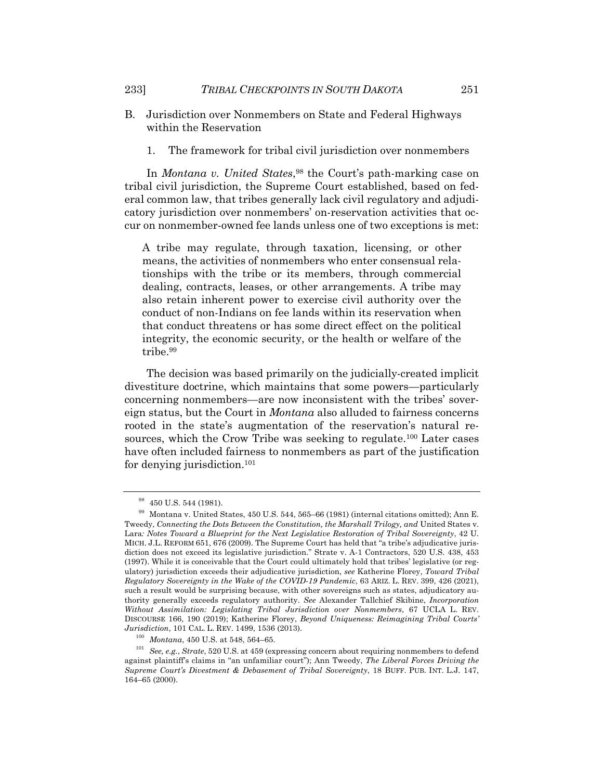- B. Jurisdiction over Nonmembers on State and Federal Highways within the Reservation
	- 1. The framework for tribal civil jurisdiction over nonmembers

In *Montana v. United States*,<sup>98</sup> the Court's path-marking case on tribal civil jurisdiction, the Supreme Court established, based on federal common law, that tribes generally lack civil regulatory and adjudicatory jurisdiction over nonmembers' on-reservation activities that occur on nonmember-owned fee lands unless one of two exceptions is met:

A tribe may regulate, through taxation, licensing, or other means, the activities of nonmembers who enter consensual relationships with the tribe or its members, through commercial dealing, contracts, leases, or other arrangements. A tribe may also retain inherent power to exercise civil authority over the conduct of non-Indians on fee lands within its reservation when that conduct threatens or has some direct effect on the political integrity, the economic security, or the health or welfare of the tribe.99

The decision was based primarily on the judicially-created implicit divestiture doctrine, which maintains that some powers—particularly concerning nonmembers—are now inconsistent with the tribes' sovereign status, but the Court in *Montana* also alluded to fairness concerns rooted in the state's augmentation of the reservation's natural resources, which the Crow Tribe was seeking to regulate.100 Later cases have often included fairness to nonmembers as part of the justification for denying jurisdiction.101

<sup>&</sup>lt;sup>98</sup> 450 U.S. 544 (1981).

<sup>99</sup> Montana v. United States, 450 U.S. 544, 565–66 (1981) (internal citations omitted); Ann E. Tweedy, *Connecting the Dots Between the Constitution, the Marshall Trilogy, and United States v.* Lara*: Notes Toward a Blueprint for the Next Legislative Restoration of Tribal Sovereignty*, 42 U. MICH. J.L. REFORM 651, 676 (2009). The Supreme Court has held that "a tribe's adjudicative jurisdiction does not exceed its legislative jurisdiction." Strate v. A-1 Contractors, 520 U.S. 438, 453 (1997). While it is conceivable that the Court could ultimately hold that tribes' legislative (or regulatory) jurisdiction exceeds their adjudicative jurisdiction, *see* Katherine Florey, *Toward Tribal Regulatory Sovereignty in the Wake of the COVID-19 Pandemic*, 63 ARIZ. L. REV. 399, 426 (2021), such a result would be surprising because, with other sovereigns such as states, adjudicatory authority generally exceeds regulatory authority. *See* Alexander Tallchief Skibine, *Incorporation Without Assimilation: Legislating Tribal Jurisdiction over Nonmembers*, 67 UCLA L. REV. DISCOURSE 166, 190 (2019); Katherine Florey, *Beyond Uniqueness: Reimagining Tribal Courts' Jurisdiction*, 101 CAL. L. REV. 1499, 1536 (2013).

<sup>100</sup> *Montana*, 450 U.S. at 548, 564–65.

<sup>101</sup> *See, e.g.*, *Strate*, 520 U.S. at 459 (expressing concern about requiring nonmembers to defend against plaintiff's claims in "an unfamiliar court"); Ann Tweedy, *The Liberal Forces Driving the Supreme Court's Divestment & Debasement of Tribal Sovereignty*, 18 BUFF. PUB. INT. L.J. 147, 164–65 (2000).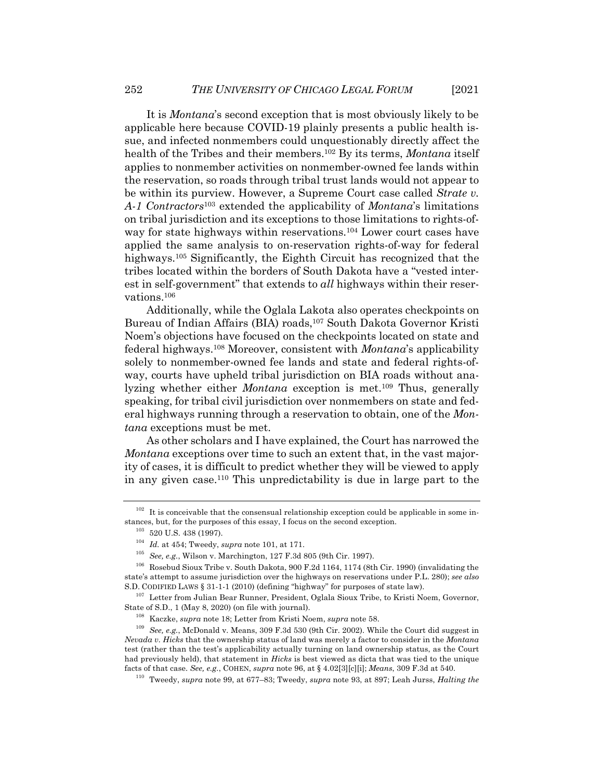It is *Montana*'s second exception that is most obviously likely to be applicable here because COVID-19 plainly presents a public health issue, and infected nonmembers could unquestionably directly affect the health of the Tribes and their members.102 By its terms, *Montana* itself applies to nonmember activities on nonmember-owned fee lands within the reservation, so roads through tribal trust lands would not appear to be within its purview. However, a Supreme Court case called *Strate v. A-1 Contractors*<sup>103</sup> extended the applicability of *Montana*'s limitations on tribal jurisdiction and its exceptions to those limitations to rights-ofway for state highways within reservations.<sup>104</sup> Lower court cases have applied the same analysis to on-reservation rights-of-way for federal highways.<sup>105</sup> Significantly, the Eighth Circuit has recognized that the tribes located within the borders of South Dakota have a "vested interest in self-government" that extends to *all* highways within their reservations.106

Additionally, while the Oglala Lakota also operates checkpoints on Bureau of Indian Affairs (BIA) roads,<sup>107</sup> South Dakota Governor Kristi Noem's objections have focused on the checkpoints located on state and federal highways.108 Moreover, consistent with *Montana*'s applicability solely to nonmember-owned fee lands and state and federal rights-ofway, courts have upheld tribal jurisdiction on BIA roads without analyzing whether either *Montana* exception is met.109 Thus, generally speaking, for tribal civil jurisdiction over nonmembers on state and federal highways running through a reservation to obtain, one of the *Montana* exceptions must be met.

As other scholars and I have explained, the Court has narrowed the *Montana* exceptions over time to such an extent that, in the vast majority of cases, it is difficult to predict whether they will be viewed to apply in any given case.110 This unpredictability is due in large part to the

 $102$  It is conceivable that the consensual relationship exception could be applicable in some instances, but, for the purposes of this essay, I focus on the second exception.

<sup>&</sup>lt;sup>103</sup> 520 U.S. 438 (1997).

<sup>104</sup> *Id.* at 454; Tweedy, *supra* note 101, at 171.

<sup>105</sup> *See, e.g.*, Wilson v. Marchington, 127 F.3d 805 (9th Cir. 1997).

<sup>106</sup> Rosebud Sioux Tribe v. South Dakota, 900 F.2d 1164, 1174 (8th Cir. 1990) (invalidating the state's attempt to assume jurisdiction over the highways on reservations under P.L. 280); *see also* S.D. CODIFIED LAWS § 31-1-1 (2010) (defining "highway" for purposes of state law).

<sup>&</sup>lt;sup>107</sup> Letter from Julian Bear Runner, President, Oglala Sioux Tribe, to Kristi Noem, Governor, State of S.D., 1 (May 8, 2020) (on file with journal).

<sup>108</sup> Kaczke, *supra* note 18; Letter from Kristi Noem, *supra* note 58.

<sup>109</sup> *See, e.g.*, McDonald v. Means, 309 F.3d 530 (9th Cir. 2002). While the Court did suggest in *Nevada v. Hicks* that the ownership status of land was merely a factor to consider in the *Montana* test (rather than the test's applicability actually turning on land ownership status, as the Court had previously held), that statement in *Hicks* is best viewed as dicta that was tied to the unique facts of that case. *See, e.g.*, COHEN, *supra* note 96, at § 4.02[3][c][i]; *Means*, 309 F.3d at 540.

<sup>110</sup> Tweedy, *supra* note 99, at 677–83; Tweedy, *supra* note 93, at 897; Leah Jurss, *Halting the*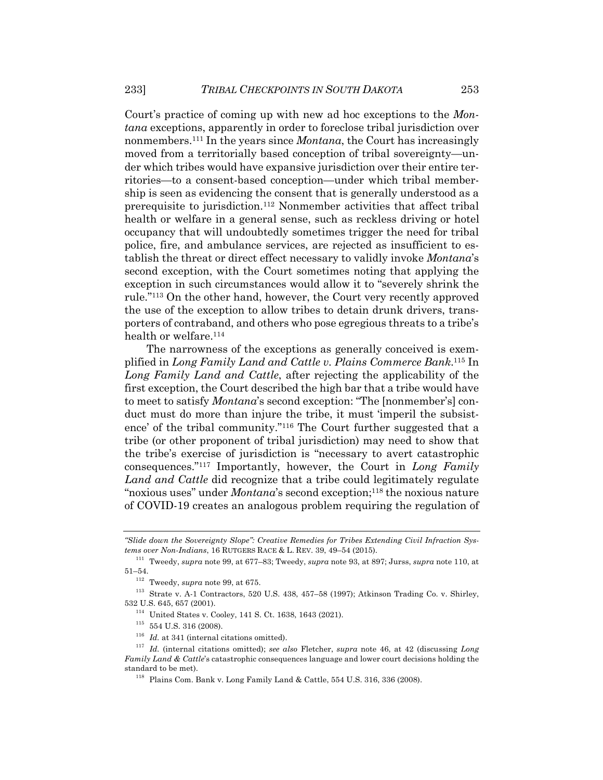Court's practice of coming up with new ad hoc exceptions to the *Montana* exceptions, apparently in order to foreclose tribal jurisdiction over nonmembers.111 In the years since *Montana*, the Court has increasingly moved from a territorially based conception of tribal sovereignty—under which tribes would have expansive jurisdiction over their entire territories—to a consent-based conception—under which tribal membership is seen as evidencing the consent that is generally understood as a prerequisite to jurisdiction. <sup>112</sup> Nonmember activities that affect tribal health or welfare in a general sense, such as reckless driving or hotel occupancy that will undoubtedly sometimes trigger the need for tribal police, fire, and ambulance services, are rejected as insufficient to establish the threat or direct effect necessary to validly invoke *Montana*'s second exception, with the Court sometimes noting that applying the exception in such circumstances would allow it to "severely shrink the rule."113 On the other hand, however, the Court very recently approved the use of the exception to allow tribes to detain drunk drivers, transporters of contraband, and others who pose egregious threats to a tribe's health or welfare.<sup>114</sup>

The narrowness of the exceptions as generally conceived is exemplified in *Long Family Land and Cattle v. Plains Commerce Bank*. <sup>115</sup> In *Long Family Land and Cattle*, after rejecting the applicability of the first exception, the Court described the high bar that a tribe would have to meet to satisfy *Montana*'s second exception: "The [nonmember's] conduct must do more than injure the tribe, it must 'imperil the subsistence' of the tribal community."116 The Court further suggested that a tribe (or other proponent of tribal jurisdiction) may need to show that the tribe's exercise of jurisdiction is "necessary to avert catastrophic consequences."117 Importantly, however, the Court in *Long Family Land and Cattle* did recognize that a tribe could legitimately regulate "noxious uses" under *Montana*'s second exception;<sup>118</sup> the noxious nature of COVID-19 creates an analogous problem requiring the regulation of

*<sup>&</sup>quot;Slide down the Sovereignty Slope": Creative Remedies for Tribes Extending Civil Infraction Systems over Non-Indians*, 16 RUTGERS RACE & L. REV. 39, 49–54 (2015).

<sup>111</sup> Tweedy, *supra* note 99, at 677–83; Tweedy, *supra* note 93, at 897; Jurss, *supra* note 110, at 51–54.

<sup>112</sup> Tweedy, *supra* note 99, at 675.

 $^{113}\,$  Strate v. A-1 Contractors, 520 U.S. 438, 457–58 (1997); Atkinson Trading Co. v. Shirley, 532 U.S. 645, 657 (2001).

<sup>114</sup> United States v. Cooley, 141 S. Ct. 1638, 1643 (2021).

 $^{\rm 115}$  554 U.S. 316 (2008).

<sup>&</sup>lt;sup>116</sup> *Id.* at 341 (internal citations omitted).

<sup>117</sup> *Id.* (internal citations omitted); *see also* Fletcher, *supra* note 46, at 42 (discussing *Long Family Land & Cattle*'s catastrophic consequences language and lower court decisions holding the standard to be met).

<sup>118</sup> Plains Com. Bank v. Long Family Land & Cattle, 554 U.S. 316, 336 (2008).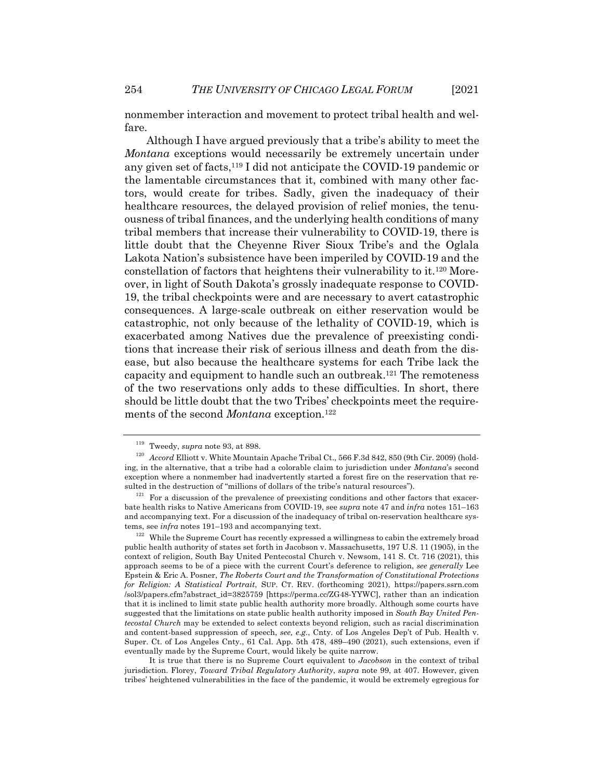nonmember interaction and movement to protect tribal health and welfare.

Although I have argued previously that a tribe's ability to meet the *Montana* exceptions would necessarily be extremely uncertain under any given set of facts,119 I did not anticipate the COVID-19 pandemic or the lamentable circumstances that it, combined with many other factors, would create for tribes. Sadly, given the inadequacy of their healthcare resources, the delayed provision of relief monies, the tenuousness of tribal finances, and the underlying health conditions of many tribal members that increase their vulnerability to COVID-19, there is little doubt that the Cheyenne River Sioux Tribe's and the Oglala Lakota Nation's subsistence have been imperiled by COVID-19 and the constellation of factors that heightens their vulnerability to it.120 Moreover, in light of South Dakota's grossly inadequate response to COVID-19, the tribal checkpoints were and are necessary to avert catastrophic consequences. A large-scale outbreak on either reservation would be catastrophic, not only because of the lethality of COVID-19, which is exacerbated among Natives due the prevalence of preexisting conditions that increase their risk of serious illness and death from the disease, but also because the healthcare systems for each Tribe lack the capacity and equipment to handle such an outbreak.121 The remoteness of the two reservations only adds to these difficulties. In short, there should be little doubt that the two Tribes' checkpoints meet the requirements of the second *Montana* exception.<sup>122</sup>

It is true that there is no Supreme Court equivalent to *Jacobson* in the context of tribal jurisdiction. Florey, *Toward Tribal Regulatory Authority*, *supra* note 99, at 407. However, given tribes' heightened vulnerabilities in the face of the pandemic, it would be extremely egregious for

<sup>119</sup> Tweedy, *supra* note 93, at 898.

<sup>&</sup>lt;sup>120</sup> *Accord* Elliott v. White Mountain Apache Tribal Ct., 566 F.3d 842, 850 (9th Cir. 2009) (holding, in the alternative, that a tribe had a colorable claim to jurisdiction under *Montana*'s second exception where a nonmember had inadvertently started a forest fire on the reservation that resulted in the destruction of "millions of dollars of the tribe's natural resources").

 $121$  For a discussion of the prevalence of preexisting conditions and other factors that exacerbate health risks to Native Americans from COVID-19, see *supra* note 47 and *infra* notes 151–163 and accompanying text. For a discussion of the inadequacy of tribal on-reservation healthcare systems, see *infra* notes 191–193 and accompanying text.

 $122$  While the Supreme Court has recently expressed a willingness to cabin the extremely broad public health authority of states set forth in Jacobson v. Massachusetts, 197 U.S. 11 (1905), in the context of religion, South Bay United Pentecostal Church v. Newsom, 141 S. Ct. 716 (2021), this approach seems to be of a piece with the current Court's deference to religion, *see generally* Lee Epstein & Eric A. Posner, *The Roberts Court and the Transformation of Constitutional Protections for Religion: A Statistical Portrait*, SUP. CT. REV. (forthcoming 2021), https://papers.ssrn.com /sol3/papers.cfm?abstract\_id=3825759 [https://perma.cc/ZG48-YYWC], rather than an indication that it is inclined to limit state public health authority more broadly. Although some courts have suggested that the limitations on state public health authority imposed in *South Bay United Pentecostal Church* may be extended to select contexts beyond religion, such as racial discrimination and content-based suppression of speech, *see, e.g.*, Cnty. of Los Angeles Dep't of Pub. Health v. Super. Ct. of Los Angeles Cnty., 61 Cal. App. 5th 478, 489–490 (2021), such extensions, even if eventually made by the Supreme Court, would likely be quite narrow.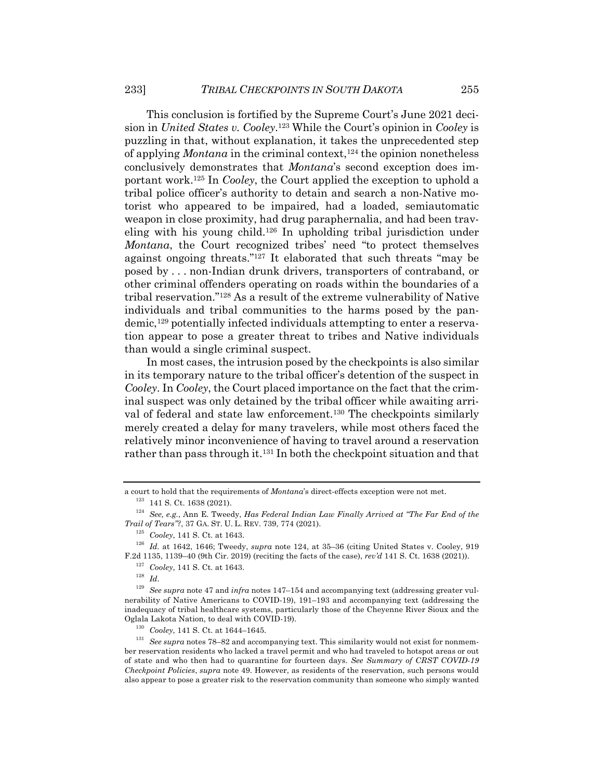This conclusion is fortified by the Supreme Court's June 2021 decision in *United States v. Cooley*. <sup>123</sup> While the Court's opinion in *Cooley* is puzzling in that, without explanation, it takes the unprecedented step of applying *Montana* in the criminal context,124 the opinion nonetheless conclusively demonstrates that *Montana*'s second exception does important work.125 In *Cooley*, the Court applied the exception to uphold a tribal police officer's authority to detain and search a non-Native motorist who appeared to be impaired, had a loaded, semiautomatic weapon in close proximity, had drug paraphernalia, and had been traveling with his young child.126 In upholding tribal jurisdiction under *Montana*, the Court recognized tribes' need "to protect themselves against ongoing threats."127 It elaborated that such threats "may be posed by . . . non-Indian drunk drivers, transporters of contraband, or other criminal offenders operating on roads within the boundaries of a tribal reservation."128 As a result of the extreme vulnerability of Native individuals and tribal communities to the harms posed by the pandemic,129 potentially infected individuals attempting to enter a reservation appear to pose a greater threat to tribes and Native individuals than would a single criminal suspect.

In most cases, the intrusion posed by the checkpoints is also similar in its temporary nature to the tribal officer's detention of the suspect in *Cooley*. In *Cooley*, the Court placed importance on the fact that the criminal suspect was only detained by the tribal officer while awaiting arrival of federal and state law enforcement.<sup>130</sup> The checkpoints similarly merely created a delay for many travelers, while most others faced the relatively minor inconvenience of having to travel around a reservation rather than pass through it.<sup>131</sup> In both the checkpoint situation and that

a court to hold that the requirements of *Montana*'s direct-effects exception were not met. <sup>123</sup> 141 S. Ct. 1638 (2021).

<sup>124</sup> *See, e.g.*, Ann E. Tweedy, *Has Federal Indian Law Finally Arrived at "The Far End of the Trail of Tears"?*, 37 GA. ST. U. L. REV. 739, 774 (2021).

<sup>125</sup> *Cooley*, 141 S. Ct. at 1643.

<sup>126</sup> *Id.* at 1642, 1646; Tweedy, *supra* note 124, at 35–36 (citing United States v. Cooley, 919 F.2d 1135, 1139–40 (9th Cir. 2019) (reciting the facts of the case), *rev'd* 141 S. Ct. 1638 (2021)).

<sup>127</sup> *Cooley*, 141 S. Ct. at 1643.

<sup>128</sup> *Id*.

<sup>129</sup> *See supra* note 47 and *infra* notes 147–154 and accompanying text (addressing greater vulnerability of Native Americans to COVID-19), 191–193 and accompanying text (addressing the inadequacy of tribal healthcare systems, particularly those of the Cheyenne River Sioux and the Oglala Lakota Nation, to deal with COVID-19).

<sup>130</sup> *Cooley*, 141 S. Ct. at 1644–1645.

<sup>131</sup> *See supra* notes 78–82 and accompanying text. This similarity would not exist for nonmember reservation residents who lacked a travel permit and who had traveled to hotspot areas or out of state and who then had to quarantine for fourteen days. *See Summary of CRST COVID-19 Checkpoint Policies*, *supra* note 49. However, as residents of the reservation, such persons would also appear to pose a greater risk to the reservation community than someone who simply wanted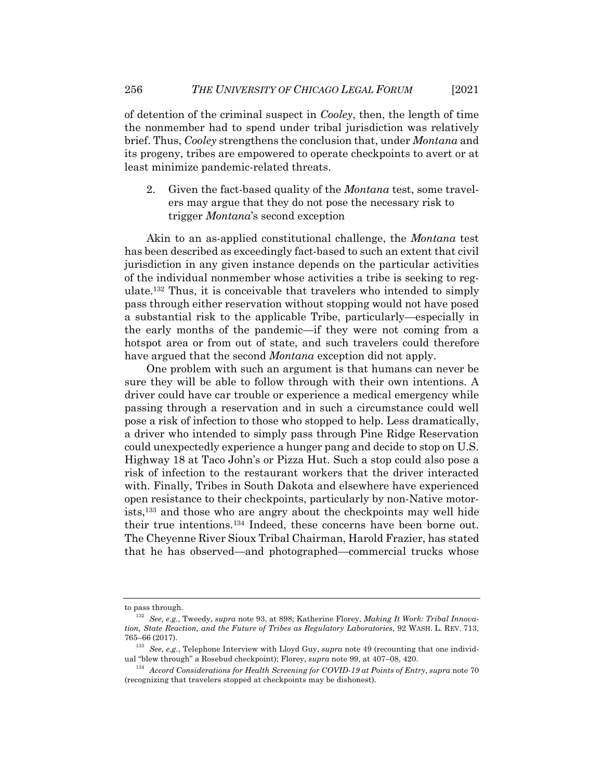of detention of the criminal suspect in *Cooley*, then, the length of time the nonmember had to spend under tribal jurisdiction was relatively brief. Thus, *Cooley* strengthens the conclusion that, under *Montana* and its progeny, tribes are empowered to operate checkpoints to avert or at least minimize pandemic-related threats.

2. Given the fact-based quality of the *Montana* test, some travelers may argue that they do not pose the necessary risk to trigger *Montana*'s second exception

Akin to an as-applied constitutional challenge, the *Montana* test has been described as exceedingly fact-based to such an extent that civil jurisdiction in any given instance depends on the particular activities of the individual nonmember whose activities a tribe is seeking to regulate.132 Thus, it is conceivable that travelers who intended to simply pass through either reservation without stopping would not have posed a substantial risk to the applicable Tribe, particularly—especially in the early months of the pandemic—if they were not coming from a hotspot area or from out of state, and such travelers could therefore have argued that the second *Montana* exception did not apply.

One problem with such an argument is that humans can never be sure they will be able to follow through with their own intentions. A driver could have car trouble or experience a medical emergency while passing through a reservation and in such a circumstance could well pose a risk of infection to those who stopped to help. Less dramatically, a driver who intended to simply pass through Pine Ridge Reservation could unexpectedly experience a hunger pang and decide to stop on U.S. Highway 18 at Taco John's or Pizza Hut. Such a stop could also pose a risk of infection to the restaurant workers that the driver interacted with. Finally, Tribes in South Dakota and elsewhere have experienced open resistance to their checkpoints, particularly by non-Native motorists,133 and those who are angry about the checkpoints may well hide their true intentions.134 Indeed, these concerns have been borne out. The Cheyenne River Sioux Tribal Chairman, Harold Frazier, has stated that he has observed—and photographed—commercial trucks whose

to pass through.

<sup>132</sup> *See, e.g.*, Tweedy, *supra* note 93, at 898; Katherine Florey, *Making It Work: Tribal Innovation, State Reaction, and the Future of Tribes as Regulatory Laboratories*, 92 WASH. L. REV. 713, 765–66 (2017).

<sup>133</sup> *See, e.g.*, Telephone Interview with Lloyd Guy, *supra* note 49 (recounting that one individual "blew through" a Rosebud checkpoint); Florey, *supra* note 99, at 407–08, 420.

<sup>134</sup> *Accord Considerations for Health Screening for COVID-19 at Points of Entry*, *supra* note 70 (recognizing that travelers stopped at checkpoints may be dishonest).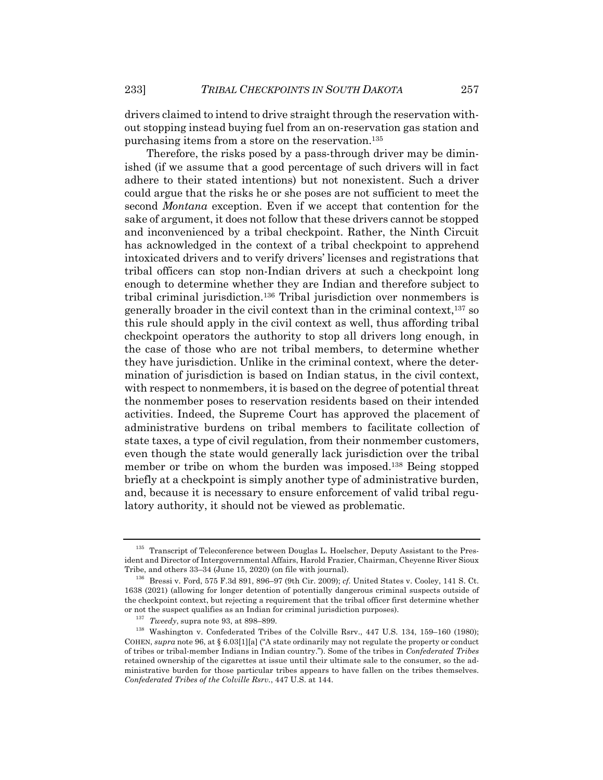drivers claimed to intend to drive straight through the reservation without stopping instead buying fuel from an on-reservation gas station and purchasing items from a store on the reservation.135

Therefore, the risks posed by a pass-through driver may be diminished (if we assume that a good percentage of such drivers will in fact adhere to their stated intentions) but not nonexistent. Such a driver could argue that the risks he or she poses are not sufficient to meet the second *Montana* exception. Even if we accept that contention for the sake of argument, it does not follow that these drivers cannot be stopped and inconvenienced by a tribal checkpoint. Rather, the Ninth Circuit has acknowledged in the context of a tribal checkpoint to apprehend intoxicated drivers and to verify drivers' licenses and registrations that tribal officers can stop non-Indian drivers at such a checkpoint long enough to determine whether they are Indian and therefore subject to tribal criminal jurisdiction.136 Tribal jurisdiction over nonmembers is generally broader in the civil context than in the criminal context,137 so this rule should apply in the civil context as well, thus affording tribal checkpoint operators the authority to stop all drivers long enough, in the case of those who are not tribal members, to determine whether they have jurisdiction. Unlike in the criminal context, where the determination of jurisdiction is based on Indian status, in the civil context, with respect to nonmembers, it is based on the degree of potential threat the nonmember poses to reservation residents based on their intended activities. Indeed, the Supreme Court has approved the placement of administrative burdens on tribal members to facilitate collection of state taxes, a type of civil regulation, from their nonmember customers, even though the state would generally lack jurisdiction over the tribal member or tribe on whom the burden was imposed.138 Being stopped briefly at a checkpoint is simply another type of administrative burden, and, because it is necessary to ensure enforcement of valid tribal regulatory authority, it should not be viewed as problematic.

<sup>&</sup>lt;sup>135</sup> Transcript of Teleconference between Douglas L. Hoelscher, Deputy Assistant to the President and Director of Intergovernmental Affairs, Harold Frazier, Chairman, Cheyenne River Sioux Tribe, and others 33–34 (June 15, 2020) (on file with journal).

<sup>136</sup> Bressi v. Ford, 575 F.3d 891, 896–97 (9th Cir. 2009); *cf.* United States v. Cooley, 141 S. Ct. 1638 (2021) (allowing for longer detention of potentially dangerous criminal suspects outside of the checkpoint context, but rejecting a requirement that the tribal officer first determine whether or not the suspect qualifies as an Indian for criminal jurisdiction purposes).

<sup>&</sup>lt;sup>137</sup> *Tweedy*, supra note 93, at 898–899.<br><sup>138</sup> Washington y, Confederated Tribe

<sup>138</sup> Washington v. Confederated Tribes of the Colville Rsrv., 447 U.S. 134, 159–160 (1980); COHEN, *supra* note 96, at § 6.03[1][a] ("A state ordinarily may not regulate the property or conduct of tribes or tribal-member Indians in Indian country."). Some of the tribes in *Confederated Tribes* retained ownership of the cigarettes at issue until their ultimate sale to the consumer, so the administrative burden for those particular tribes appears to have fallen on the tribes themselves. *Confederated Tribes of the Colville Rsrv.*, 447 U.S. at 144.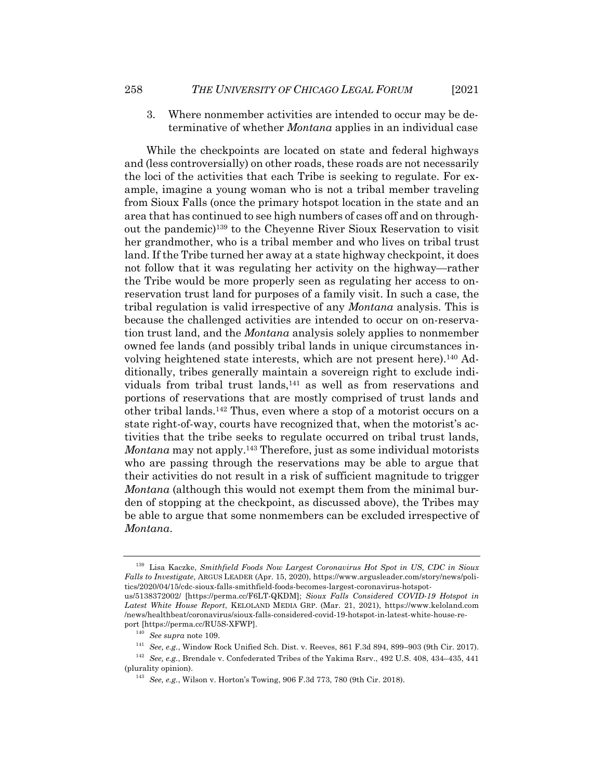3. Where nonmember activities are intended to occur may be determinative of whether *Montana* applies in an individual case

While the checkpoints are located on state and federal highways and (less controversially) on other roads, these roads are not necessarily the loci of the activities that each Tribe is seeking to regulate. For example, imagine a young woman who is not a tribal member traveling from Sioux Falls (once the primary hotspot location in the state and an area that has continued to see high numbers of cases off and on throughout the pandemic)139 to the Cheyenne River Sioux Reservation to visit her grandmother, who is a tribal member and who lives on tribal trust land. If the Tribe turned her away at a state highway checkpoint, it does not follow that it was regulating her activity on the highway—rather the Tribe would be more properly seen as regulating her access to onreservation trust land for purposes of a family visit. In such a case, the tribal regulation is valid irrespective of any *Montana* analysis. This is because the challenged activities are intended to occur on on-reservation trust land, and the *Montana* analysis solely applies to nonmember owned fee lands (and possibly tribal lands in unique circumstances involving heightened state interests, which are not present here).140 Additionally, tribes generally maintain a sovereign right to exclude individuals from tribal trust lands,<sup>141</sup> as well as from reservations and portions of reservations that are mostly comprised of trust lands and other tribal lands.142 Thus, even where a stop of a motorist occurs on a state right-of-way, courts have recognized that, when the motorist's activities that the tribe seeks to regulate occurred on tribal trust lands, *Montana* may not apply.<sup>143</sup> Therefore, just as some individual motorists who are passing through the reservations may be able to argue that their activities do not result in a risk of sufficient magnitude to trigger *Montana* (although this would not exempt them from the minimal burden of stopping at the checkpoint, as discussed above), the Tribes may be able to argue that some nonmembers can be excluded irrespective of *Montana*.

<sup>143</sup> *See, e.g.*, Wilson v. Horton's Towing, 906 F.3d 773, 780 (9th Cir. 2018).

<sup>139</sup> Lisa Kaczke, *Smithfield Foods Now Largest Coronavirus Hot Spot in US, CDC in Sioux Falls to Investigate*, ARGUS LEADER (Apr. 15, 2020), https://www.argusleader.com/story/news/politics/2020/04/15/cdc-sioux-falls-smithfield-foods-becomes-largest-coronavirus-hotspotus/5138372002/ [https://perma.cc/F6LT-QKDM]; *Sioux Falls Considered COVID-19 Hotspot in Latest White House Report*, KELOLAND MEDIA GRP. (Mar. 21, 2021), https://www.keloland.com /news/healthbeat/coronavirus/sioux-falls-considered-covid-19-hotspot-in-latest-white-house-re-

port [https://perma.cc/RU5S-XFWP].

<sup>140</sup> *See supra* note 109.

<sup>141</sup> *See, e.g.*, Window Rock Unified Sch. Dist. v. Reeves, 861 F.3d 894, 899–903 (9th Cir. 2017).

<sup>142</sup> *See, e.g.*, Brendale v. Confederated Tribes of the Yakima Rsrv., 492 U.S. 408, 434–435, 441 (plurality opinion).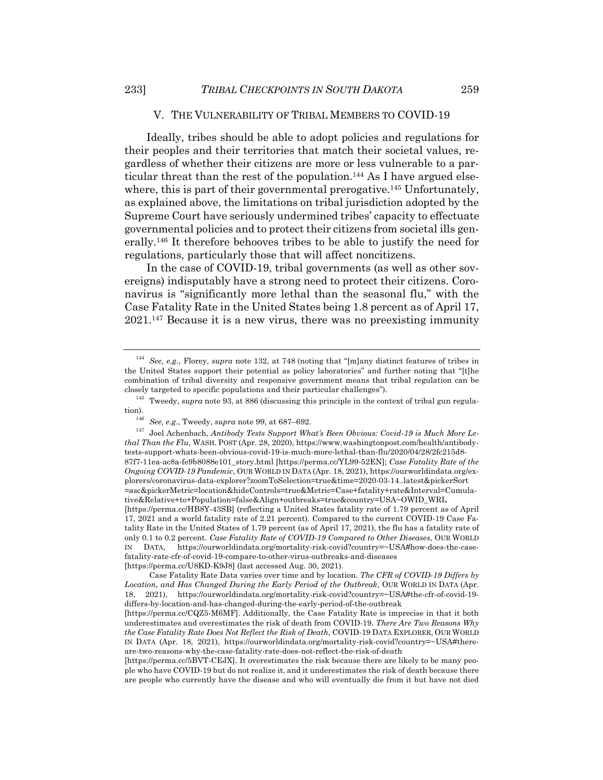# V. THE VULNERABILITY OF TRIBAL MEMBERS TO COVID-19

Ideally, tribes should be able to adopt policies and regulations for their peoples and their territories that match their societal values, regardless of whether their citizens are more or less vulnerable to a particular threat than the rest of the population.<sup>144</sup> As I have argued elsewhere, this is part of their governmental prerogative.<sup>145</sup> Unfortunately, as explained above, the limitations on tribal jurisdiction adopted by the Supreme Court have seriously undermined tribes' capacity to effectuate governmental policies and to protect their citizens from societal ills generally.146 It therefore behooves tribes to be able to justify the need for regulations, particularly those that will affect noncitizens.

In the case of COVID-19, tribal governments (as well as other sovereigns) indisputably have a strong need to protect their citizens. Coronavirus is "significantly more lethal than the seasonal flu," with the Case Fatality Rate in the United States being 1.8 percent as of April 17, 2021.147 Because it is a new virus, there was no preexisting immunity

<sup>144</sup> *See, e.g.*, Florey, *supra* note 132, at 748 (noting that "[m]any distinct features of tribes in the United States support their potential as policy laboratories" and further noting that "[t]he combination of tribal diversity and responsive government means that tribal regulation can be closely targeted to specific populations and their particular challenges").

<sup>&</sup>lt;sup>145</sup> Tweedy, *supra* note 93, at 886 (discussing this principle in the context of tribal gun regulation).<br> $\frac{146}{146}$ 

<sup>146</sup> *See, e.g.*, Tweedy, *supra* note 99, at 687–692.

<sup>147</sup> Joel Achenbach, *Antibody Tests Support What's Been Obvious: Covid-19 is Much More Lethal Than the Flu*, WASH. POST (Apr. 28, 2020), https://www.washingtonpost.com/health/antibodytests-support-whats-been-obvious-covid-19-is-much-more-lethal-than-flu/2020/04/28/2fc215d8- 87f7-11ea-ac8a-fe9b8088e101\_story.html [https://perma.cc/YL99-52EN]; *Case Fatality Rate of the Ongoing COVID-19 Pandemic*, OUR WORLD IN DATA (Apr. 18, 2021), https://ourworldindata.org/explorers/coronavirus-data-explorer?zoomToSelection=true&time=2020-03-14..latest&pickerSort =asc&pickerMetric=location&hideControls=true&Metric=Case+fatality+rate&Interval=Cumulative&Relative+to+Population=false&Align+outbreaks=true&country=USA~OWID\_WRL [https://perma.cc/HB8Y-43SB] (reflecting a United States fatality rate of 1.79 percent as of April 17, 2021 and a world fatality rate of 2.21 percent). Compared to the current COVID-19 Case Fatality Rate in the United States of 1.79 percent (as of April 17, 2021), the flu has a fatality rate of only 0.1 to 0.2 percent. *Case Fatality Rate of COVID-19 Compared to Other Diseases*, OUR WORLD IN DATA, https://ourworldindata.org/mortality-risk-covid?country=~USA#how-does-the-case-

fatality-rate-cfr-of-covid-19-compare-to-other-virus-outbreaks-and-diseases

<sup>[</sup>https://perma.cc/U8KD-K9J8] (last accessed Aug. 30, 2021).

Case Fatality Rate Data varies over time and by location. *The CFR of COVID-19 Differs by Location, and Has Changed During the Early Period of the Outbreak*, OUR WORLD IN DATA (Apr. 18, 2021), https://ourworldindata.org/mortality-risk-covid?country=~USA#the-cfr-of-covid-19 differs-by-location-and-has-changed-during-the-early-period-of-the-outbreak

<sup>[</sup>https://perma.cc/CQZ5-M6MF]. Additionally, the Case Fatality Rate is imprecise in that it both underestimates and overestimates the risk of death from COVID-19. *There Are Two Reasons Why the Case Fatality Rate Does Not Reflect the Risk of Death*, COVID-19 DATA EXPLORER, OUR WORLD IN DATA (Apr. 18, 2021), https://ourworldindata.org/mortality-risk-covid?country=~USA#thereare-two-reasons-why-the-case-fatality-rate-does-not-reflect-the-risk-of-death

<sup>[</sup>https://perma.cc/5BVT-CEJX]. It overestimates the risk because there are likely to be many people who have COVID-19 but do not realize it, and it underestimates the risk of death because there are people who currently have the disease and who will eventually die from it but have not died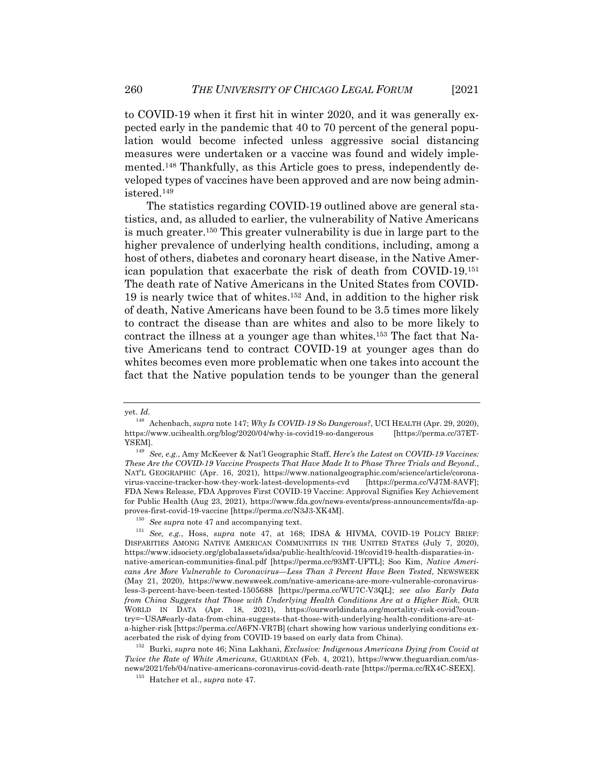to COVID-19 when it first hit in winter 2020, and it was generally expected early in the pandemic that 40 to 70 percent of the general population would become infected unless aggressive social distancing measures were undertaken or a vaccine was found and widely implemented.148 Thankfully, as this Article goes to press, independently developed types of vaccines have been approved and are now being administered.149

The statistics regarding COVID-19 outlined above are general statistics, and, as alluded to earlier, the vulnerability of Native Americans is much greater.150 This greater vulnerability is due in large part to the higher prevalence of underlying health conditions, including, among a host of others, diabetes and coronary heart disease, in the Native American population that exacerbate the risk of death from COVID-19.151 The death rate of Native Americans in the United States from COVID-19 is nearly twice that of whites.152 And, in addition to the higher risk of death, Native Americans have been found to be 3.5 times more likely to contract the disease than are whites and also to be more likely to contract the illness at a younger age than whites.153 The fact that Native Americans tend to contract COVID-19 at younger ages than do whites becomes even more problematic when one takes into account the fact that the Native population tends to be younger than the general

yet. *Id.*

<sup>148</sup> Achenbach, *supra* note 147; *Why Is COVID-19 So Dangerous?*, UCI HEALTH (Apr. 29, 2020), https://www.ucihealth.org/blog/2020/04/why-is-covid19-so-dangerous [https://perma.cc/37ET-YSEM].

<sup>149</sup> *See, e.g.*, Amy McKeever & Nat'l Geographic Staff, *Here's the Latest on COVID-19 Vaccines: These Are the COVID-19 Vaccine Prospects That Have Made It to Phase Three Trials and Beyond.*, NAT'L GEOGRAPHIC (Apr. 16, 2021), https://www.nationalgeographic.com/science/article/coronavirus-vaccine-tracker-how-they-work-latest-developments-cvd [https://perma.cc/VJ7M-8AVF]; FDA News Release, FDA Approves First COVID-19 Vaccine: Approval Signifies Key Achievement for Public Health (Aug 23, 2021), https://www.fda.gov/news-events/press-announcements/fda-approves-first-covid-19-vaccine [https://perma.cc/N3J3-XK4M].

<sup>150</sup> *See supra* note 47 and accompanying text.

<sup>151</sup> *See, e.g.*, Hoss, *supra* note 47, at 168; IDSA & HIVMA, COVID-19 POLICY BRIEF: DISPARITIES AMONG NATIVE AMERICAN COMMUNITIES IN THE UNITED STATES (July 7, 2020), https://www.idsociety.org/globalassets/idsa/public-health/covid-19/covid19-health-disparaties-innative-american-communities-final.pdf [https://perma.cc/93MT-UFTL]; Soo Kim, *Native Americans Are More Vulnerable to Coronavirus—Less Than 3 Percent Have Been Tested*, NEWSWEEK (May 21, 2020), https://www.newsweek.com/native-americans-are-more-vulnerable-coronavirusless-3-percent-have-been-tested-1505688 [https://perma.cc/WU7C-V3QL]; *see also Early Data from China Suggests that Those with Underlying Health Conditions Are at a Higher Risk*, OUR WORLD IN DATA (Apr. 18, 2021), https://ourworldindata.org/mortality-risk-covid?country=~USA#early-data-from-china-suggests-that-those-with-underlying-health-conditions-are-ata-higher-risk [https://perma.cc/A6FN-VR7B] (chart showing how various underlying conditions exacerbated the risk of dying from COVID-19 based on early data from China).

<sup>152</sup> Burki, *supra* note 46; Nina Lakhani, *Exclusive: Indigenous Americans Dying from Covid at Twice the Rate of White Americans*, GUARDIAN (Feb. 4, 2021), https://www.theguardian.com/usnews/2021/feb/04/native-americans-coronavirus-covid-death-rate [https://perma.cc/RX4C-SEEX].

<sup>153</sup> Hatcher et al., *supra* note 47.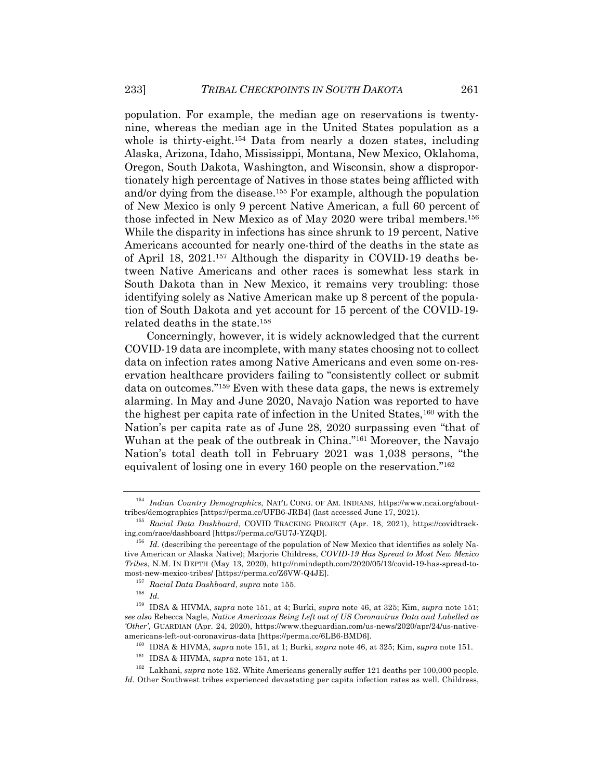population. For example, the median age on reservations is twentynine, whereas the median age in the United States population as a whole is thirty-eight.154 Data from nearly a dozen states, including Alaska, Arizona, Idaho, Mississippi, Montana, New Mexico, Oklahoma, Oregon, South Dakota, Washington, and Wisconsin, show a disproportionately high percentage of Natives in those states being afflicted with and/or dying from the disease.155 For example, although the population of New Mexico is only 9 percent Native American, a full 60 percent of those infected in New Mexico as of May 2020 were tribal members.156 While the disparity in infections has since shrunk to 19 percent, Native Americans accounted for nearly one-third of the deaths in the state as of April 18, 2021.157 Although the disparity in COVID-19 deaths between Native Americans and other races is somewhat less stark in South Dakota than in New Mexico, it remains very troubling: those identifying solely as Native American make up 8 percent of the population of South Dakota and yet account for 15 percent of the COVID-19 related deaths in the state.158

Concerningly, however, it is widely acknowledged that the current COVID-19 data are incomplete, with many states choosing not to collect data on infection rates among Native Americans and even some on-reservation healthcare providers failing to "consistently collect or submit data on outcomes."159 Even with these data gaps, the news is extremely alarming. In May and June 2020, Navajo Nation was reported to have the highest per capita rate of infection in the United States,<sup>160</sup> with the Nation's per capita rate as of June 28, 2020 surpassing even "that of Wuhan at the peak of the outbreak in China."161 Moreover, the Navajo Nation's total death toll in February 2021 was 1,038 persons, "the equivalent of losing one in every 160 people on the reservation."162

<sup>154</sup> *Indian Country Demographics*, NAT'L CONG. OF AM. INDIANS, https://www.ncai.org/abouttribes/demographics [https://perma.cc/UFB6-JRB4] (last accessed June 17, 2021).

<sup>155</sup> *Racial Data Dashboard*, COVID TRACKING PROJECT (Apr. 18, 2021), https://covidtracking.com/race/dashboard [https://perma.cc/GU7J-YZQD].

<sup>&</sup>lt;sup>156</sup> *Id.* (describing the percentage of the population of New Mexico that identifies as solely Native American or Alaska Native); Marjorie Childress, *COVID-19 Has Spread to Most New Mexico Tribes*, N.M. IN DEPTH (May 13, 2020), http://nmindepth.com/2020/05/13/covid-19-has-spread-tomost-new-mexico-tribes/ [https://perma.cc/Z6VW-Q4JE].

<sup>157</sup> *Racial Data Dashboard*, *supra* note 155.

<sup>158</sup> *Id.*

<sup>159</sup> IDSA & HIVMA, *supra* note 151, at 4; Burki, *supra* note 46, at 325; Kim, *supra* note 151; *see also* Rebecca Nagle, *Native Americans Being Left out of US Coronavirus Data and Labelled as 'Other'*, GUARDIAN (Apr. 24, 2020), https://www.theguardian.com/us-news/2020/apr/24/us-nativeamericans-left-out-coronavirus-data [https://perma.cc/6LB6-BMD6].

<sup>160</sup> IDSA & HIVMA, *supra* note 151, at 1; Burki, *supra* note 46, at 325; Kim, *supra* note 151.

<sup>161</sup> IDSA & HIVMA, *supra* note 151, at 1.

<sup>&</sup>lt;sup>162</sup> Lakhani, *supra* note 152. White Americans generally suffer 121 deaths per 100,000 people. *Id.* Other Southwest tribes experienced devastating per capita infection rates as well. Childress,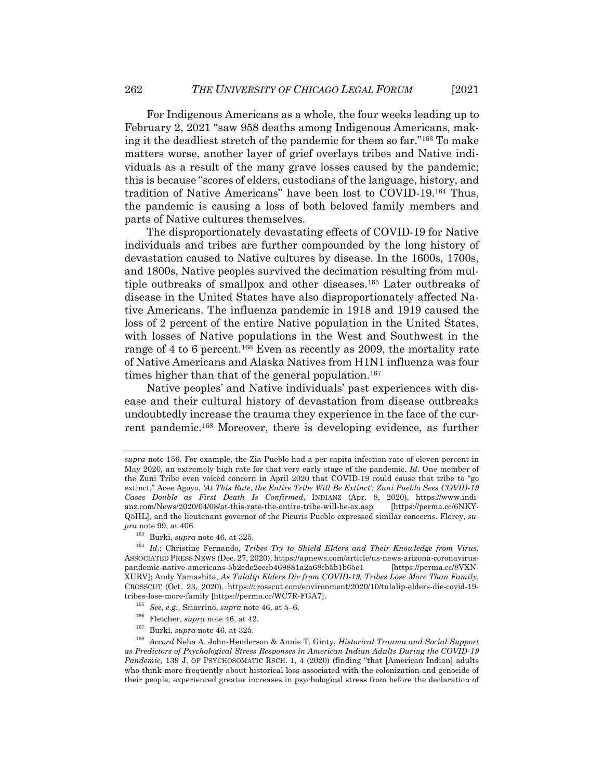For Indigenous Americans as a whole, the four weeks leading up to February 2, 2021 "saw 958 deaths among Indigenous Americans, making it the deadliest stretch of the pandemic for them so far."163 To make matters worse, another layer of grief overlays tribes and Native individuals as a result of the many grave losses caused by the pandemic; this is because "scores of elders, custodians of the language, history, and tradition of Native Americans" have been lost to COVID-19.164 Thus, the pandemic is causing a loss of both beloved family members and parts of Native cultures themselves.

The disproportionately devastating effects of COVID-19 for Native individuals and tribes are further compounded by the long history of devastation caused to Native cultures by disease. In the 1600s, 1700s, and 1800s, Native peoples survived the decimation resulting from multiple outbreaks of smallpox and other diseases.165 Later outbreaks of disease in the United States have also disproportionately affected Native Americans. The influenza pandemic in 1918 and 1919 caused the loss of 2 percent of the entire Native population in the United States, with losses of Native populations in the West and Southwest in the range of 4 to 6 percent.<sup>166</sup> Even as recently as 2009, the mortality rate of Native Americans and Alaska Natives from H1N1 influenza was four times higher than that of the general population.<sup>167</sup>

Native peoples' and Native individuals' past experiences with disease and their cultural history of devastation from disease outbreaks undoubtedly increase the trauma they experience in the face of the current pandemic.168 Moreover, there is developing evidence, as further

- <sup>166</sup> Fletcher, *supra* note 46, at 42.
- <sup>167</sup> Burki, *supra* note 46, at 325.

*supra* note 156. For example, the Zia Pueblo had a per capita infection rate of eleven percent in May 2020, an extremely high rate for that very early stage of the pandemic. *Id.* One member of the Zuni Tribe even voiced concern in April 2020 that COVID-19 could cause that tribe to "go extinct," Acee Agoyo, *'At This Rate, the Entire Tribe Will Be Extinct': Zuni Pueblo Sees COVID-19 Cases Double as First Death Is Confirmed*, INDIANZ (Apr. 8, 2020), https://www.indianz.com/News/2020/04/08/at-this-rate-the-entire-tribe-will-be-ex.asp [https://perma.cc/6NKY-Q5HL]*,* and the lieutenant governor of the Picuris Pueblo expressed similar concerns. Florey, *supra* note 99, at 406.

<sup>163</sup> Burki, *supra* note 46, at 325.

<sup>164</sup> *Id*.; Christine Fernando, *Tribes Try to Shield Elders and Their Knowledge from Virus*, ASSOCIATED PRESS NEWS (Dec. 27, 2020), https://apnews.com/article/us-news-arizona-coronaviruspandemic-native-americans-5b2ede2eccb469881a2a68cb5b1b65e1 XURV]; Andy Yamashita, *As Tulalip Elders Die from COVID-19, Tribes Lose More Than Family*, CROSSCUT (Oct. 23, 2020), https://crosscut.com/environment/2020/10/tulalip-elders-die-covid-19 tribes-lose-more-family [https://perma.cc/WC7R-FGA7].

<sup>165</sup> *See, e.g.*, Sciarrino, *supra* note 46, at 5–6.

<sup>168</sup> *Accord* Neha A. John-Henderson & Annie T. Ginty, *Historical Trauma and Social Support as Predictors of Psychological Stress Responses in American Indian Adults During the COVID-19 Pandemic,* 139 J. OF PSYCHOSOMATIC RSCH. 1, 4 (2020) (finding "that [American Indian] adults who think more frequently about historical loss associated with the colonization and genocide of their people, experienced greater increases in psychological stress from before the declaration of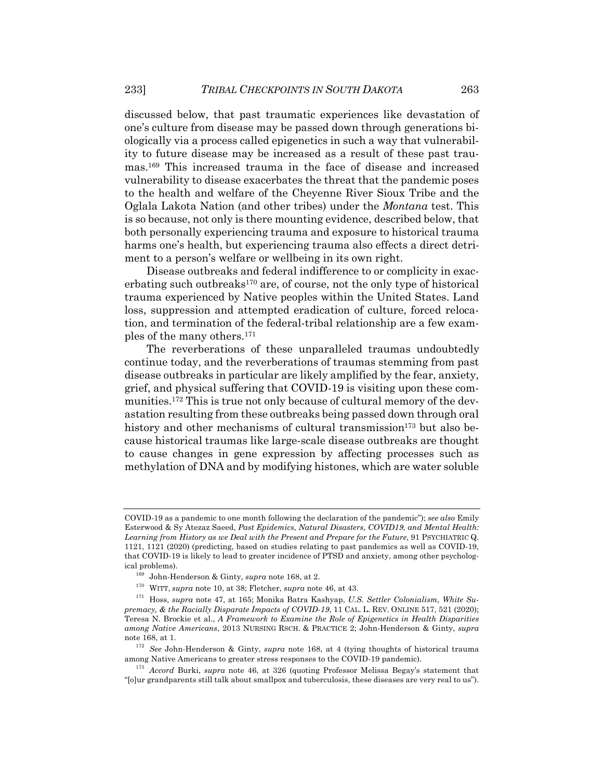discussed below, that past traumatic experiences like devastation of one's culture from disease may be passed down through generations biologically via a process called epigenetics in such a way that vulnerability to future disease may be increased as a result of these past traumas.169 This increased trauma in the face of disease and increased vulnerability to disease exacerbates the threat that the pandemic poses to the health and welfare of the Cheyenne River Sioux Tribe and the Oglala Lakota Nation (and other tribes) under the *Montana* test. This is so because, not only is there mounting evidence, described below, that both personally experiencing trauma and exposure to historical trauma harms one's health, but experiencing trauma also effects a direct detriment to a person's welfare or wellbeing in its own right.

Disease outbreaks and federal indifference to or complicity in exacerbating such outbreaks<sup>170</sup> are, of course, not the only type of historical trauma experienced by Native peoples within the United States. Land loss, suppression and attempted eradication of culture, forced relocation, and termination of the federal-tribal relationship are a few examples of the many others.171

The reverberations of these unparalleled traumas undoubtedly continue today, and the reverberations of traumas stemming from past disease outbreaks in particular are likely amplified by the fear, anxiety, grief, and physical suffering that COVID-19 is visiting upon these communities.172 This is true not only because of cultural memory of the devastation resulting from these outbreaks being passed down through oral history and other mechanisms of cultural transmission<sup>173</sup> but also because historical traumas like large-scale disease outbreaks are thought to cause changes in gene expression by affecting processes such as methylation of DNA and by modifying histones, which are water soluble

COVID-19 as a pandemic to one month following the declaration of the pandemic"); *see also* Emily Esterwood & Sy Atezaz Saeed, *Past Epidemics, Natural Disasters, COVID19, and Mental Health:*  Learning from History as we Deal with the Present and Prepare for the Future, 91 PSYCHIATRIC Q. 1121, 1121 (2020) (predicting, based on studies relating to past pandemics as well as COVID-19, that COVID-19 is likely to lead to greater incidence of PTSD and anxiety, among other psychological problems).

<sup>169</sup> John-Henderson & Ginty, *supra* note 168, at 2.

<sup>170</sup> WITT, *supra* note 10, at 38; Fletcher, *supra* note 46, at 43.

<sup>171</sup> Hoss, *supra* note 47, at 165; Monika Batra Kashyap, *U.S. Settler Colonialism, White Supremacy, & the Racially Disparate Impacts of COVID-19*, 11 CAL. L. REV. ONLINE 517, 521 (2020); Teresa N. Brockie et al., *A Framework to Examine the Role of Epigenetics in Health Disparities among Native Americans*, 2013 NURSING RSCH. & PRACTICE 2; John-Henderson & Ginty, *supra* note 168, at 1.

<sup>172</sup> *See* John-Henderson & Ginty, *supra* note 168, at 4 (tying thoughts of historical trauma among Native Americans to greater stress responses to the COVID-19 pandemic).

<sup>173</sup> *Accord* Burki, *supra* note 46, at 326 (quoting Professor Melissa Begay's statement that "[o]ur grandparents still talk about smallpox and tuberculosis, these diseases are very real to us").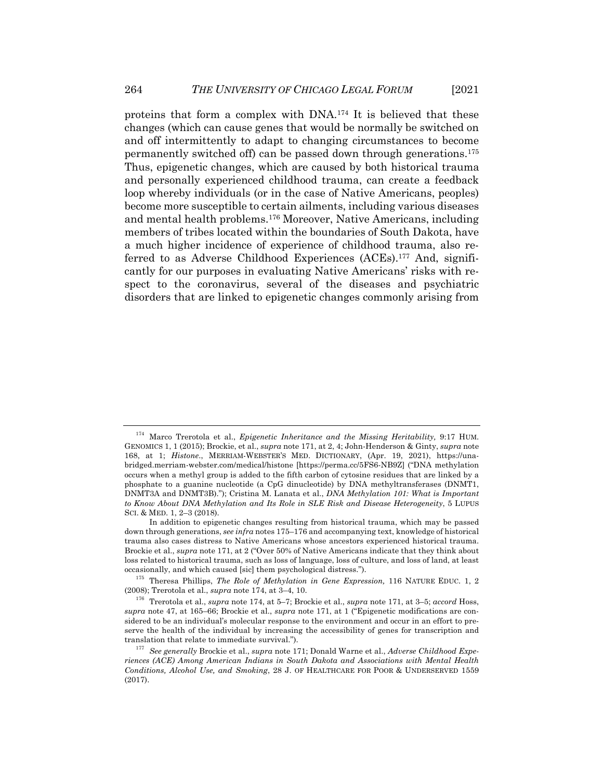proteins that form a complex with DNA.174 It is believed that these changes (which can cause genes that would be normally be switched on and off intermittently to adapt to changing circumstances to become permanently switched off) can be passed down through generations.175 Thus, epigenetic changes, which are caused by both historical trauma and personally experienced childhood trauma, can create a feedback loop whereby individuals (or in the case of Native Americans, peoples) become more susceptible to certain ailments, including various diseases and mental health problems.176 Moreover, Native Americans, including members of tribes located within the boundaries of South Dakota, have a much higher incidence of experience of childhood trauma, also referred to as Adverse Childhood Experiences (ACEs).177 And, significantly for our purposes in evaluating Native Americans' risks with respect to the coronavirus, several of the diseases and psychiatric disorders that are linked to epigenetic changes commonly arising from

<sup>174</sup> Marco Trerotola et al., *Epigenetic Inheritance and the Missing Heritability,* 9:17 HUM. GENOMICS 1, 1 (2015); Brockie, et al., *supra* note 171, at 2, 4; John-Henderson & Ginty, *supra* note 168, at 1; *Histone*., MERRIAM-WEBSTER'S MED. DICTIONARY, (Apr. 19, 2021), https://unabridged.merriam-webster.com/medical/histone [https://perma.cc/5FS6-NB9Z] ("DNA methylation occurs when a methyl group is added to the fifth carbon of cytosine residues that are linked by a phosphate to a guanine nucleotide (a CpG dinucleotide) by DNA methyltransferases (DNMT1, DNMT3A and DNMT3B)."); Cristina M. Lanata et al., *DNA Methylation 101: What is Important to Know About DNA Methylation and Its Role in SLE Risk and Disease Heterogeneity*, 5 LUPUS SCI. & MED. 1, 2–3 (2018).

In addition to epigenetic changes resulting from historical trauma, which may be passed down through generations, *see infra* notes 175–176 and accompanying text, knowledge of historical trauma also cases distress to Native Americans whose ancestors experienced historical trauma. Brockie et al., *supra* note 171, at 2 ("Over 50% of Native Americans indicate that they think about loss related to historical trauma, such as loss of language, loss of culture, and loss of land, at least occasionally, and which caused [sic] them psychological distress.").

<sup>175</sup> Theresa Phillips, *The Role of Methylation in Gene Expression,* 116 NATURE EDUC. 1, 2 (2008); Trerotola et al., *supra* note 174, at 3–4, 10.

<sup>176</sup> Trerotola et al., *supra* note 174, at 5–7; Brockie et al., *supra* note 171, at 3–5; *accord* Hoss, *supra* note 47, at 165–66; Brockie et al., *supra* note 171, at 1 ("Epigenetic modifications are considered to be an individual's molecular response to the environment and occur in an effort to preserve the health of the individual by increasing the accessibility of genes for transcription and translation that relate to immediate survival.").

<sup>177</sup> *See generally* Brockie et al., *supra* note 171; Donald Warne et al., *Adverse Childhood Experiences (ACE) Among American Indians in South Dakota and Associations with Mental Health Conditions, Alcohol Use, and Smoking*, 28 J. OF HEALTHCARE FOR POOR & UNDERSERVED 1559 (2017).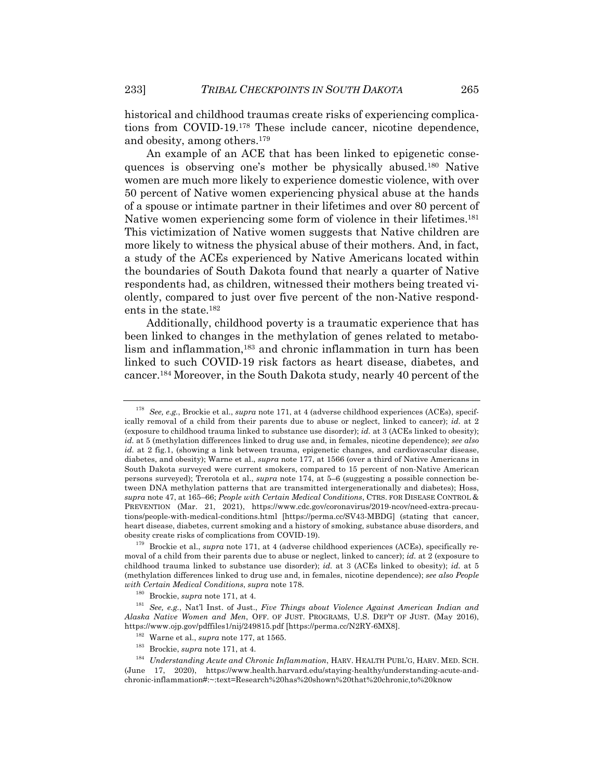historical and childhood traumas create risks of experiencing complications from COVID-19.178 These include cancer, nicotine dependence, and obesity, among others.179

An example of an ACE that has been linked to epigenetic consequences is observing one's mother be physically abused.180 Native women are much more likely to experience domestic violence, with over 50 percent of Native women experiencing physical abuse at the hands of a spouse or intimate partner in their lifetimes and over 80 percent of Native women experiencing some form of violence in their lifetimes.181 This victimization of Native women suggests that Native children are more likely to witness the physical abuse of their mothers. And, in fact, a study of the ACEs experienced by Native Americans located within the boundaries of South Dakota found that nearly a quarter of Native respondents had, as children, witnessed their mothers being treated violently, compared to just over five percent of the non-Native respondents in the state.182

Additionally, childhood poverty is a traumatic experience that has been linked to changes in the methylation of genes related to metabolism and inflammation,183 and chronic inflammation in turn has been linked to such COVID-19 risk factors as heart disease, diabetes, and cancer.184 Moreover, in the South Dakota study, nearly 40 percent of the

<sup>178</sup> *See, e.g.*, Brockie et al., *supra* note 171, at 4 (adverse childhood experiences (ACEs), specifically removal of a child from their parents due to abuse or neglect, linked to cancer); *id.* at 2 (exposure to childhood trauma linked to substance use disorder); *id.* at 3 (ACEs linked to obesity); *id.* at 5 (methylation differences linked to drug use and, in females, nicotine dependence); *see also id.* at 2 fig.1, (showing a link between trauma, epigenetic changes, and cardiovascular disease, diabetes, and obesity); Warne et al., *supra* note 177, at 1566 (over a third of Native Americans in South Dakota surveyed were current smokers, compared to 15 percent of non-Native American persons surveyed); Trerotola et al., *supra* note 174, at 5–6 (suggesting a possible connection between DNA methylation patterns that are transmitted intergenerationally and diabetes); Hoss, *supra* note 47, at 165–66; *People with Certain Medical Conditions*, CTRS. FOR DISEASE CONTROL & PREVENTION (Mar. 21, 2021), https://www.cdc.gov/coronavirus/2019-ncov/need-extra-precautions/people-with-medical-conditions.html [https://perma.cc/SV43-MBDG] (stating that cancer, heart disease, diabetes, current smoking and a history of smoking, substance abuse disorders, and obesity create risks of complications from COVID-19).

<sup>179</sup> Brockie et al., *supra* note 171, at 4 (adverse childhood experiences (ACEs), specifically removal of a child from their parents due to abuse or neglect, linked to cancer); *id.* at 2 (exposure to childhood trauma linked to substance use disorder); *id.* at 3 (ACEs linked to obesity); *id.* at 5 (methylation differences linked to drug use and, in females, nicotine dependence); *see also People with Certain Medical Conditions*, *supra* note 178.

<sup>180</sup> Brockie, *supra* note 171, at 4.

<sup>181</sup> *See, e.g.*, Nat'l Inst. of Just., *Five Things about Violence Against American Indian and Alaska Native Women and Men*, OFF. OF JUST. PROGRAMS, U.S. DEP'T OF JUST. (May 2016), https://www.ojp.gov/pdffiles1/nij/249815.pdf [https://perma.cc/N2RY-6MX8].

<sup>182</sup> Warne et al., *supra* note 177, at 1565.

<sup>183</sup> Brockie, *supra* note 171, at 4.

<sup>184</sup> *Understanding Acute and Chronic Inflammation*, HARV. HEALTH PUBL'G, HARV. MED. SCH. (June 17, 2020), https://www.health.harvard.edu/staying-healthy/understanding-acute-andchronic-inflammation#:~:text=Research%20has%20shown%20that%20chronic,to%20know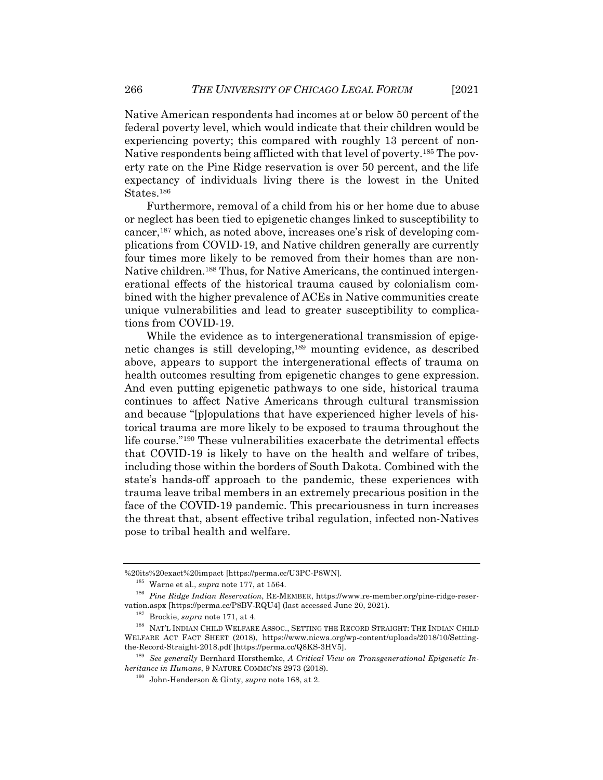Native American respondents had incomes at or below 50 percent of the federal poverty level, which would indicate that their children would be experiencing poverty; this compared with roughly 13 percent of non-Native respondents being afflicted with that level of poverty.185 The poverty rate on the Pine Ridge reservation is over 50 percent, and the life expectancy of individuals living there is the lowest in the United States.186

Furthermore, removal of a child from his or her home due to abuse or neglect has been tied to epigenetic changes linked to susceptibility to cancer,187 which, as noted above, increases one's risk of developing complications from COVID-19, and Native children generally are currently four times more likely to be removed from their homes than are non-Native children.188 Thus, for Native Americans, the continued intergenerational effects of the historical trauma caused by colonialism combined with the higher prevalence of ACEs in Native communities create unique vulnerabilities and lead to greater susceptibility to complications from COVID-19.

While the evidence as to intergenerational transmission of epigenetic changes is still developing,189 mounting evidence, as described above, appears to support the intergenerational effects of trauma on health outcomes resulting from epigenetic changes to gene expression. And even putting epigenetic pathways to one side, historical trauma continues to affect Native Americans through cultural transmission and because "[p]opulations that have experienced higher levels of historical trauma are more likely to be exposed to trauma throughout the life course."190 These vulnerabilities exacerbate the detrimental effects that COVID-19 is likely to have on the health and welfare of tribes, including those within the borders of South Dakota. Combined with the state's hands-off approach to the pandemic, these experiences with trauma leave tribal members in an extremely precarious position in the face of the COVID-19 pandemic. This precariousness in turn increases the threat that, absent effective tribal regulation, infected non-Natives pose to tribal health and welfare.

<sup>%20</sup>its%20exact%20impact [https://perma.cc/U3PC-P8WN].

<sup>185</sup> Warne et al., *supra* note 177, at 1564.

<sup>186</sup> *Pine Ridge Indian Reservation*, RE-MEMBER, https://www.re-member.org/pine-ridge-reservation.aspx [https://perma.cc/P8BV-RQU4] (last accessed June 20, 2021).

<sup>187</sup> Brockie, *supra* note 171, at 4.

<sup>188</sup> NAT'L INDIAN CHILD WELFARE ASSOC., SETTING THE RECORD STRAIGHT: THE INDIAN CHILD WELFARE ACT FACT SHEET (2018), https://www.nicwa.org/wp-content/uploads/2018/10/Settingthe-Record-Straight-2018.pdf [https://perma.cc/Q8KS-3HV5].

<sup>189</sup> *See generally* Bernhard Horsthemke, *A Critical View on Transgenerational Epigenetic Inheritance in Humans*, 9 NATURE COMMC'NS 2973 (2018).

<sup>190</sup> John-Henderson & Ginty, *supra* note 168, at 2.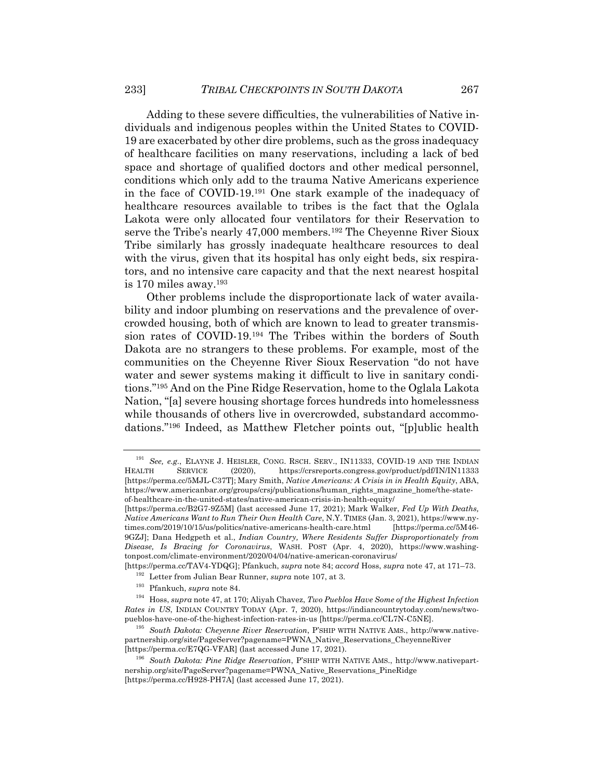Adding to these severe difficulties, the vulnerabilities of Native individuals and indigenous peoples within the United States to COVID-19 are exacerbated by other dire problems, such as the gross inadequacy of healthcare facilities on many reservations, including a lack of bed space and shortage of qualified doctors and other medical personnel, conditions which only add to the trauma Native Americans experience in the face of COVID-19.191 One stark example of the inadequacy of healthcare resources available to tribes is the fact that the Oglala Lakota were only allocated four ventilators for their Reservation to serve the Tribe's nearly 47,000 members.<sup>192</sup> The Cheyenne River Sioux Tribe similarly has grossly inadequate healthcare resources to deal with the virus, given that its hospital has only eight beds, six respirators, and no intensive care capacity and that the next nearest hospital is 170 miles away.193

Other problems include the disproportionate lack of water availability and indoor plumbing on reservations and the prevalence of overcrowded housing, both of which are known to lead to greater transmission rates of COVID-19.194 The Tribes within the borders of South Dakota are no strangers to these problems. For example, most of the communities on the Cheyenne River Sioux Reservation "do not have water and sewer systems making it difficult to live in sanitary conditions."195 And on the Pine Ridge Reservation, home to the Oglala Lakota Nation, "[a] severe housing shortage forces hundreds into homelessness while thousands of others live in overcrowded, substandard accommodations."196 Indeed, as Matthew Fletcher points out, "[p]ublic health

[https://perma.cc/B2G7-9Z5M] (last accessed June 17, 2021); Mark Walker, *Fed Up With Deaths, Native Americans Want to Run Their Own Health Care*, N.Y. TIMES (Jan. 3, 2021), https://www.nytimes.com/2019/10/15/us/politics/native-americans-health-care.html [https://perma.cc/5M46- 9GZJ]; Dana Hedgpeth et al., *Indian Country, Where Residents Suffer Disproportionately from Disease, Is Bracing for Coronavirus*, WASH. POST (Apr. 4, 2020), https://www.washingtonpost.com/climate-environment/2020/04/04/native-american-coronavirus/

[https://perma.cc/TAV4-YDQG]; Pfankuch, *supra* note 84; *accord* Hoss, *supra* note 47, at 171–73.

- <sup>192</sup> Letter from Julian Bear Runner, *supra* note 107, at 3.
- <sup>193</sup> Pfankuch, *supra* note 84.

<sup>191</sup> *See, e.g.*, ELAYNE J. HEISLER, CONG. RSCH. SERV., IN11333, COVID-19 AND THE INDIAN HEALTH SERVICE (2020), https://crsreports.congress.gov/product/pdf/IN/IN11333 [https://perma.cc/5MJL-C37T]; Mary Smith, *Native Americans: A Crisis in in Health Equity*, ABA, https://www.americanbar.org/groups/crsj/publications/human\_rights\_magazine\_home/the-stateof-healthcare-in-the-united-states/native-american-crisis-in-health-equity/

<sup>194</sup> Hoss, *supra* note 47, at 170; Aliyah Chavez, *Two Pueblos Have Some of the Highest Infection Rates in US*, INDIAN COUNTRY TODAY (Apr. 7, 2020), https://indiancountrytoday.com/news/twopueblos-have-one-of-the-highest-infection-rates-in-us [https://perma.cc/CL7N-C5NE].

<sup>195</sup> *South Dakota: Cheyenne River Reservation*, P'SHIP WITH NATIVE AMS., http://www.nativepartnership.org/site/PageServer?pagename=PWNA\_Native\_Reservations\_CheyenneRiver [https://perma.cc/E7QG-VFAR] (last accessed June 17, 2021).

<sup>196</sup> *South Dakota: Pine Ridge Reservation*, P'SHIP WITH NATIVE AMS., http://www.nativepartnership.org/site/PageServer?pagename=PWNA\_Native\_Reservations\_PineRidge [https://perma.cc/H928-PH7A] (last accessed June 17, 2021).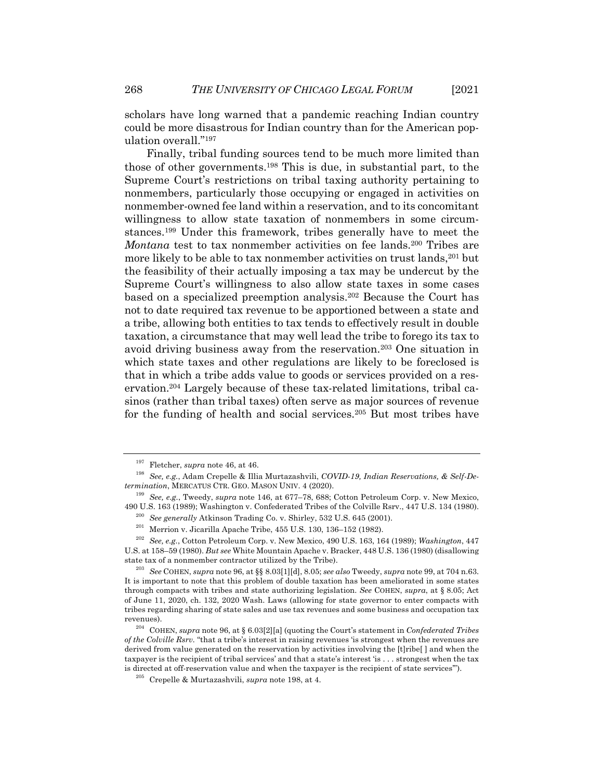scholars have long warned that a pandemic reaching Indian country could be more disastrous for Indian country than for the American population overall."197

Finally, tribal funding sources tend to be much more limited than those of other governments.198 This is due, in substantial part, to the Supreme Court's restrictions on tribal taxing authority pertaining to nonmembers, particularly those occupying or engaged in activities on nonmember-owned fee land within a reservation, and to its concomitant willingness to allow state taxation of nonmembers in some circumstances.199 Under this framework, tribes generally have to meet the *Montana* test to tax nonmember activities on fee lands.<sup>200</sup> Tribes are more likely to be able to tax nonmember activities on trust lands,201 but the feasibility of their actually imposing a tax may be undercut by the Supreme Court's willingness to also allow state taxes in some cases based on a specialized preemption analysis.202 Because the Court has not to date required tax revenue to be apportioned between a state and a tribe, allowing both entities to tax tends to effectively result in double taxation, a circumstance that may well lead the tribe to forego its tax to avoid driving business away from the reservation.203 One situation in which state taxes and other regulations are likely to be foreclosed is that in which a tribe adds value to goods or services provided on a reservation.204 Largely because of these tax-related limitations, tribal casinos (rather than tribal taxes) often serve as major sources of revenue for the funding of health and social services.205 But most tribes have

<sup>197</sup> Fletcher, *supra* note 46, at 46.

<sup>198</sup> *See, e.g.*, Adam Crepelle & Illia Murtazashvili, *COVID-19, Indian Reservations, & Self-Determination*, MERCATUS CTR. GEO. MASON UNIV. 4 (2020).

<sup>199</sup> *See, e.g.*, Tweedy, *supra* note 146, at 677–78, 688; Cotton Petroleum Corp. v. New Mexico, 490 U.S. 163 (1989); Washington v. Confederated Tribes of the Colville Rsrv., 447 U.S. 134 (1980).

<sup>200</sup> *See generally* Atkinson Trading Co. v. Shirley, 532 U.S. 645 (2001).

 $201$  Merrion v. Jicarilla Apache Tribe, 455 U.S. 130, 136-152 (1982).

<sup>202</sup> *See, e.g.*, Cotton Petroleum Corp. v. New Mexico, 490 U.S. 163, 164 (1989); *Washington*, 447 U.S. at 158–59 (1980). *But see* White Mountain Apache v. Bracker, 448 U.S. 136 (1980) (disallowing state tax of a nonmember contractor utilized by the Tribe).

<sup>203</sup> *See* COHEN, *supra* note 96, at §§ 8.03[1][d], 8.05; *see also* Tweedy, *supra* note 99, at 704 n.63. It is important to note that this problem of double taxation has been ameliorated in some states through compacts with tribes and state authorizing legislation. *See* COHEN, *supra*, at § 8.05; Act of June 11, 2020, ch. 132, 2020 Wash. Laws (allowing for state governor to enter compacts with tribes regarding sharing of state sales and use tax revenues and some business and occupation tax revenues).

<sup>204</sup> COHEN, *supra* note 96, at § 6.03[2][a] (quoting the Court's statement in *Confederated Tribes of the Colville Rsrv.* "that a tribe's interest in raising revenues 'is strongest when the revenues are derived from value generated on the reservation by activities involving the [t]ribe[ ] and when the taxpayer is the recipient of tribal services' and that a state's interest 'is . . . strongest when the tax is directed at off-reservation value and when the taxpayer is the recipient of state services'").

<sup>205</sup> Crepelle & Murtazashvili, *supra* note 198, at 4.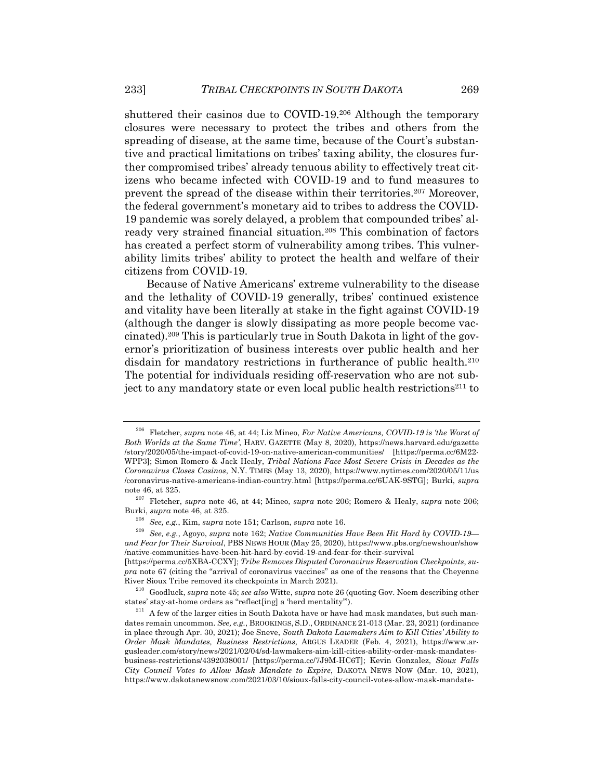shuttered their casinos due to COVID-19.206 Although the temporary closures were necessary to protect the tribes and others from the spreading of disease, at the same time, because of the Court's substantive and practical limitations on tribes' taxing ability, the closures further compromised tribes' already tenuous ability to effectively treat citizens who became infected with COVID-19 and to fund measures to prevent the spread of the disease within their territories.207 Moreover, the federal government's monetary aid to tribes to address the COVID-19 pandemic was sorely delayed, a problem that compounded tribes' already very strained financial situation.<sup>208</sup> This combination of factors has created a perfect storm of vulnerability among tribes. This vulnerability limits tribes' ability to protect the health and welfare of their citizens from COVID-19.

Because of Native Americans' extreme vulnerability to the disease and the lethality of COVID-19 generally, tribes' continued existence and vitality have been literally at stake in the fight against COVID-19 (although the danger is slowly dissipating as more people become vaccinated).209 This is particularly true in South Dakota in light of the governor's prioritization of business interests over public health and her disdain for mandatory restrictions in furtherance of public health.<sup>210</sup> The potential for individuals residing off-reservation who are not subject to any mandatory state or even local public health restrictions<sup>211</sup> to

<sup>209</sup> *See, e.g.*, Agoyo, *supra* note 162; *Native Communities Have Been Hit Hard by COVID-19 and Fear for Their Survival*, PBS NEWS HOUR (May 25, 2020), https://www.pbs.org/newshour/show /native-communities-have-been-hit-hard-by-covid-19-and-fear-for-their-survival

[https://perma.cc/5XBA-CCXY]; *Tribe Removes Disputed Coronavirus Reservation Checkpoints*, *supra* note 67 (citing the "arrival of coronavirus vaccines" as one of the reasons that the Cheyenne River Sioux Tribe removed its checkpoints in March 2021).

<sup>206</sup> Fletcher, *supra* note 46, at 44; Liz Mineo, *For Native Americans, COVID-19 is 'the Worst of Both Worlds at the Same Time'*, HARV. GAZETTE (May 8, 2020), https://news.harvard.edu/gazette /story/2020/05/the-impact-of-covid-19-on-native-american-communities/ [https://perma.cc/6M22- WPP3]; Simon Romero & Jack Healy, *Tribal Nations Face Most Severe Crisis in Decades as the Coronavirus Closes Casinos*, N.Y. TIMES (May 13, 2020), https://www.nytimes.com/2020/05/11/us /coronavirus-native-americans-indian-country.html [https://perma.cc/6UAK-9STG]; Burki, *supra* note 46, at 325.

<sup>207</sup> Fletcher, *supra* note 46, at 44; Mineo, *supra* note 206; Romero & Healy, *supra* note 206; Burki, *supra* note 46, at 325.

<sup>208</sup> *See, e.g.*, Kim, *supra* note 151; Carlson, *supra* note 16.

<sup>210</sup> Goodluck, *supra* note 45; *see also* Witte, *supra* note 26 (quoting Gov. Noem describing other states' stay-at-home orders as "reflect[ing] a 'herd mentality'").

 $2^{11}$  A few of the larger cities in South Dakota have or have had mask mandates, but such mandates remain uncommon. *See, e.g.*, BROOKINGS, S.D., ORDINANCE 21-013 (Mar. 23, 2021) (ordinance in place through Apr. 30, 2021); Joe Sneve, *South Dakota Lawmakers Aim to Kill Cities' Ability to Order Mask Mandates, Business Restrictions*, ARGUS LEADER (Feb. 4, 2021), https://www.argusleader.com/story/news/2021/02/04/sd-lawmakers-aim-kill-cities-ability-order-mask-mandatesbusiness-restrictions/4392038001/ [https://perma.cc/7J9M-HC6T]; Kevin Gonzalez, *Sioux Falls City Council Votes to Allow Mask Mandate to Expire*, DAKOTA NEWS NOW (Mar. 10, 2021), https://www.dakotanewsnow.com/2021/03/10/sioux-falls-city-council-votes-allow-mask-mandate-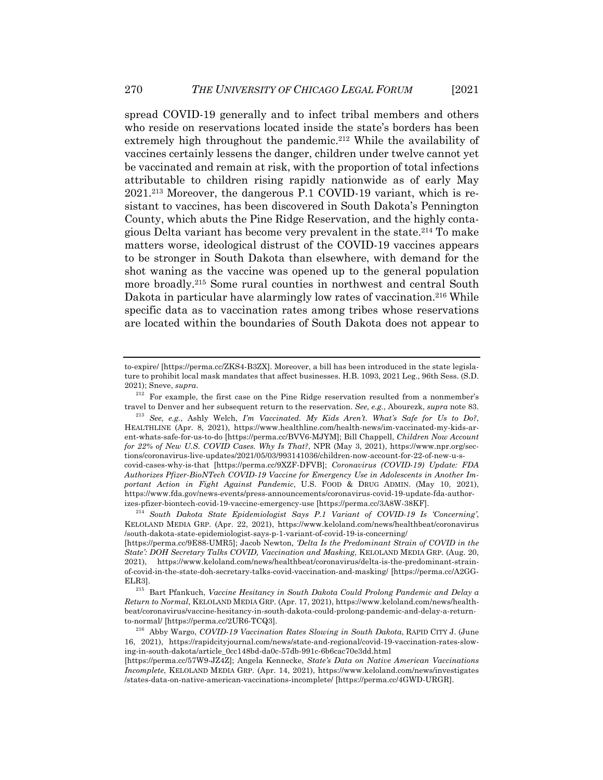spread COVID-19 generally and to infect tribal members and others who reside on reservations located inside the state's borders has been extremely high throughout the pandemic.<sup>212</sup> While the availability of vaccines certainly lessens the danger, children under twelve cannot yet be vaccinated and remain at risk, with the proportion of total infections attributable to children rising rapidly nationwide as of early May 2021.213 Moreover, the dangerous P.1 COVID-19 variant, which is resistant to vaccines, has been discovered in South Dakota's Pennington County, which abuts the Pine Ridge Reservation, and the highly contagious Delta variant has become very prevalent in the state. <sup>214</sup> To make matters worse, ideological distrust of the COVID-19 vaccines appears to be stronger in South Dakota than elsewhere, with demand for the shot waning as the vaccine was opened up to the general population more broadly.215 Some rural counties in northwest and central South Dakota in particular have alarmingly low rates of vaccination.<sup>216</sup> While specific data as to vaccination rates among tribes whose reservations are located within the boundaries of South Dakota does not appear to

to-expire/ [https://perma.cc/ZKS4-B3ZX]. Moreover, a bill has been introduced in the state legislature to prohibit local mask mandates that affect businesses. H.B. 1093, 2021 Leg., 96th Sess. (S.D. 2021); Sneve, *supra*.

<sup>&</sup>lt;sup>212</sup> For example, the first case on the Pine Ridge reservation resulted from a nonmember's travel to Denver and her subsequent return to the reservation. *See, e.g.*, Abourezk, *supra* note 83.

<sup>213</sup> *See, e.g.*, Ashly Welch, *I'm Vaccinated. My Kids Aren't. What's Safe for Us to Do?*, HEALTHLINE (Apr. 8, 2021), https://www.healthline.com/health-news/im-vaccinated-my-kids-arent-whats-safe-for-us-to-do [https://perma.cc/BVV6-MJYM]; Bill Chappell, *Children Now Account for 22% of New U.S. COVID Cases. Why Is That?*, NPR (May 3, 2021), https://www.npr.org/sections/coronavirus-live-updates/2021/05/03/993141036/children-now-account-for-22-of-new-u-scovid-cases-why-is-that [https://perma.cc/9XZF-DFVB]; *Coronavirus (COVID-19) Update: FDA Authorizes Pfizer-BioNTech COVID-19 Vaccine for Emergency Use in Adolescents in Another Important Action in Fight Against Pandemic*, U.S. FOOD & DRUG ADMIN. (May 10, 2021), https://www.fda.gov/news-events/press-announcements/coronavirus-covid-19-update-fda-authorizes-pfizer-biontech-covid-19-vaccine-emergency-use [https://perma.cc/3A8W-38KF].

<sup>214</sup> *South Dakota State Epidemiologist Says P.1 Variant of COVID-19 Is 'Concerning'*, KELOLAND MEDIA GRP. (Apr. 22, 2021), https://www.keloland.com/news/healthbeat/coronavirus /south-dakota-state-epidemiologist-says-p-1-variant-of-covid-19-is-concerning/

<sup>[</sup>https://perma.cc/9E88-UMR5]; Jacob Newton, *'Delta Is the Predominant Strain of COVID in the State': DOH Secretary Talks COVID, Vaccination and Masking*, KELOLAND MEDIA GRP. (Aug. 20, 2021), https://www.keloland.com/news/healthbeat/coronavirus/delta-is-the-predominant-strainof-covid-in-the-state-doh-secretary-talks-covid-vaccination-and-masking/ [https://perma.cc/A2GG-ELR3].

<sup>215</sup> Bart Pfankuch, *Vaccine Hesitancy in South Dakota Could Prolong Pandemic and Delay a Return to Normal*, KELOLAND MEDIA GRP. (Apr. 17, 2021), https://www.keloland.com/news/healthbeat/coronavirus/vaccine-hesitancy-in-south-dakota-could-prolong-pandemic-and-delay-a-returnto-normal/ [https://perma.cc/2UR6-TCQ3].

<sup>216</sup> Abby Wargo, *COVID-19 Vaccination Rates Slowing in South Dakota*, RAPID CITY J. (June 16, 2021), https://rapidcityjournal.com/news/state-and-regional/covid-19-vaccination-rates-slowing-in-south-dakota/article\_0cc148bd-da0c-57db-991c-6b6cac70e3dd.html

<sup>[</sup>https://perma.cc/57W9-JZ4Z]; Angela Kennecke, *State's Data on Native American Vaccinations Incomplete*, KELOLAND MEDIA GRP. (Apr. 14, 2021), https://www.keloland.com/news/investigates /states-data-on-native-american-vaccinations-incomplete/ [https://perma.cc/4GWD-URGR].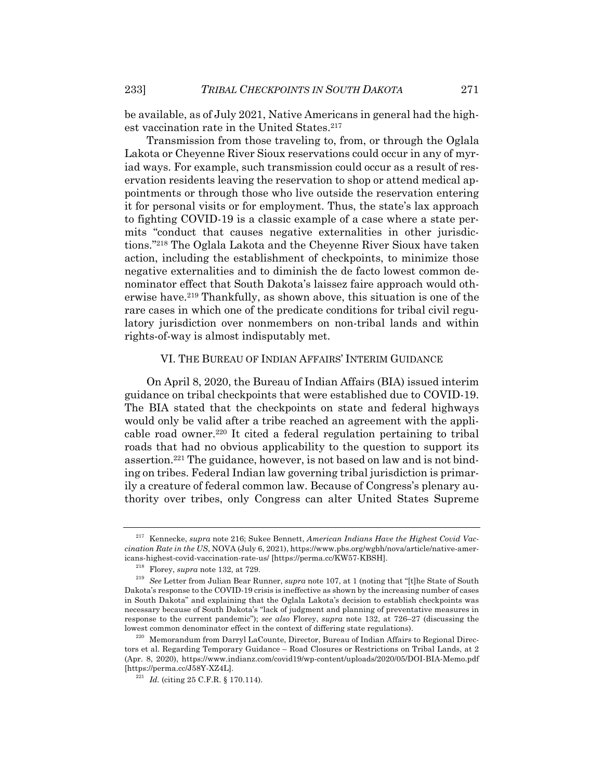be available, as of July 2021, Native Americans in general had the highest vaccination rate in the United States.<sup>217</sup>

Transmission from those traveling to, from, or through the Oglala Lakota or Cheyenne River Sioux reservations could occur in any of myriad ways. For example, such transmission could occur as a result of reservation residents leaving the reservation to shop or attend medical appointments or through those who live outside the reservation entering it for personal visits or for employment. Thus, the state's lax approach to fighting COVID-19 is a classic example of a case where a state permits "conduct that causes negative externalities in other jurisdictions."218 The Oglala Lakota and the Cheyenne River Sioux have taken action, including the establishment of checkpoints, to minimize those negative externalities and to diminish the de facto lowest common denominator effect that South Dakota's laissez faire approach would otherwise have.219 Thankfully, as shown above, this situation is one of the rare cases in which one of the predicate conditions for tribal civil regulatory jurisdiction over nonmembers on non-tribal lands and within rights-of-way is almost indisputably met.

# VI. THE BUREAU OF INDIAN AFFAIRS' INTERIM GUIDANCE

On April 8, 2020, the Bureau of Indian Affairs (BIA) issued interim guidance on tribal checkpoints that were established due to COVID-19. The BIA stated that the checkpoints on state and federal highways would only be valid after a tribe reached an agreement with the applicable road owner.220 It cited a federal regulation pertaining to tribal roads that had no obvious applicability to the question to support its assertion.221 The guidance, however, is not based on law and is not binding on tribes. Federal Indian law governing tribal jurisdiction is primarily a creature of federal common law. Because of Congress's plenary authority over tribes, only Congress can alter United States Supreme

<sup>217</sup> Kennecke, *supra* note 216; Sukee Bennett, *American Indians Have the Highest Covid Vaccination Rate in the US*, NOVA (July 6, 2021), https://www.pbs.org/wgbh/nova/article/native-americans-highest-covid-vaccination-rate-us/ [https://perma.cc/KW57-KBSH].

<sup>218</sup> Florey, *supra* note 132, at 729.

<sup>219</sup> *See* Letter from Julian Bear Runner, *supra* note 107, at 1 (noting that "[t]he State of South Dakota's response to the COVID-19 crisis is ineffective as shown by the increasing number of cases in South Dakota" and explaining that the Oglala Lakota's decision to establish checkpoints was necessary because of South Dakota's "lack of judgment and planning of preventative measures in response to the current pandemic"); *see also* Florey, *supra* note 132, at 726–27 (discussing the lowest common denominator effect in the context of differing state regulations).

<sup>&</sup>lt;sup>220</sup> Memorandum from Darryl LaCounte, Director, Bureau of Indian Affairs to Regional Directors et al. Regarding Temporary Guidance – Road Closures or Restrictions on Tribal Lands, at 2 (Apr. 8, 2020), https://www.indianz.com/covid19/wp-content/uploads/2020/05/DOI-BIA-Memo.pdf [https://perma.cc/J58Y-XZ4L].

<sup>221</sup> *Id.* (citing 25 C.F.R. § 170.114).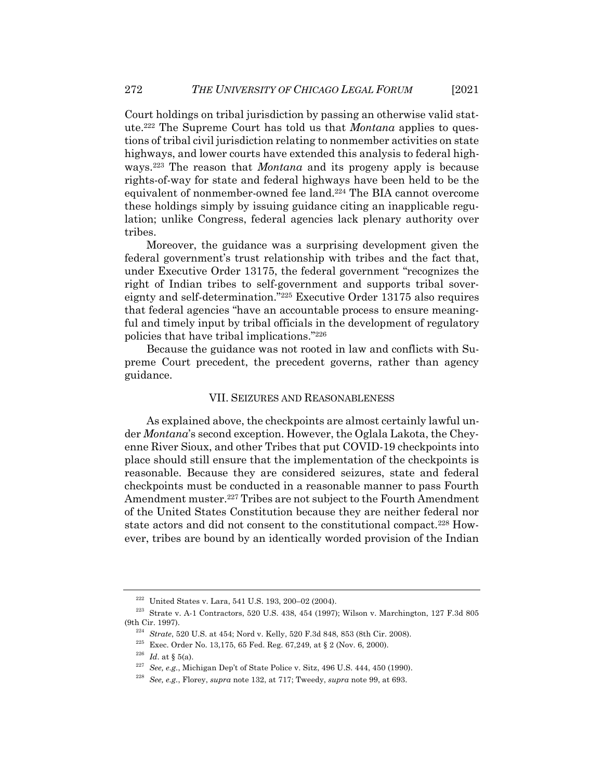Court holdings on tribal jurisdiction by passing an otherwise valid statute.222 The Supreme Court has told us that *Montana* applies to questions of tribal civil jurisdiction relating to nonmember activities on state highways, and lower courts have extended this analysis to federal highways.223 The reason that *Montana* and its progeny apply is because rights-of-way for state and federal highways have been held to be the equivalent of nonmember-owned fee land.224 The BIA cannot overcome these holdings simply by issuing guidance citing an inapplicable regulation; unlike Congress, federal agencies lack plenary authority over tribes.

Moreover, the guidance was a surprising development given the federal government's trust relationship with tribes and the fact that, under Executive Order 13175, the federal government "recognizes the right of Indian tribes to self-government and supports tribal sovereignty and self-determination."225 Executive Order 13175 also requires that federal agencies "have an accountable process to ensure meaningful and timely input by tribal officials in the development of regulatory policies that have tribal implications."226

Because the guidance was not rooted in law and conflicts with Supreme Court precedent, the precedent governs, rather than agency guidance.

# VII. SEIZURES AND REASONABLENESS

As explained above, the checkpoints are almost certainly lawful under *Montana*'s second exception. However, the Oglala Lakota, the Cheyenne River Sioux, and other Tribes that put COVID-19 checkpoints into place should still ensure that the implementation of the checkpoints is reasonable. Because they are considered seizures, state and federal checkpoints must be conducted in a reasonable manner to pass Fourth Amendment muster.<sup>227</sup> Tribes are not subject to the Fourth Amendment of the United States Constitution because they are neither federal nor state actors and did not consent to the constitutional compact.228 However, tribes are bound by an identically worded provision of the Indian

<sup>222</sup> United States v. Lara, 541 U.S. 193, 200–02 (2004).

 $^{223}\,$  Strate v. A-1 Contractors, 520 U.S. 438, 454 (1997); Wilson v. Marchington, 127 F.3d 805 (9th Cir. 1997).

<sup>224</sup> *Strate*, 520 U.S. at 454; Nord v. Kelly, 520 F.3d 848, 853 (8th Cir. 2008).

 $^{225}$  Exec. Order No. 13,175, 65 Fed. Reg. 67,249, at § 2 (Nov. 6, 2000).

 $226$  *Id.* at § 5(a).

<sup>227</sup> *See, e.g.*, Michigan Dep't of State Police v. Sitz, 496 U.S. 444, 450 (1990).

<sup>228</sup> *See, e.g.*, Florey, *supra* note 132, at 717; Tweedy, *supra* note 99, at 693.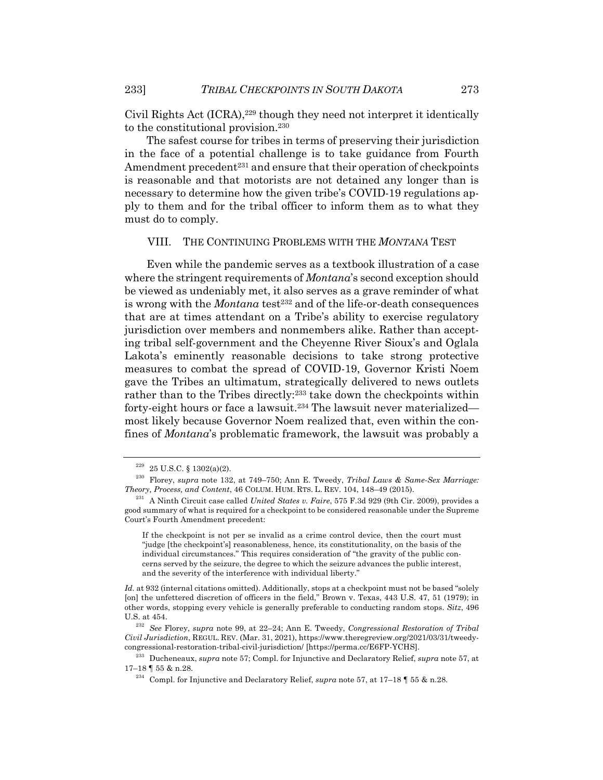Civil Rights Act (ICRA),<sup>229</sup> though they need not interpret it identically to the constitutional provision.230

The safest course for tribes in terms of preserving their jurisdiction in the face of a potential challenge is to take guidance from Fourth Amendment precedent<sup>231</sup> and ensure that their operation of checkpoints is reasonable and that motorists are not detained any longer than is necessary to determine how the given tribe's COVID-19 regulations apply to them and for the tribal officer to inform them as to what they must do to comply.

#### VIII. THE CONTINUING PROBLEMS WITH THE *MONTANA* TEST

Even while the pandemic serves as a textbook illustration of a case where the stringent requirements of *Montana*'s second exception should be viewed as undeniably met, it also serves as a grave reminder of what is wrong with the *Montana* test<sup>232</sup> and of the life-or-death consequences that are at times attendant on a Tribe's ability to exercise regulatory jurisdiction over members and nonmembers alike. Rather than accepting tribal self-government and the Cheyenne River Sioux's and Oglala Lakota's eminently reasonable decisions to take strong protective measures to combat the spread of COVID-19, Governor Kristi Noem gave the Tribes an ultimatum, strategically delivered to news outlets rather than to the Tribes directly:233 take down the checkpoints within forty-eight hours or face a lawsuit.234 The lawsuit never materialized most likely because Governor Noem realized that, even within the confines of *Montana*'s problematic framework, the lawsuit was probably a

 $229$  25 U.S.C. § 1302(a)(2).

<sup>230</sup> Florey, *supra* note 132, at 749–750; Ann E. Tweedy, *Tribal Laws & Same-Sex Marriage: Theory, Process, and Content*, 46 COLUM. HUM. RTS. L. REV. 104, 148–49 (2015).

<sup>231</sup> A Ninth Circuit case called *United States v. Faire*, 575 F.3d 929 (9th Cir. 2009), provides a good summary of what is required for a checkpoint to be considered reasonable under the Supreme Court's Fourth Amendment precedent:

If the checkpoint is not per se invalid as a crime control device, then the court must "judge [the checkpoint's] reasonableness, hence, its constitutionality, on the basis of the individual circumstances." This requires consideration of "the gravity of the public concerns served by the seizure, the degree to which the seizure advances the public interest, and the severity of the interference with individual liberty."

Id. at 932 (internal citations omitted). Additionally, stops at a checkpoint must not be based "solely [on] the unfettered discretion of officers in the field," Brown v. Texas, 443 U.S. 47, 51 (1979); in other words, stopping every vehicle is generally preferable to conducting random stops. *Sitz*, 496 U.S. at 454.

<sup>232</sup> *See* Florey, *supra* note 99, at 22–24; Ann E. Tweedy, *Congressional Restoration of Tribal Civil Jurisdiction*, REGUL. REV. (Mar. 31, 2021), https://www.theregreview.org/2021/03/31/tweedycongressional-restoration-tribal-civil-jurisdiction/ [https://perma.cc/E6FP-YCHS].

<sup>233</sup> Ducheneaux, *supra* note 57; Compl. for Injunctive and Declaratory Relief, *supra* note 57, at 17–18 ¶ 55 & n.28.

<sup>234</sup> Compl. for Injunctive and Declaratory Relief, *supra* note 57, at 17–18 ¶ 55 & n.28.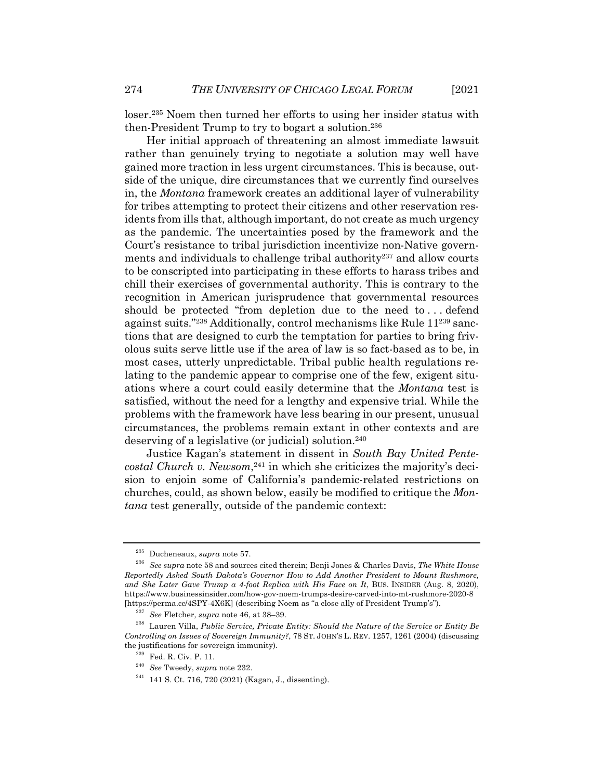loser.235 Noem then turned her efforts to using her insider status with then-President Trump to try to bogart a solution.236

Her initial approach of threatening an almost immediate lawsuit rather than genuinely trying to negotiate a solution may well have gained more traction in less urgent circumstances. This is because, outside of the unique, dire circumstances that we currently find ourselves in, the *Montana* framework creates an additional layer of vulnerability for tribes attempting to protect their citizens and other reservation residents from ills that, although important, do not create as much urgency as the pandemic. The uncertainties posed by the framework and the Court's resistance to tribal jurisdiction incentivize non-Native governments and individuals to challenge tribal authority<sup>237</sup> and allow courts to be conscripted into participating in these efforts to harass tribes and chill their exercises of governmental authority. This is contrary to the recognition in American jurisprudence that governmental resources should be protected "from depletion due to the need to . . . defend against suits."238 Additionally, control mechanisms like Rule 11239 sanctions that are designed to curb the temptation for parties to bring frivolous suits serve little use if the area of law is so fact-based as to be, in most cases, utterly unpredictable. Tribal public health regulations relating to the pandemic appear to comprise one of the few, exigent situations where a court could easily determine that the *Montana* test is satisfied, without the need for a lengthy and expensive trial. While the problems with the framework have less bearing in our present, unusual circumstances, the problems remain extant in other contexts and are deserving of a legislative (or judicial) solution.240

Justice Kagan's statement in dissent in *South Bay United Pentecostal Church v. Newsom*, <sup>241</sup> in which she criticizes the majority's decision to enjoin some of California's pandemic-related restrictions on churches, could, as shown below, easily be modified to critique the *Montana* test generally, outside of the pandemic context:

<sup>235</sup> Ducheneaux, *supra* note 57.

<sup>236</sup> *See supra* note 58 and sources cited therein; Benji Jones & Charles Davis, *The White House Reportedly Asked South Dakota's Governor How to Add Another President to Mount Rushmore,*  and She Later Gave Trump a 4-foot Replica with His Face on It, BUS. INSIDER (Aug. 8, 2020), https://www.businessinsider.com/how-gov-noem-trumps-desire-carved-into-mt-rushmore-2020-8 [https://perma.cc/4SPY-4X6K] (describing Noem as "a close ally of President Trump's").

<sup>237</sup> *See* Fletcher, *supra* note 46, at 38–39.

<sup>238</sup> Lauren Villa, *Public Service, Private Entity: Should the Nature of the Service or Entity Be Controlling on Issues of Sovereign Immunity?*, 78 ST. JOHN'S L. REV. 1257, 1261 (2004) (discussing the justifications for sovereign immunity).

<sup>239</sup> Fed. R. Civ. P. 11.

<sup>240</sup> *See* Tweedy, *supra* note 232.

<sup>241</sup> 141 S. Ct. 716, 720 (2021) (Kagan, J., dissenting).